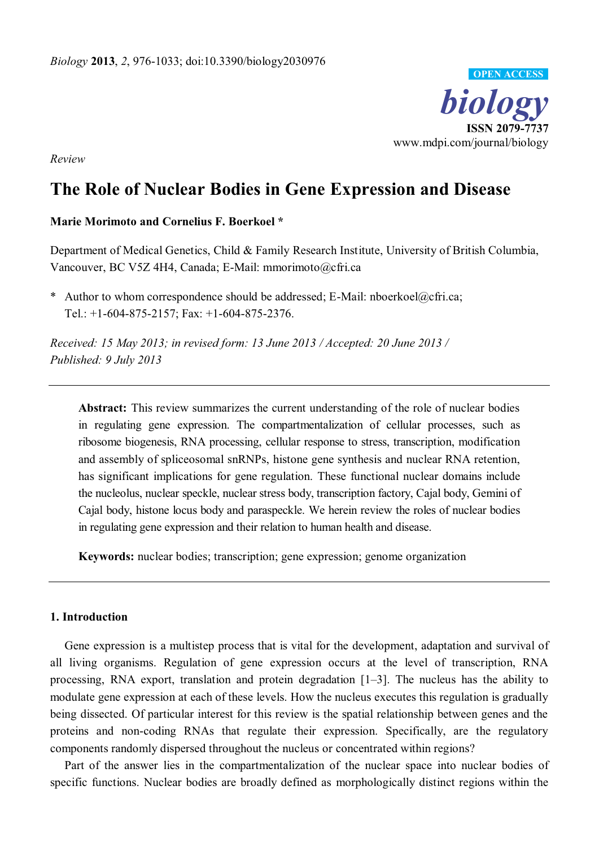

*Review* 

# **The Role of Nuclear Bodies in Gene Expression and Disease**

# **Marie Morimoto and Cornelius F. Boerkoel \***

Department of Medical Genetics, Child & Family Research Institute, University of British Columbia, Vancouver, BC V5Z 4H4, Canada; E-Mail: mmorimoto@cfri.ca

\* Author to whom correspondence should be addressed; E-Mail: nboerkoel@cfri.ca; Tel.: +1-604-875-2157; Fax: +1-604-875-2376.

*Received: 15 May 2013; in revised form: 13 June 2013 / Accepted: 20 June 2013 / Published: 9 July 2013* 

**Abstract:** This review summarizes the current understanding of the role of nuclear bodies in regulating gene expression. The compartmentalization of cellular processes, such as ribosome biogenesis, RNA processing, cellular response to stress, transcription, modification and assembly of spliceosomal snRNPs, histone gene synthesis and nuclear RNA retention, has significant implications for gene regulation. These functional nuclear domains include the nucleolus, nuclear speckle, nuclear stress body, transcription factory, Cajal body, Gemini of Cajal body, histone locus body and paraspeckle. We herein review the roles of nuclear bodies in regulating gene expression and their relation to human health and disease.

**Keywords:** nuclear bodies; transcription; gene expression; genome organization

# **1. Introduction**

Gene expression is a multistep process that is vital for the development, adaptation and survival of all living organisms. Regulation of gene expression occurs at the level of transcription, RNA processing, RNA export, translation and protein degradation  $[1-3]$ . The nucleus has the ability to modulate gene expression at each of these levels. How the nucleus executes this regulation is gradually being dissected. Of particular interest for this review is the spatial relationship between genes and the proteins and non-coding RNAs that regulate their expression. Specifically, are the regulatory components randomly dispersed throughout the nucleus or concentrated within regions?

Part of the answer lies in the compartmentalization of the nuclear space into nuclear bodies of specific functions. Nuclear bodies are broadly defined as morphologically distinct regions within the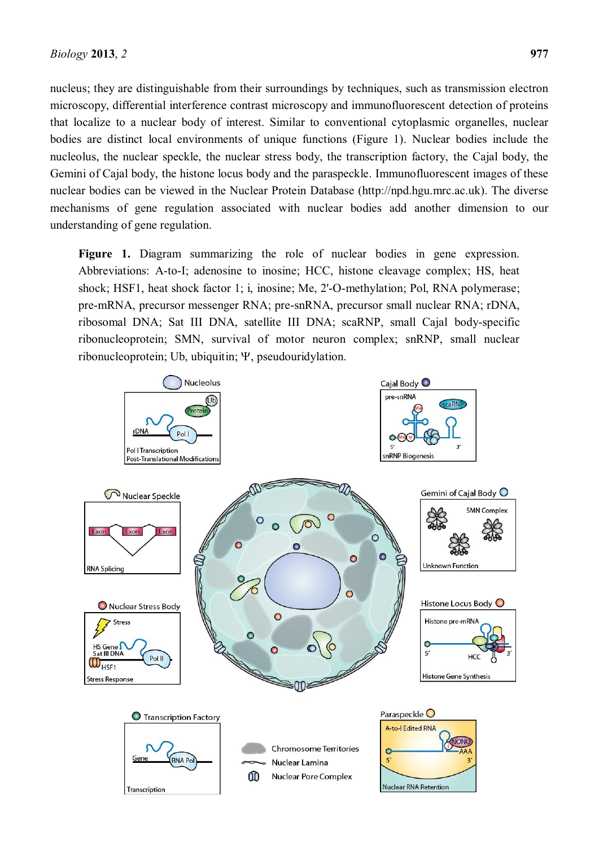nucleus; they are distinguishable from their surroundings by techniques, such as transmission electron microscopy, differential interference contrast microscopy and immunofluorescent detection of proteins that localize to a nuclear body of interest. Similar to conventional cytoplasmic organelles, nuclear bodies are distinct local environments of unique functions (Figure 1). Nuclear bodies include the nucleolus, the nuclear speckle, the nuclear stress body, the transcription factory, the Cajal body, the Gemini of Cajal body, the histone locus body and the paraspeckle. Immunofluorescent images of these nuclear bodies can be viewed in the Nuclear Protein Database (http://npd.hgu.mrc.ac.uk). The diverse mechanisms of gene regulation associated with nuclear bodies add another dimension to our understanding of gene regulation.

Figure 1. Diagram summarizing the role of nuclear bodies in gene expression. Abbreviations: A-to-I; adenosine to inosine; HCC, histone cleavage complex; HS, heat shock; HSF1, heat shock factor 1; i, inosine; Me, 2'-O-methylation; Pol, RNA polymerase; pre-mRNA, precursor messenger RNA; pre-snRNA, precursor small nuclear RNA; rDNA, ribosomal DNA; Sat III DNA, satellite III DNA; scaRNP, small Cajal body-specific ribonucleoprotein; SMN, survival of motor neuron complex; snRNP, small nuclear  $ribonucleoprotein$ ; Ub, ubiquitin;  $\Psi$ , pseudouridylation.

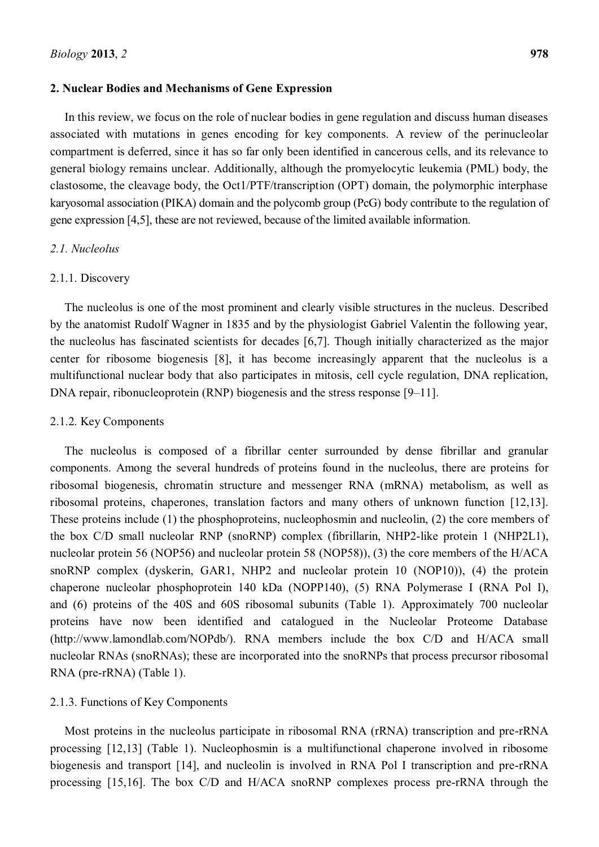#### **2. Nuclear Bodies and Mechanisms of Gene Expression**

In this review, we focus on the role of nuclear bodies in gene regulation and discuss human diseases associated with mutations in genes encoding for key components. A review of the perinucleolar compartment is deferred, since it has so far only been identified in cancerous cells, and its relevance to general biology remains unclear. Additionally, although the promyelocytic leukemia (PML) body, the clastosome, the cleavage body, the Oct1/PTF/transcription (OPT) domain, the polymorphic interphase karyosomal association (PIKA) domain and the polycomb group (PcG) body contribute to the regulation of gene expression [4,5], these are not reviewed, because of the limited available information.

# *2.1. Nucleolus*

#### 2.1.1. Discovery

The nucleolus is one of the most prominent and clearly visible structures in the nucleus. Described by the anatomist Rudolf Wagner in 1835 and by the physiologist Gabriel Valentin the following year, the nucleolus has fascinated scientists for decades [6,7]. Though initially characterized as the major center for ribosome biogenesis [8], it has become increasingly apparent that the nucleolus is a multifunctional nuclear body that also participates in mitosis, cell cycle regulation, DNA replication, DNA repair, ribonucleoprotein (RNP) biogenesis and the stress response  $[9-11]$ .

#### 2.1.2. Key Components

The nucleolus is composed of a fibrillar center surrounded by dense fibrillar and granular components. Among the several hundreds of proteins found in the nucleolus, there are proteins for ribosomal biogenesis, chromatin structure and messenger RNA (mRNA) metabolism, as well as ribosomal proteins, chaperones, translation factors and many others of unknown function [12,13]. These proteins include (1) the phosphoproteins, nucleophosmin and nucleolin, (2) the core members of the box C/D small nucleolar RNP (snoRNP) complex (fibrillarin, NHP2-like protein 1 (NHP2L1), nucleolar protein 56 (NOP56) and nucleolar protein 58 (NOP58)), (3) the core members of the H/ACA snoRNP complex (dyskerin, GAR1, NHP2 and nucleolar protein 10 (NOP10)), (4) the protein chaperone nucleolar phosphoprotein 140 kDa (NOPP140), (5) RNA Polymerase I (RNA Pol I), and (6) proteins of the 40S and 60S ribosomal subunits (Table 1). Approximately 700 nucleolar proteins have now been identified and catalogued in the Nucleolar Proteome Database (http://www.lamondlab.com/NOPdb/). RNA members include the box C/D and H/ACA small nucleolar RNAs (snoRNAs); these are incorporated into the snoRNPs that process precursor ribosomal RNA (pre-rRNA) (Table 1).

#### 2.1.3. Functions of Key Components

Most proteins in the nucleolus participate in ribosomal RNA (rRNA) transcription and pre-rRNA processing [12,13] (Table 1). Nucleophosmin is a multifunctional chaperone involved in ribosome biogenesis and transport [14], and nucleolin is involved in RNA Pol I transcription and pre-rRNA processing [15,16]. The box C/D and H/ACA snoRNP complexes process pre-rRNA through the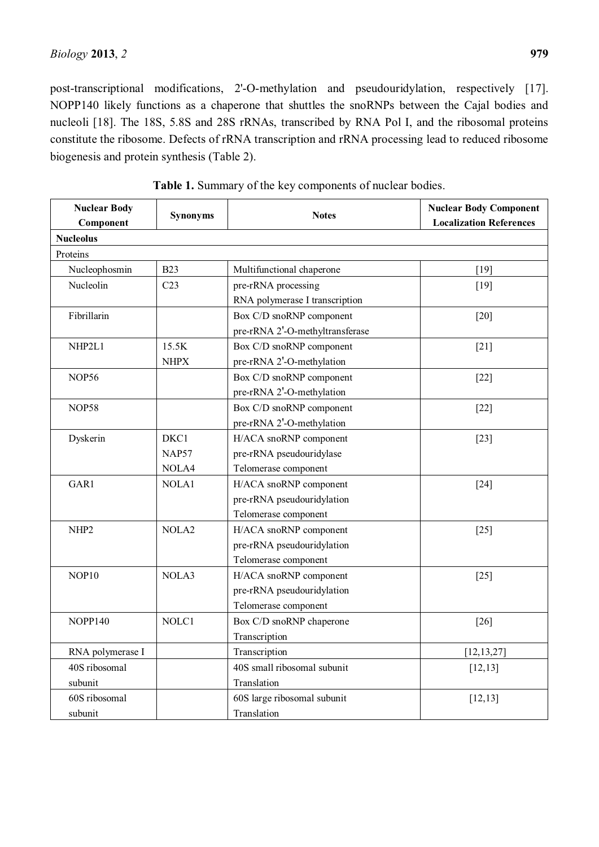post-transcriptional modifications, 2'-O-methylation and pseudouridylation, respectively [17]. NOPP140 likely functions as a chaperone that shuttles the snoRNPs between the Cajal bodies and nucleoli [18]. The 18S, 5.8S and 28S rRNAs, transcribed by RNA Pol I, and the ribosomal proteins constitute the ribosome. Defects of rRNA transcription and rRNA processing lead to reduced ribosome biogenesis and protein synthesis (Table 2).

| <b>Nuclear Body</b> | <b>Synonyms</b>   | <b>Notes</b>                    | <b>Nuclear Body Component</b>  |
|---------------------|-------------------|---------------------------------|--------------------------------|
| Component           |                   |                                 | <b>Localization References</b> |
| <b>Nucleolus</b>    |                   |                                 |                                |
| Proteins            |                   |                                 |                                |
| Nucleophosmin       | <b>B23</b>        | Multifunctional chaperone       | $[19]$                         |
| Nucleolin           | C <sub>23</sub>   | pre-rRNA processing             | $[19]$                         |
|                     |                   | RNA polymerase I transcription  |                                |
| Fibrillarin         |                   | Box C/D snoRNP component        | $[20]$                         |
|                     |                   | pre-rRNA 2'-O-methyltransferase |                                |
| NHP2L1              | 15.5K             | Box C/D snoRNP component        | $[21]$                         |
|                     | <b>NHPX</b>       | pre-rRNA 2'-O-methylation       |                                |
| NOP56               |                   | Box C/D snoRNP component        | $[22]$                         |
|                     |                   | pre-rRNA 2'-O-methylation       |                                |
| <b>NOP58</b>        |                   | Box C/D snoRNP component        | $[22]$                         |
|                     |                   | pre-rRNA 2'-O-methylation       |                                |
| Dyskerin            | DKC1              | H/ACA snoRNP component          | $[23]$                         |
|                     | <b>NAP57</b>      | pre-rRNA pseudouridylase        |                                |
|                     | NOLA4             | Telomerase component            |                                |
| GAR1                | NOLA1             | H/ACA snoRNP component          | $[24]$                         |
|                     |                   | pre-rRNA pseudouridylation      |                                |
|                     |                   | Telomerase component            |                                |
| NHP <sub>2</sub>    | NOLA <sub>2</sub> | H/ACA snoRNP component          | $[25]$                         |
|                     |                   | pre-rRNA pseudouridylation      |                                |
|                     |                   | Telomerase component            |                                |
| NOP10               | NOLA3             | H/ACA snoRNP component          | $[25]$                         |
|                     |                   | pre-rRNA pseudouridylation      |                                |
|                     |                   | Telomerase component            |                                |
| <b>NOPP140</b>      | NOLC1             | Box C/D snoRNP chaperone        | $[26]$                         |
|                     |                   | Transcription                   |                                |
| RNA polymerase I    |                   | Transcription                   | [12, 13, 27]                   |
| 40S ribosomal       |                   | 40S small ribosomal subunit     | [12, 13]                       |
| subunit             |                   | Translation                     |                                |
| 60S ribosomal       |                   | 60S large ribosomal subunit     | [12, 13]                       |
| subunit             |                   | Translation                     |                                |

**Table 1.** Summary of the key components of nuclear bodies.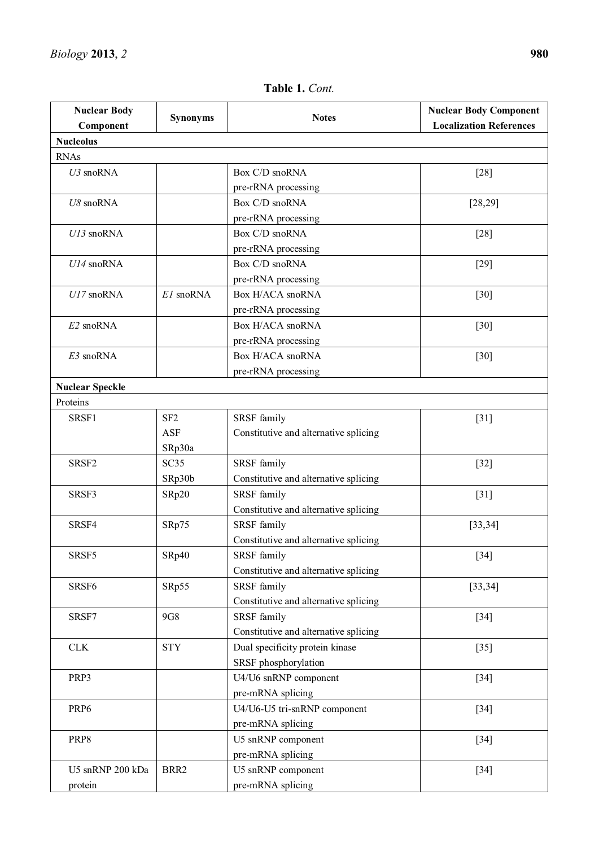#### **Nuclear Body Component Synonyms Notes Nuclear Body Component Localization References Nucleolus**  RNAs *U3* snoRNA Box C/D snoRNA pre-rRNA processing [28] *U8* snoRNA Box C/D snoRNA pre-rRNA processing [28,29] *U13* snoRNA Box C/D snoRNA pre-rRNA processing [28] *U14* snoRNA Box C/D snoRNA pre-rRNA processing [29] *U17* snoRNA  $E1$  snoRNA Box H/ACA snoRNA pre-rRNA processing [30] *E2* snoRNA Box H/ACA snoRNA pre-rRNA processing [30] *E3* snoRNA Box H/ACA snoRNA pre-rRNA processing [30] **Nuclear Speckle**  Proteins SRSF1 SF2 ASF SRp30a SRSF family Constitutive and alternative splicing [31] SRSF2 SC35 SRp30b SRSF family Constitutive and alternative splicing [32] SRSF3 | SRp20 | SRSF family Constitutive and alternative splicing [31] SRSF4 SRp75 SRSF family Constitutive and alternative splicing [33,34] SRSF5 | SRp40 | SRSF family Constitutive and alternative splicing [34] SRSF6 | SRp55 | SRSF family Constitutive and alternative splicing [33,34] SRSF7 9G8 SRSF family Constitutive and alternative splicing [34] CLK STY Dual specificity protein kinase SRSF phosphorylation [35] PRP3 U4/U6 snRNP component pre-mRNA splicing [34] PRP6 U4/U6-U5 tri-snRNP component pre-mRNA splicing [34] PRP8 U5 snRNP component pre-mRNA splicing [34] U5 snRNP 200 kDa protein BRR2 U5 snRNP component pre-mRNA splicing [34]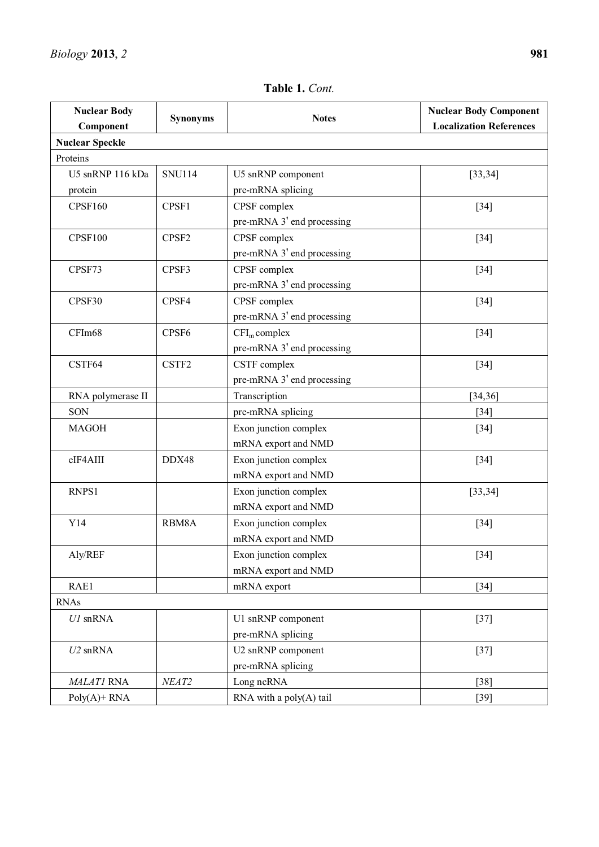| <i>Biology</i> 2013, 2 | 981 |
|------------------------|-----|
|                        |     |

| <b>Nuclear Body</b>    | <b>Synonyms</b> | <b>Notes</b>               | <b>Nuclear Body Component</b>  |
|------------------------|-----------------|----------------------------|--------------------------------|
| Component              |                 |                            | <b>Localization References</b> |
| <b>Nuclear Speckle</b> |                 |                            |                                |
| Proteins               |                 |                            |                                |
| U5 snRNP 116 kDa       | <b>SNU114</b>   | U5 snRNP component         | [33, 34]                       |
| protein                |                 | pre-mRNA splicing          |                                |
| <b>CPSF160</b>         | CPSF1           | CPSF complex               | $[34]$                         |
|                        |                 | pre-mRNA 3' end processing |                                |
| <b>CPSF100</b>         | CPSF2           | CPSF complex               | $[34]$                         |
|                        |                 | pre-mRNA 3' end processing |                                |
| CPSF73                 | CPSF3           | CPSF complex               | $[34]$                         |
|                        |                 | pre-mRNA 3' end processing |                                |
| CPSF30                 | CPSF4           | CPSF complex               | $[34]$                         |
|                        |                 | pre-mRNA 3' end processing |                                |
| CFIm68                 | CPSF6           | $CFIm$ complex             | $[34]$                         |
|                        |                 | pre-mRNA 3' end processing |                                |
| CSTF64                 | CSTF2           | CSTF complex               | $[34]$                         |
|                        |                 | pre-mRNA 3' end processing |                                |
| RNA polymerase II      |                 | Transcription              | [34, 36]                       |
| SON                    |                 | pre-mRNA splicing          | $[34]$                         |
| <b>MAGOH</b>           |                 | Exon junction complex      | $[34]$                         |
|                        |                 | mRNA export and NMD        |                                |
| eIF4AIII               | DDX48           | Exon junction complex      | $[34]$                         |
|                        |                 | mRNA export and NMD        |                                |
| RNPS1                  |                 | Exon junction complex      | [33, 34]                       |
|                        |                 | mRNA export and NMD        |                                |
| Y14                    | RBM8A           | Exon junction complex      | $[34]$                         |
|                        |                 | mRNA export and NMD        |                                |
| Aly/REF                |                 | Exon junction complex      | $[34]$                         |
|                        |                 | mRNA export and NMD        |                                |
| RAE1                   |                 | mRNA export                | $[34]$                         |
| <b>RNAs</b>            |                 |                            |                                |
| $U1$ snRNA             |                 | U1 snRNP component         | $[37]$                         |
|                        |                 | pre-mRNA splicing          |                                |
| $U2$ snRNA             |                 | U2 snRNP component         | $[37]$                         |
|                        |                 | pre-mRNA splicing          |                                |
| MALATI RNA             | NEAT2           | Long ncRNA                 | $[38]$                         |
| $Poly(A)$ + RNA        |                 | RNA with a poly(A) tail    | $[39]$                         |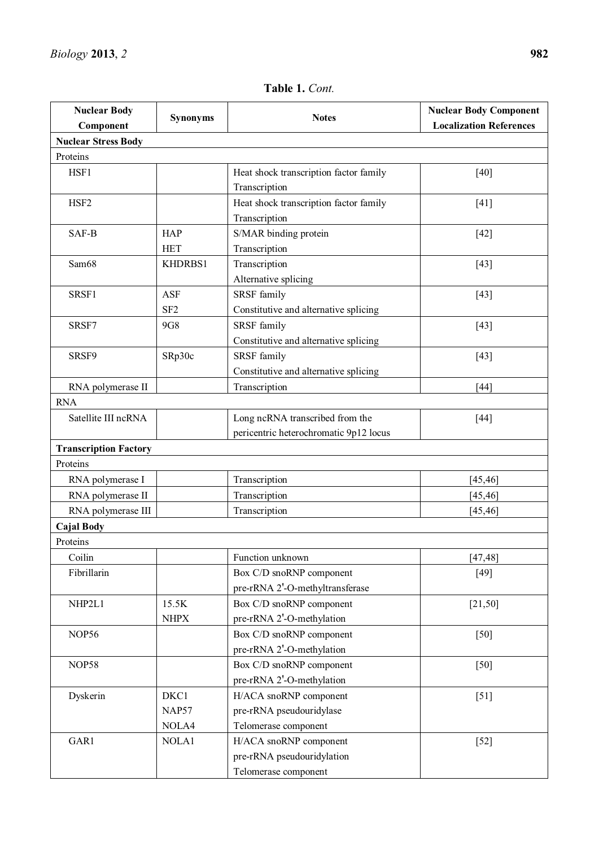#### **Nuclear Body Component Synonyms Notes Nuclear Body Component Localization References Nuclear Stress Body**  Proteins HSF1 Heat shock transcription factor family Transcription [40] HSF2 Heat shock transcription factor family Transcription [41] SAF-B HAP HET S/MAR binding protein Transcription [42] Sam68 | KHDRBS1 | Transcription Alternative splicing [43]  $SRSF1$   $ASF$ SF2 SRSF family Constitutive and alternative splicing [43] SRSF7 9G8 SRSF family Constitutive and alternative splicing [43] SRSF9 | SRp30c | SRSF family Constitutive and alternative splicing [43] RNA polymerase II Transcription and Transcription and Transcription and Transcription and Transcription and Transcription and Transcription and Transcription and Transcription and Transcription and Transcription and Transc RNA Satellite III ncRNA **Long ncRNA** Long ncRNA transcribed from the pericentric heterochromatic 9p12 locus [44] **Transcription Factory**  Proteins RNA polymerase ITranscription [45,46] RNA polymerase II **i Transcription 145,46 I I Transcription 145,46** RNA polymerase III **Transcription** [45,46] **Cajal Body** Proteins Coilin Function unknown [47,48] Fibrillarin Box C/D snoRNP component pre-rRNA 2'-O-methyltransferase [49] NHP2L1 15.5K NHPX Box C/D snoRNP component pre-rRNA 2'-O-methylation [21,50] NOP56 Box C/D snoRNP component pre-rRNA 2'-O-methylation [50] NOP58 Box C/D snoRNP component pre-rRNA 2'-O-methylation [50] Dyskerin DKC1 NAP57 NOLA4 H/ACA snoRNP component pre-rRNA pseudouridylase Telomerase component [51] GAR1 NOLA1 H/ACA snoRNP component pre-rRNA pseudouridylation Telomerase component [52]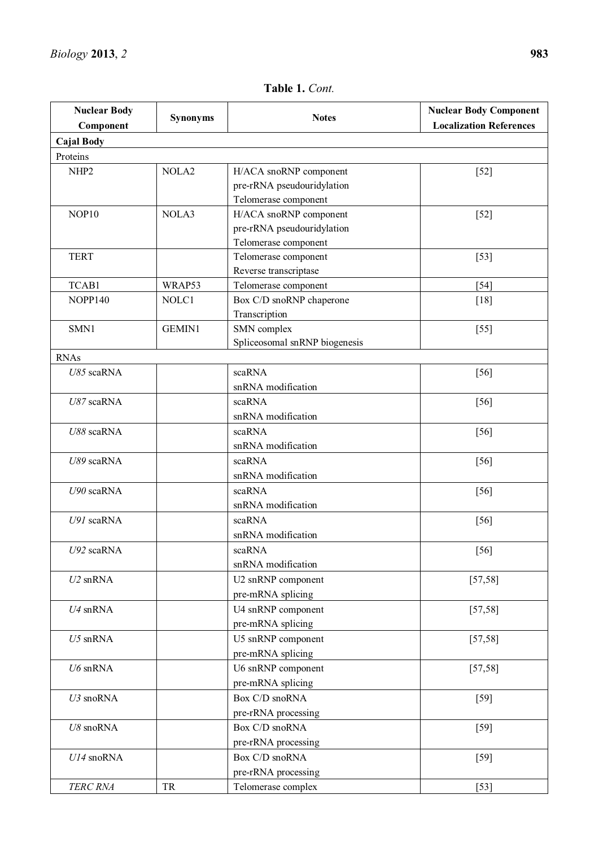| <b>Nuclear Body</b> | <b>Synonyms</b><br><b>Notes</b> |                               | <b>Nuclear Body Component</b>  |
|---------------------|---------------------------------|-------------------------------|--------------------------------|
| Component           |                                 |                               | <b>Localization References</b> |
| <b>Cajal Body</b>   |                                 |                               |                                |
| Proteins            |                                 |                               |                                |
| NHP <sub>2</sub>    | NOLA <sub>2</sub>               | H/ACA snoRNP component        | $[52]$                         |
|                     |                                 | pre-rRNA pseudouridylation    |                                |
|                     |                                 | Telomerase component          |                                |
| NOP <sub>10</sub>   | NOLA3                           | H/ACA snoRNP component        | $[52]$                         |
|                     |                                 | pre-rRNA pseudouridylation    |                                |
|                     |                                 | Telomerase component          |                                |
| <b>TERT</b>         |                                 | Telomerase component          | $[53]$                         |
|                     |                                 | Reverse transcriptase         |                                |
| TCAB1               | WRAP53                          | Telomerase component          | $[54]$                         |
| NOPP140             | NOLC1                           | Box C/D snoRNP chaperone      | [18]                           |
|                     |                                 | Transcription                 |                                |
| SMN1                | <b>GEMIN1</b>                   | SMN complex                   | $[55]$                         |
|                     |                                 | Spliceosomal snRNP biogenesis |                                |
| <b>RNAs</b>         |                                 |                               |                                |
| U85 scaRNA          |                                 | scaRNA                        | $[56]$                         |
|                     |                                 | snRNA modification            |                                |
| U87 scaRNA          |                                 | scaRNA                        | $[56]$                         |
|                     |                                 | snRNA modification            |                                |
| U88 scaRNA          |                                 | scaRNA                        | $[56]$                         |
|                     |                                 | snRNA modification            |                                |
| U89 scaRNA          |                                 | scaRNA                        | $[56]$                         |
|                     |                                 | snRNA modification            |                                |
| U90 scaRNA          |                                 | scaRNA<br>snRNA modification  | $[56]$                         |
|                     |                                 |                               |                                |
| U91 scaRNA          |                                 | scaRNA                        | $[56]$                         |
|                     |                                 | snRNA modification            |                                |
| U92 scaRNA          |                                 | scaRNA                        | $[56]$                         |
|                     |                                 | snRNA modification            |                                |
| $U2$ snRNA          |                                 | U2 snRNP component            | [57, 58]                       |
|                     |                                 | pre-mRNA splicing             |                                |
| $U4$ snRNA          |                                 | U4 snRNP component            | [57, 58]                       |
|                     |                                 | pre-mRNA splicing             |                                |
| $U5$ snRNA          |                                 | U5 snRNP component            | [57, 58]                       |
|                     |                                 | pre-mRNA splicing             |                                |
| $U6$ snRNA          |                                 | U6 snRNP component            | [57, 58]                       |
|                     |                                 | pre-mRNA splicing             |                                |
| U3 snoRNA           |                                 | Box C/D snoRNA                | $[59]$                         |
|                     |                                 | pre-rRNA processing           |                                |
| U8 snoRNA           |                                 | Box C/D snoRNA                | $[59]$                         |
|                     |                                 | pre-rRNA processing           |                                |
| U14 snoRNA          |                                 | Box C/D snoRNA                | $[59]$                         |
|                     |                                 | pre-rRNA processing           |                                |
| TERC RNA            | TR                              | Telomerase complex            | $[53]$                         |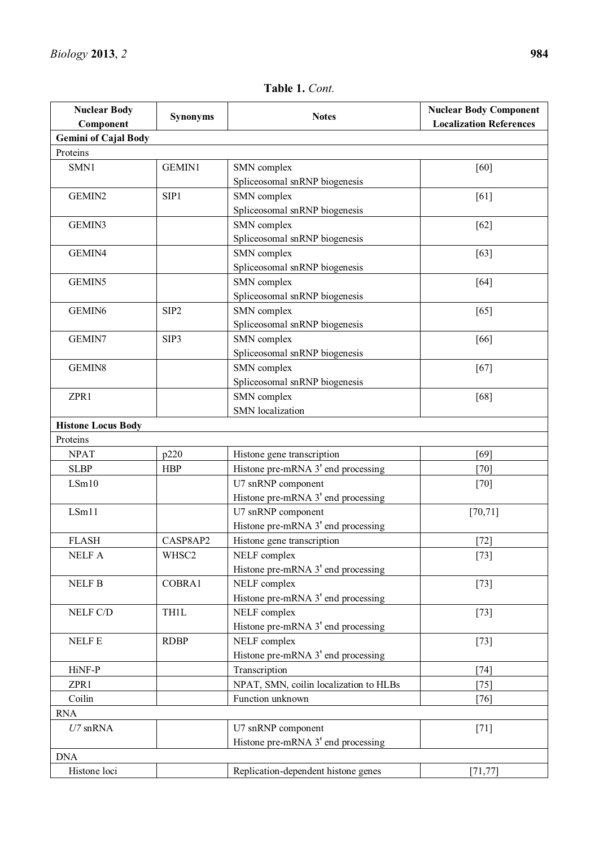| <b>Nuclear Body</b>         |                  |                                        | <b>Nuclear Body Component</b>  |
|-----------------------------|------------------|----------------------------------------|--------------------------------|
| Component                   | <b>Synonyms</b>  | <b>Notes</b>                           | <b>Localization References</b> |
| <b>Gemini of Cajal Body</b> |                  |                                        |                                |
| Proteins                    |                  |                                        |                                |
| SMN1                        | <b>GEMIN1</b>    | SMN complex                            | [60]                           |
|                             |                  | Spliceosomal snRNP biogenesis          |                                |
| GEMIN2                      | SIP1             | SMN complex                            | [61]                           |
|                             |                  | Spliceosomal snRNP biogenesis          |                                |
| GEMIN3                      |                  | SMN complex                            | $[62]$                         |
|                             |                  | Spliceosomal snRNP biogenesis          |                                |
| GEMIN4                      |                  | SMN complex                            | [63]                           |
|                             |                  | Spliceosomal snRNP biogenesis          |                                |
| GEMIN5                      |                  | SMN complex                            | [64]                           |
|                             |                  | Spliceosomal snRNP biogenesis          |                                |
| GEMIN <sub>6</sub>          | SIP <sub>2</sub> | SMN complex                            | [65]                           |
|                             |                  | Spliceosomal snRNP biogenesis          |                                |
| GEMIN7                      | SIP3             | SMN complex                            | [66]                           |
|                             |                  | Spliceosomal snRNP biogenesis          |                                |
| GEMIN8                      |                  | SMN complex                            | [67]                           |
|                             |                  | Spliceosomal snRNP biogenesis          |                                |
| ZPR1                        |                  | SMN complex                            | [68]                           |
|                             |                  | <b>SMN</b> localization                |                                |
| <b>Histone Locus Body</b>   |                  |                                        |                                |
| Proteins                    |                  |                                        |                                |
| <b>NPAT</b>                 | p220             | Histone gene transcription             | [69]                           |
| <b>SLBP</b>                 | <b>HBP</b>       | Histone pre-mRNA 3' end processing     | $[70]$                         |
| LSm10                       |                  | U7 snRNP component                     | $[70]$                         |
|                             |                  | Histone pre-mRNA 3' end processing     |                                |
| LSm11                       |                  | U7 snRNP component                     | [70, 71]                       |
|                             |                  | Histone pre-mRNA 3' end processing     |                                |
| <b>FLASH</b>                | CASP8AP2         | Histone gene transcription             | $[72]$                         |
| <b>NELF A</b>               | WHSC2            | NELF complex                           | $[73]$                         |
|                             |                  | Histone pre-mRNA 3' end processing     |                                |
| <b>NELF B</b>               | COBRA1           | NELF complex                           | $[73]$                         |
|                             |                  | Histone pre-mRNA 3' end processing     |                                |
| NELF C/D                    | <b>TH1L</b>      | NELF complex                           | $[73]$                         |
|                             |                  | Histone pre-mRNA 3' end processing     |                                |
| <b>NELFE</b>                | <b>RDBP</b>      | NELF complex                           | $[73]$                         |
|                             |                  | Histone pre-mRNA 3' end processing     |                                |
| HiNF-P                      |                  | Transcription                          | $[74]$                         |
| ZPR1                        |                  | NPAT, SMN, coilin localization to HLBs | $[75]$                         |
| Coilin                      |                  | Function unknown                       | $[76]$                         |
| <b>RNA</b>                  |                  |                                        |                                |
| $U7$ snRNA                  |                  | U7 snRNP component                     | $[71]$                         |
|                             |                  | Histone pre-mRNA 3' end processing     |                                |
| <b>DNA</b>                  |                  |                                        |                                |
| Histone loci                |                  | Replication-dependent histone genes    | [71, 77]                       |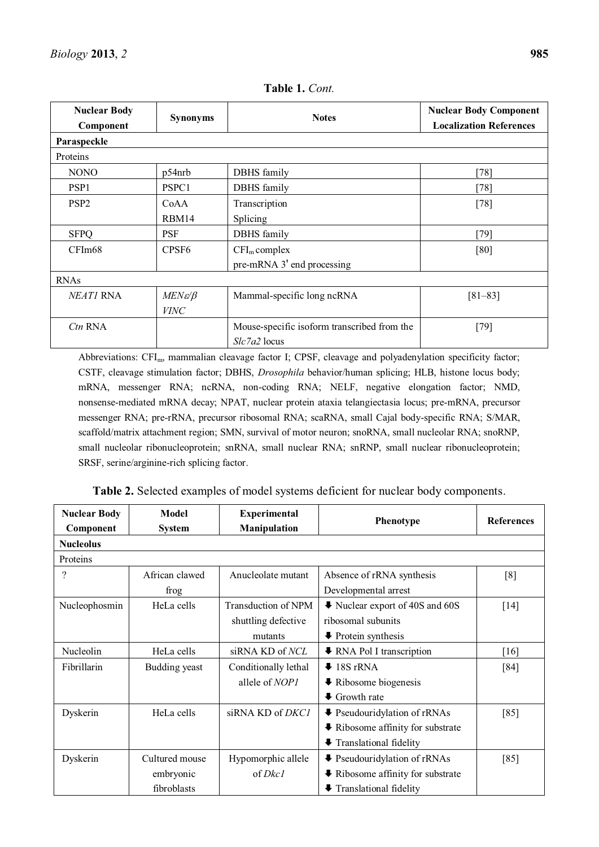| <b>Nuclear Body</b><br>Component | <b>Synonyms</b>        | <b>Notes</b>                                | <b>Nuclear Body Component</b><br><b>Localization References</b> |
|----------------------------------|------------------------|---------------------------------------------|-----------------------------------------------------------------|
| Paraspeckle                      |                        |                                             |                                                                 |
| Proteins                         |                        |                                             |                                                                 |
| <b>NONO</b>                      | p54nrb                 | <b>DBHS</b> family                          | $[78]$                                                          |
| PSP <sub>1</sub>                 | PSPC1                  | DBHS family                                 | $[78]$                                                          |
| PSP <sub>2</sub>                 | CoAA                   | Transcription                               | $[78]$                                                          |
|                                  | RBM14                  | Splicing                                    |                                                                 |
| <b>SFPQ</b>                      | <b>PSF</b>             | <b>DBHS</b> family                          | $[79]$                                                          |
| CFIm68                           | CPSF <sub>6</sub>      | $CFIm$ complex                              | [80]                                                            |
|                                  |                        | pre-mRNA 3' end processing                  |                                                                 |
| <b>RNAs</b>                      |                        |                                             |                                                                 |
| NEATI RNA                        | $MEN\varepsilon/\beta$ | Mammal-specific long ncRNA                  | $[81 - 83]$                                                     |
|                                  | <b>VINC</b>            |                                             |                                                                 |
| $Ctn$ RNA                        |                        | Mouse-specific isoform transcribed from the | $[79]$                                                          |
|                                  |                        | Slc7a2 locus                                |                                                                 |

**Table 1.** *Cont.* 

Abbreviations: CFI<sub>m</sub>, mammalian cleavage factor I; CPSF, cleavage and polyadenylation specificity factor; CSTF, cleavage stimulation factor; DBHS, *Drosophila* behavior/human splicing; HLB, histone locus body; mRNA, messenger RNA; ncRNA, non-coding RNA; NELF, negative elongation factor; NMD, nonsense-mediated mRNA decay; NPAT, nuclear protein ataxia telangiectasia locus; pre-mRNA, precursor messenger RNA; pre-rRNA, precursor ribosomal RNA; scaRNA, small Cajal body-specific RNA; S/MAR, scaffold/matrix attachment region; SMN, survival of motor neuron; snoRNA, small nucleolar RNA; snoRNP, small nucleolar ribonucleoprotein; snRNA, small nuclear RNA; snRNP, small nuclear ribonucleoprotein; SRSF, serine/arginine-rich splicing factor.

| <b>Nuclear Body</b><br>Component | <b>Model</b><br><b>System</b> | Experimental<br><b>Manipulation</b> | Phenotype                                             | <b>References</b> |
|----------------------------------|-------------------------------|-------------------------------------|-------------------------------------------------------|-------------------|
| <b>Nucleolus</b>                 |                               |                                     |                                                       |                   |
| Proteins                         |                               |                                     |                                                       |                   |
| ?                                | African clawed                | Anucleolate mutant                  | Absence of rRNA synthesis                             | [8]               |
|                                  | frog                          |                                     | Developmental arrest                                  |                   |
| Nucleophosmin                    | HeLa cells                    | Transduction of NPM                 | ↓ Nuclear export of 40S and 60S                       | $[14]$            |
|                                  |                               | shuttling defective                 | ribosomal subunits                                    |                   |
|                                  |                               | mutants                             | $\blacktriangleright$ Protein synthesis               |                   |
| Nucleolin                        | HeLa cells                    | siRNA KD of NCL                     | <b>↓</b> RNA Pol I transcription                      | [16]              |
| Fibrillarin                      | Budding yeast                 | Conditionally lethal                | $\blacktriangleright$ 18S rRNA                        | [84]              |
|                                  |                               | allele of NOP1                      | $\blacktriangleright$ Ribosome biogenesis             |                   |
|                                  |                               |                                     | $\bullet$ Growth rate                                 |                   |
| Dyskerin                         | HeLa cells                    | siRNA KD of DKC1                    | ♦ Pseudouridylation of rRNAs                          | [85]              |
|                                  |                               |                                     | $\blacktriangleright$ Ribosome affinity for substrate |                   |
|                                  |                               |                                     | Translational fidelity                                |                   |
| Dyskerin                         | Cultured mouse                | Hypomorphic allele                  | <b>↓</b> Pseudouridylation of rRNAs                   | [85]              |
|                                  | embryonic                     | of <i>Dkc1</i>                      | <b>↓</b> Ribosome affinity for substrate              |                   |
|                                  | fibroblasts                   |                                     | Translational fidelity                                |                   |

**Table 2.** Selected examples of model systems deficient for nuclear body components.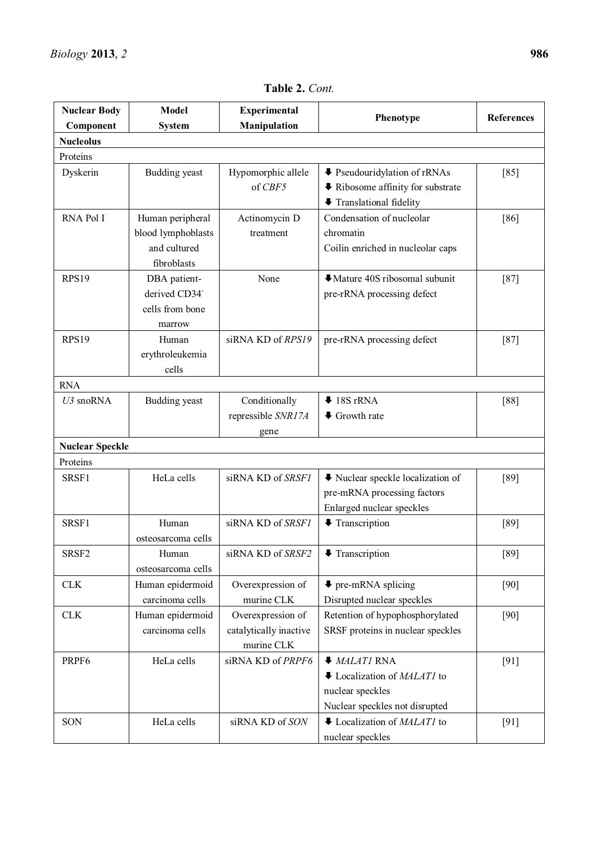| <b>Nuclear Body</b>    | <b>Model</b>                                                           | <b>Experimental</b>                                       | Phenotype                                                                                                              | References |
|------------------------|------------------------------------------------------------------------|-----------------------------------------------------------|------------------------------------------------------------------------------------------------------------------------|------------|
| Component              | <b>System</b>                                                          | Manipulation                                              |                                                                                                                        |            |
| <b>Nucleolus</b>       |                                                                        |                                                           |                                                                                                                        |            |
| Proteins               |                                                                        |                                                           |                                                                                                                        |            |
| Dyskerin               | <b>Budding</b> yeast                                                   | Hypomorphic allele<br>of CBF5                             | ♦ Pseudouridylation of rRNAs<br><b>↓</b> Ribosome affinity for substrate<br>Translational fidelity                     | [85]       |
| RNA Pol I              | Human peripheral<br>blood lymphoblasts<br>and cultured<br>fibroblasts  | Actinomycin D<br>treatment                                | Condensation of nucleolar<br>chromatin<br>Coilin enriched in nucleolar caps                                            | [86]       |
| <b>RPS19</b>           | DBA patient-<br>derived CD34 <sup>-</sup><br>cells from bone<br>marrow | None                                                      | Mature 40S ribosomal subunit<br>pre-rRNA processing defect                                                             | $[87]$     |
| <b>RPS19</b>           | Human<br>erythroleukemia<br>cells                                      | siRNA KD of RPS19                                         | pre-rRNA processing defect                                                                                             | $[87]$     |
| <b>RNA</b>             |                                                                        |                                                           |                                                                                                                        |            |
| U3 snoRNA              | Budding yeast                                                          | Conditionally<br>repressible SNR17A<br>gene               | $\blacktriangleright$ 18S rRNA<br>$\blacklozenge$ Growth rate                                                          | [88]       |
| <b>Nuclear Speckle</b> |                                                                        |                                                           |                                                                                                                        |            |
| Proteins               |                                                                        |                                                           |                                                                                                                        |            |
| SRSF1                  | HeLa cells                                                             | siRNA KD of SRSF1                                         | ↓ Nuclear speckle localization of<br>pre-mRNA processing factors<br>Enlarged nuclear speckles                          | [89]       |
| SRSF1                  | Human<br>osteosarcoma cells                                            | siRNA KD of SRSF1                                         | <b>↓</b> Transcription                                                                                                 | [89]       |
| SRSF <sub>2</sub>      | Human<br>osteosarcoma cells                                            | siRNA KD of SRSF2                                         | <b>↓</b> Transcription                                                                                                 | $[89]$     |
| <b>CLK</b>             | Human epidermoid<br>carcinoma cells                                    | Overexpression of<br>murine CLK                           | $\blacktriangleright$ pre-mRNA splicing<br>Disrupted nuclear speckles                                                  | $[90]$     |
| <b>CLK</b>             | Human epidermoid<br>carcinoma cells                                    | Overexpression of<br>catalytically inactive<br>murine CLK | Retention of hypophosphorylated<br>SRSF proteins in nuclear speckles                                                   | [90]       |
| PRPF <sub>6</sub>      | HeLa cells                                                             | siRNA KD of PRPF6                                         | $\blacklozenge$ MALATI RNA<br>↓ Localization of <i>MALAT1</i> to<br>nuclear speckles<br>Nuclear speckles not disrupted | [91]       |
| SON                    | HeLa cells                                                             | siRNA KD of SON                                           | $\bullet$ Localization of <i>MALAT1</i> to<br>nuclear speckles                                                         | [91]       |

**Table 2.** *Cont.*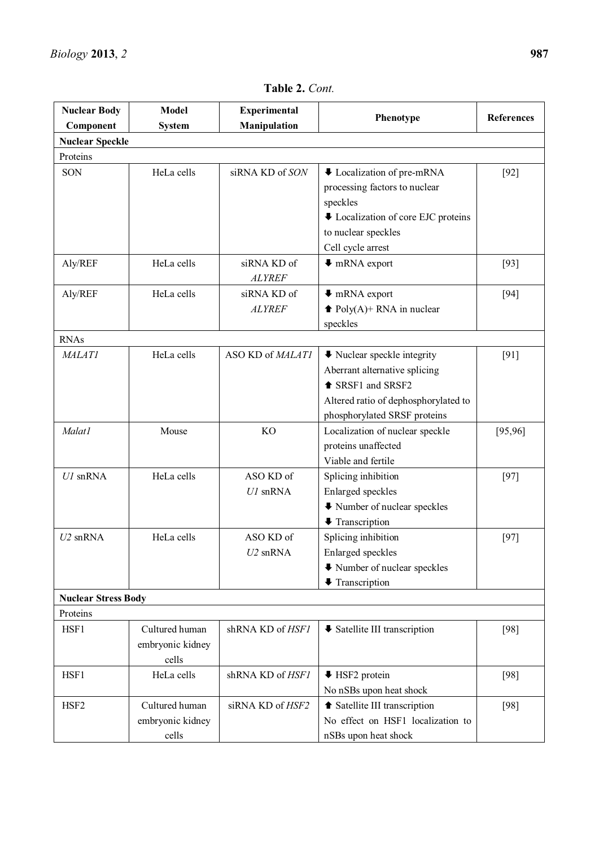| <b>Nuclear Body</b>        | <b>Model</b>     | <b>Experimental</b>     | Phenotype                                       | <b>References</b> |
|----------------------------|------------------|-------------------------|-------------------------------------------------|-------------------|
| Component                  | <b>System</b>    | <b>Manipulation</b>     |                                                 |                   |
| <b>Nuclear Speckle</b>     |                  |                         |                                                 |                   |
| Proteins                   |                  |                         |                                                 |                   |
| SON                        | HeLa cells       | siRNA KD of SON         | ↓ Localization of pre-mRNA                      | $[92]$            |
|                            |                  |                         | processing factors to nuclear                   |                   |
|                            |                  |                         | speckles                                        |                   |
|                            |                  |                         | ↓ Localization of core EJC proteins             |                   |
|                            |                  |                         | to nuclear speckles                             |                   |
|                            |                  |                         | Cell cycle arrest                               |                   |
| Aly/REF                    | HeLa cells       | siRNA KD of             | $\blacktriangleright$ mRNA export               | $[93]$            |
|                            |                  | <b>ALYREF</b>           |                                                 |                   |
| Aly/REF                    | HeLa cells       | siRNA KD of             | $\blacktriangleright$ mRNA export               | $[94]$            |
|                            |                  | <b>ALYREF</b>           | $\blacktriangleright$ Poly(A)+ RNA in nuclear   |                   |
|                            |                  |                         | speckles                                        |                   |
| <b>RNAs</b>                |                  |                         |                                                 |                   |
| <b>MALATI</b>              | HeLa cells       | ASO KD of MALATI        | $\blacktriangleright$ Nuclear speckle integrity | [91]              |
|                            |                  |                         | Aberrant alternative splicing                   |                   |
|                            |                  |                         | <sup>t</sup> SRSF1 and SRSF2                    |                   |
|                            |                  |                         | Altered ratio of dephosphorylated to            |                   |
|                            |                  |                         | phosphorylated SRSF proteins                    |                   |
| Malat1                     | Mouse            | <b>KO</b>               | Localization of nuclear speckle                 | [95, 96]          |
|                            |                  |                         | proteins unaffected                             |                   |
|                            |                  |                         | Viable and fertile                              |                   |
| $U1$ snRNA                 | HeLa cells       | ASO KD of               | Splicing inhibition                             | $[97]$            |
|                            |                  | $U1$ snRNA              | Enlarged speckles                               |                   |
|                            |                  |                         | ↓ Number of nuclear speckles                    |                   |
|                            |                  |                         | <b>↓</b> Transcription                          |                   |
| $U2$ snRNA                 | HeLa cells       | ASO KD of               | Splicing inhibition                             | $[97]$            |
|                            |                  | U <sub>2</sub> snRNA    | Enlarged speckles                               |                   |
|                            |                  |                         | ↓ Number of nuclear speckles                    |                   |
|                            |                  |                         | <b>↓</b> Transcription                          |                   |
| <b>Nuclear Stress Body</b> |                  |                         |                                                 |                   |
| Proteins                   |                  |                         |                                                 |                   |
| HSF1                       | Cultured human   | shRNA KD of <i>HSF1</i> | <b>↓ Satellite III transcription</b>            | [98]              |
|                            | embryonic kidney |                         |                                                 |                   |
|                            | cells            |                         |                                                 |                   |
| HSF1                       | HeLa cells       | shRNA KD of HSF1        | <b>↓ HSF2</b> protein                           | [98]              |
|                            |                  |                         | No nSBs upon heat shock                         |                   |
| HSF <sub>2</sub>           | Cultured human   | siRNA KD of HSF2        | Satellite III transcription                     | $[98]$            |
|                            | embryonic kidney |                         | No effect on HSF1 localization to               |                   |
|                            | cells            |                         | nSBs upon heat shock                            |                   |

**Table 2.** *Cont.*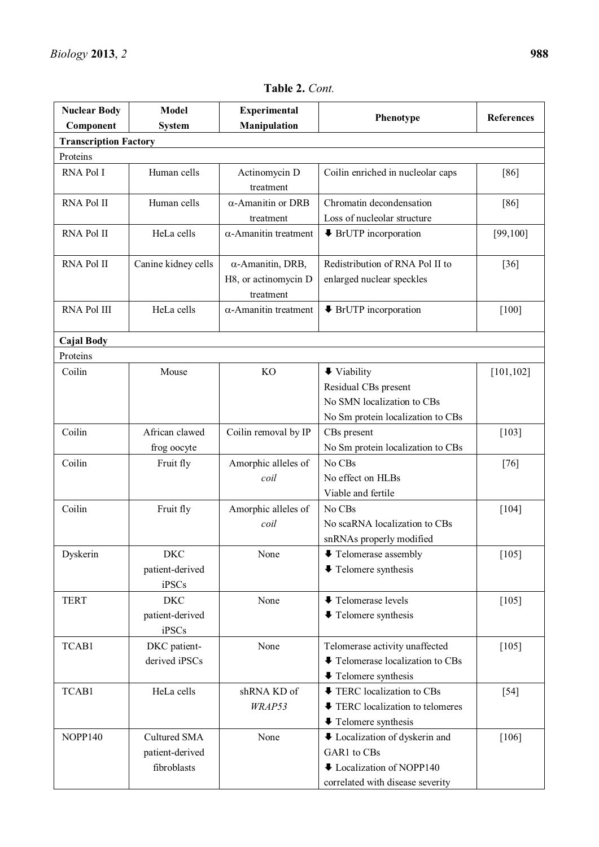| <b>Nuclear Body</b>          | <b>Model</b>             | <b>Experimental</b>               |                                           |                   |
|------------------------------|--------------------------|-----------------------------------|-------------------------------------------|-------------------|
| Component                    | <b>System</b>            | Manipulation                      | Phenotype                                 | <b>References</b> |
| <b>Transcription Factory</b> |                          |                                   |                                           |                   |
| Proteins                     |                          |                                   |                                           |                   |
| RNA Pol I                    | Human cells              | Actinomycin D<br>treatment        | Coilin enriched in nucleolar caps         | [86]              |
| RNA Pol II                   | Human cells              | $\alpha$ -Amanitin or DRB         | Chromatin decondensation                  | [86]              |
|                              |                          | treatment                         | Loss of nucleolar structure               |                   |
| RNA Pol II                   | HeLa cells               | $\alpha$ -Amanitin treatment      | $\blacktriangleright$ BrUTP incorporation | [99, 100]         |
| RNA Pol II                   | Canine kidney cells      | $\alpha$ -Amanitin, DRB,          | Redistribution of RNA Pol II to           | $[36]$            |
|                              |                          | H8, or actinomycin D<br>treatment | enlarged nuclear speckles                 |                   |
| RNA Pol III                  | HeLa cells               | $\alpha$ -Amanitin treatment      | $\blacktriangleright$ BrUTP incorporation | $[100]$           |
| <b>Cajal Body</b>            |                          |                                   |                                           |                   |
| Proteins                     |                          |                                   |                                           |                   |
| Coilin                       | Mouse                    | <b>KO</b>                         | $\blacktriangleright$ Viability           | [101, 102]        |
|                              |                          |                                   | Residual CBs present                      |                   |
|                              |                          |                                   | No SMN localization to CBs                |                   |
|                              |                          |                                   | No Sm protein localization to CBs         |                   |
| Coilin                       | African clawed           | Coilin removal by IP              | CBs present                               | [103]             |
|                              | frog oocyte              |                                   | No Sm protein localization to CBs         |                   |
| Coilin                       | Fruit fly                | Amorphic alleles of               | No CBs                                    | $[76]$            |
|                              |                          | coil                              | No effect on HLBs                         |                   |
|                              |                          |                                   | Viable and fertile                        |                   |
| Coilin                       | Fruit fly                | Amorphic alleles of               | No CBs                                    | $[104]$           |
|                              |                          | coil                              | No scaRNA localization to CBs             |                   |
|                              |                          |                                   | snRNAs properly modified                  |                   |
| Dyskerin                     | <b>DKC</b>               | None                              | ↓ Telomerase assembly                     | $[105]$           |
|                              | patient-derived<br>iPSCs |                                   | $\blacktriangleright$ Telomere synthesis  |                   |
| <b>TERT</b>                  | <b>DKC</b>               | None                              | <b>↓ Telomerase levels</b>                | $[105]$           |
|                              | patient-derived<br>iPSCs |                                   | $\blacktriangleright$ Telomere synthesis  |                   |
| TCAB1                        | DKC patient-             | None                              | Telomerase activity unaffected            | $[105]$           |
|                              | derived iPSCs            |                                   | ↓ Telomerase localization to CBs          |                   |
|                              |                          |                                   | $\blacktriangleright$ Telomere synthesis  |                   |
| TCAB1                        | HeLa cells               | shRNA KD of                       | TERC localization to CBs                  | $[54]$            |
|                              |                          | WRAP53                            | TERC localization to telomeres            |                   |
|                              |                          |                                   | $\blacktriangleright$ Telomere synthesis  |                   |
| NOPP140                      | Cultured SMA             | None                              | ↓ Localization of dyskerin and            | $[106]$           |
|                              | patient-derived          |                                   | GAR1 to CBs                               |                   |
|                              | fibroblasts              |                                   | ULocalization of NOPP140                  |                   |
|                              |                          |                                   | correlated with disease severity          |                   |

**Table 2.** *Cont.*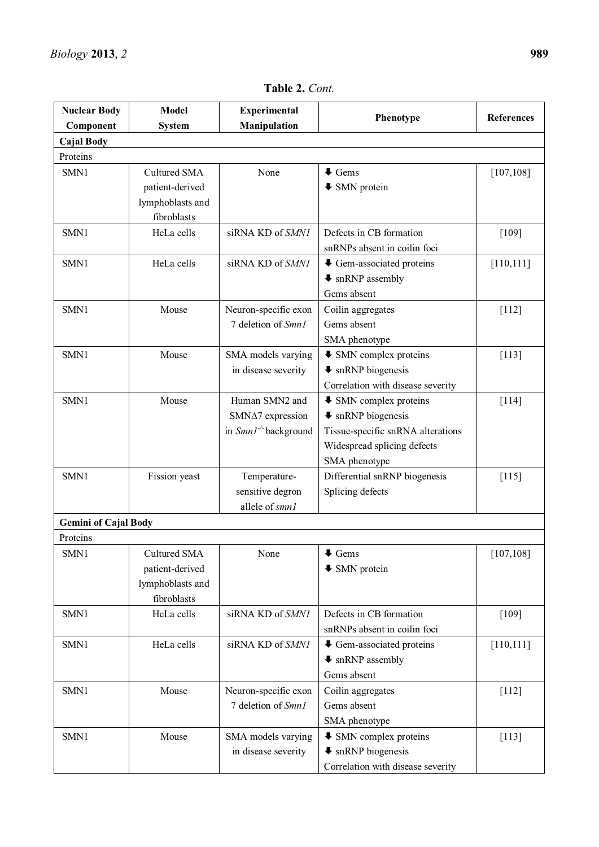| <b>Nuclear Body</b>         | <b>Model</b>        | <b>Experimental</b>        |                                            |                   |
|-----------------------------|---------------------|----------------------------|--------------------------------------------|-------------------|
| Component                   | <b>System</b>       | Manipulation               | Phenotype                                  | <b>References</b> |
| <b>Cajal Body</b>           |                     |                            |                                            |                   |
| Proteins                    |                     |                            |                                            |                   |
| SMN1                        | <b>Cultured SMA</b> | None                       | $\blacklozenge$ Gems                       | [107, 108]        |
|                             | patient-derived     |                            | $\blacktriangleright$ SMN protein          |                   |
|                             | lymphoblasts and    |                            |                                            |                   |
|                             | fibroblasts         |                            |                                            |                   |
| SMN1                        | HeLa cells          | siRNA KD of SMN1           | Defects in CB formation                    | [109]             |
|                             |                     |                            | snRNPs absent in coilin foci               |                   |
| SMN1                        | HeLa cells          | siRNA KD of SMN1           | ↓ Gem-associated proteins                  | [110, 111]        |
|                             |                     |                            | $\blacklozenge$ snRNP assembly             |                   |
|                             |                     |                            | Gems absent                                |                   |
| SMN1                        | Mouse               | Neuron-specific exon       | Coilin aggregates                          | $[112]$           |
|                             |                     | 7 deletion of Smn1         | Gems absent                                |                   |
|                             |                     |                            | SMA phenotype                              |                   |
| SMN1                        | Mouse               | SMA models varying         | <b>↓ SMN complex proteins</b>              | [113]             |
|                             |                     | in disease severity        | $\bullet$ snRNP biogenesis                 |                   |
|                             |                     |                            | Correlation with disease severity          |                   |
| SMN1                        | Mouse               | Human SMN2 and             | $\blacktriangleright$ SMN complex proteins | $[114]$           |
|                             |                     | SMN∆7 expression           | $\bullet$ snRNP biogenesis                 |                   |
|                             |                     | in $SmnI^{-/-}$ background | Tissue-specific snRNA alterations          |                   |
|                             |                     |                            | Widespread splicing defects                |                   |
|                             |                     |                            | SMA phenotype                              |                   |
| SMN1                        | Fission yeast       | Temperature-               | Differential snRNP biogenesis              | $[115]$           |
|                             |                     | sensitive degron           | Splicing defects                           |                   |
|                             |                     | allele of smn1             |                                            |                   |
| <b>Gemini of Cajal Body</b> |                     |                            |                                            |                   |
| Proteins                    |                     |                            |                                            |                   |
| SMN1                        | Cultured SMA        | None                       | $\blacklozenge$ Gems                       | [107, 108]        |
|                             | patient-derived     |                            | $\blacktriangleright$ SMN protein          |                   |
|                             | lymphoblasts and    |                            |                                            |                   |
|                             | fibroblasts         |                            |                                            |                   |
| SMN1                        | HeLa cells          | siRNA KD of SMN1           | Defects in CB formation                    | [109]             |
|                             |                     |                            | snRNPs absent in coilin foci               |                   |
| SMN1                        | HeLa cells          | siRNA KD of SMN1           | ↓ Gem-associated proteins                  | [110, 111]        |
|                             |                     |                            | $\blacklozenge$ snRNP assembly             |                   |
|                             |                     |                            | Gems absent                                |                   |
| SMN1                        | Mouse               | Neuron-specific exon       | Coilin aggregates                          | $[112]$           |
|                             |                     | 7 deletion of Smn1         | Gems absent                                |                   |
|                             |                     |                            | SMA phenotype                              |                   |
| SMN1                        | Mouse               | SMA models varying         | $\blacktriangleright$ SMN complex proteins | [113]             |
|                             |                     | in disease severity        | $\bullet$ snRNP biogenesis                 |                   |
|                             |                     |                            | Correlation with disease severity          |                   |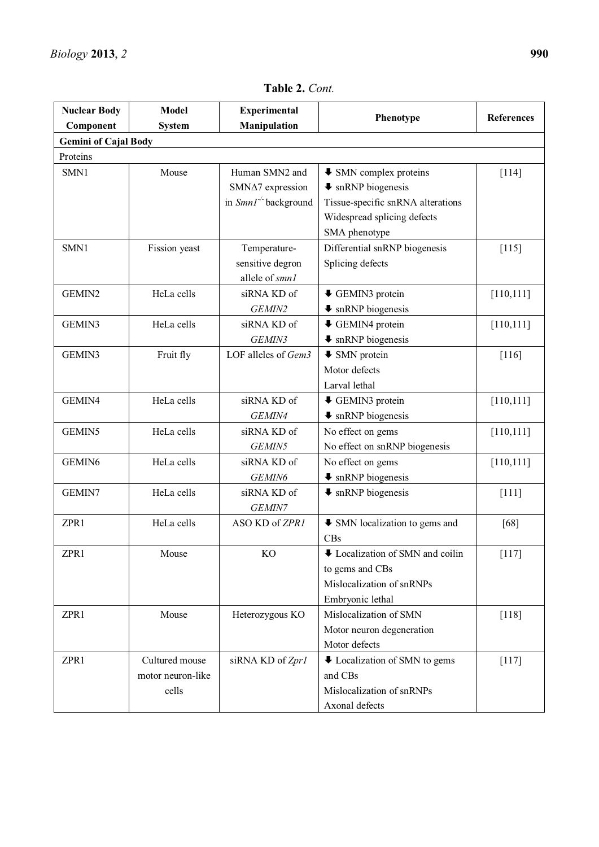| <b>Nuclear Body</b>         | <b>Model</b>      | <b>Experimental</b>               |                                                   |                   |
|-----------------------------|-------------------|-----------------------------------|---------------------------------------------------|-------------------|
| Component                   | <b>System</b>     | Manipulation                      | Phenotype                                         | <b>References</b> |
| <b>Gemini of Cajal Body</b> |                   |                                   |                                                   |                   |
| Proteins                    |                   |                                   |                                                   |                   |
| SMN1                        | Mouse             | Human SMN2 and                    | $\blacktriangleright$ SMN complex proteins        | $[114]$           |
|                             |                   | SMN $\Delta$ 7 expression         | $\bullet$ snRNP biogenesis                        |                   |
|                             |                   | in Smn1 <sup>-/-</sup> background | Tissue-specific snRNA alterations                 |                   |
|                             |                   |                                   | Widespread splicing defects                       |                   |
|                             |                   |                                   | SMA phenotype                                     |                   |
| SMN1                        | Fission yeast     | Temperature-                      | Differential snRNP biogenesis                     | $[115]$           |
|                             |                   | sensitive degron                  | Splicing defects                                  |                   |
|                             |                   | allele of smn1                    |                                                   |                   |
| GEMIN2                      | HeLa cells        | siRNA KD of                       | ↓ GEMIN3 protein                                  | [110, 111]        |
|                             |                   | GEMIN2                            | <b>↓</b> snRNP biogenesis                         |                   |
| GEMIN3                      | HeLa cells        | siRNA KD of                       | ↓ GEMIN4 protein                                  | [110, 111]        |
|                             |                   | GEMIN3                            | $\blacktriangleright$ snRNP biogenesis            |                   |
| GEMIN3                      | Fruit fly         | LOF alleles of Gem3               | $\blacklozenge$ SMN protein                       | $[116]$           |
|                             |                   |                                   | Motor defects                                     |                   |
|                             |                   |                                   | Larval lethal                                     |                   |
| GEMIN4                      | HeLa cells        | siRNA KD of                       | ↓ GEMIN3 protein                                  | [110, 111]        |
|                             |                   | GEMIN4                            | $\bullet$ snRNP biogenesis                        |                   |
| GEMIN5                      | HeLa cells        | siRNA KD of                       | No effect on gems                                 | [110, 111]        |
|                             |                   | GEMIN5                            | No effect on snRNP biogenesis                     |                   |
| GEMIN6                      | HeLa cells        | siRNA KD of                       | No effect on gems                                 | [110, 111]        |
|                             |                   | GEMIN6                            | <b>↓</b> snRNP biogenesis                         |                   |
| GEMIN7                      | HeLa cells        | siRNA KD of                       | $\bullet$ snRNP biogenesis                        | $[111]$           |
|                             |                   | GEMIN7                            |                                                   |                   |
| ZPR1                        | HeLa cells        | ASO KD of ZPR1                    | • SMN localization to gems and                    | [68]              |
|                             |                   |                                   | CBs                                               |                   |
| ZPR1                        | Mouse             | KO                                | U Localization of SMN and coilin                  | $[117]$           |
|                             |                   |                                   | to gems and CBs                                   |                   |
|                             |                   |                                   | Mislocalization of snRNPs                         |                   |
|                             |                   |                                   | Embryonic lethal                                  |                   |
| ZPR1                        | Mouse             | Heterozygous KO                   | Mislocalization of SMN                            | $[118]$           |
|                             |                   |                                   | Motor neuron degeneration                         |                   |
|                             |                   |                                   | Motor defects                                     |                   |
| ZPR1                        | Cultured mouse    | siRNA KD of Zpr1                  | $\blacktriangleright$ Localization of SMN to gems | $[117]$           |
|                             | motor neuron-like |                                   | and CBs                                           |                   |
|                             | cells             |                                   | Mislocalization of snRNPs                         |                   |
|                             |                   |                                   | Axonal defects                                    |                   |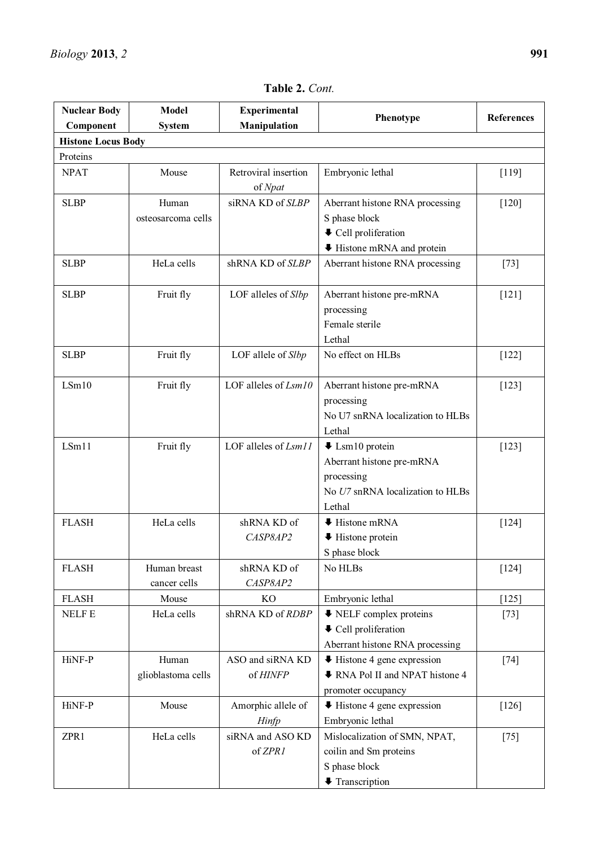| <b>Nuclear Body</b>       | <b>Model</b>       | Experimental                    |                                                 | <b>References</b> |  |
|---------------------------|--------------------|---------------------------------|-------------------------------------------------|-------------------|--|
| Component                 | <b>System</b>      | <b>Manipulation</b>             | Phenotype                                       |                   |  |
| <b>Histone Locus Body</b> |                    |                                 |                                                 |                   |  |
| Proteins                  |                    |                                 |                                                 |                   |  |
| <b>NPAT</b>               | Mouse              | Retroviral insertion<br>of Npat | Embryonic lethal                                | [119]             |  |
| <b>SLBP</b>               | Human              | siRNA KD of SLBP                | Aberrant histone RNA processing                 | $[120]$           |  |
|                           | osteosarcoma cells |                                 | S phase block                                   |                   |  |
|                           |                    |                                 | ↓ Cell proliferation                            |                   |  |
|                           |                    |                                 | Histone mRNA and protein                        |                   |  |
| <b>SLBP</b>               | HeLa cells         | shRNA KD of SLBP                | Aberrant histone RNA processing                 | $[73]$            |  |
| <b>SLBP</b>               | Fruit fly          | LOF alleles of Slbp             | Aberrant histone pre-mRNA                       | $[121]$           |  |
|                           |                    |                                 | processing                                      |                   |  |
|                           |                    |                                 | Female sterile                                  |                   |  |
|                           |                    |                                 | Lethal                                          |                   |  |
| <b>SLBP</b>               | Fruit fly          | LOF allele of Slbp              | No effect on HLBs                               | $[122]$           |  |
| LSm10                     | Fruit fly          | LOF alleles of $Lsm10$          | Aberrant histone pre-mRNA                       | $[123]$           |  |
|                           |                    |                                 | processing                                      |                   |  |
|                           |                    |                                 | No U7 snRNA localization to HLBs                |                   |  |
|                           |                    |                                 | Lethal                                          |                   |  |
| LSm11                     | Fruit fly          | LOF alleles of Lsm11            | $\blacktriangleright$ Lsm10 protein             | $[123]$           |  |
|                           |                    |                                 | Aberrant histone pre-mRNA                       |                   |  |
|                           |                    |                                 | processing                                      |                   |  |
|                           |                    |                                 | No U7 snRNA localization to HLBs                |                   |  |
| <b>FLASH</b>              | HeLa cells         | shRNA KD of                     | Lethal<br><b>↓ Histone mRNA</b>                 | $[124]$           |  |
|                           |                    | CASP8AP2                        | $\blacktriangleright$ Histone protein           |                   |  |
|                           |                    |                                 | S phase block                                   |                   |  |
| <b>FLASH</b>              | Human breast       | shRNA KD of                     | No HLBs                                         | $[124]$           |  |
|                           | cancer cells       | CASP8AP2                        |                                                 |                   |  |
| <b>FLASH</b>              | Mouse              | <b>KO</b>                       | Embryonic lethal                                | $[125]$           |  |
| <b>NELFE</b>              | HeLa cells         | shRNA KD of RDBP                | ♦ NELF complex proteins                         | $[73]$            |  |
|                           |                    |                                 | ↓ Cell proliferation                            |                   |  |
|                           |                    |                                 | Aberrant histone RNA processing                 |                   |  |
| HiNF-P                    | Human              | ASO and siRNA KD                | $\blacktriangleright$ Histone 4 gene expression | $[74]$            |  |
|                           | glioblastoma cells | of HINFP                        | RNA Pol II and NPAT histone 4                   |                   |  |
|                           |                    |                                 | promoter occupancy                              |                   |  |
| HiNF-P                    | Mouse              | Amorphic allele of              | $\blacktriangleright$ Histone 4 gene expression | $[126]$           |  |
|                           |                    | Hinfp                           | Embryonic lethal                                |                   |  |
| ZPR1                      | HeLa cells         | siRNA and ASO KD                | Mislocalization of SMN, NPAT,                   | $[75]$            |  |
|                           |                    | of ZPR1                         | coilin and Sm proteins                          |                   |  |
|                           |                    |                                 | S phase block                                   |                   |  |
|                           |                    |                                 | <b>↓</b> Transcription                          |                   |  |

**Table 2.** *Cont.*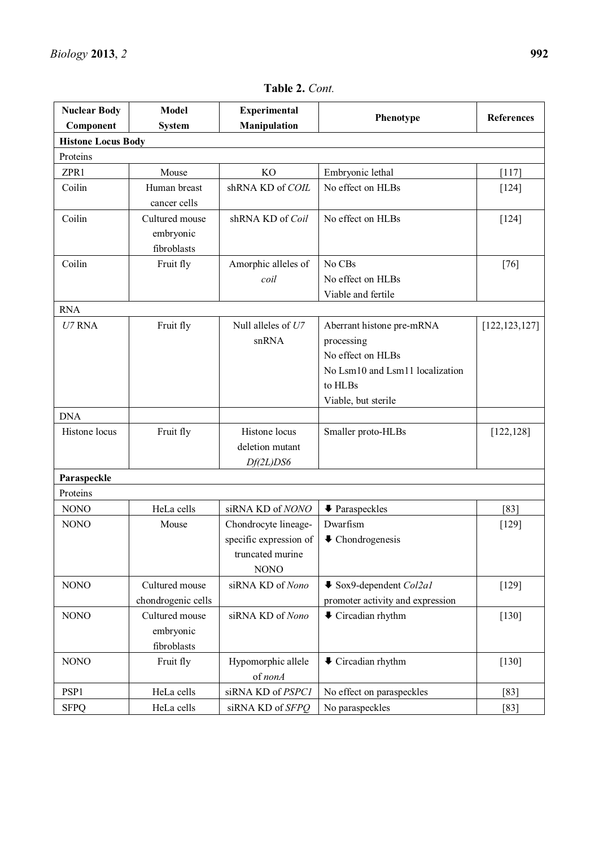| <b>Nuclear Body</b>       | <b>Model</b>                               | <b>Experimental</b>                                                               |                                                                                                                                   | <b>References</b> |  |  |  |
|---------------------------|--------------------------------------------|-----------------------------------------------------------------------------------|-----------------------------------------------------------------------------------------------------------------------------------|-------------------|--|--|--|
| Component                 | <b>System</b>                              | Manipulation                                                                      | Phenotype                                                                                                                         |                   |  |  |  |
| <b>Histone Locus Body</b> |                                            |                                                                                   |                                                                                                                                   |                   |  |  |  |
| Proteins                  |                                            |                                                                                   |                                                                                                                                   |                   |  |  |  |
| ZPR1                      | Mouse                                      | <b>KO</b>                                                                         | Embryonic lethal                                                                                                                  | $[117]$           |  |  |  |
| Coilin                    | Human breast<br>cancer cells               | shRNA KD of COIL                                                                  | No effect on HLBs                                                                                                                 | $[124]$           |  |  |  |
| Coilin                    | Cultured mouse<br>embryonic<br>fibroblasts | shRNA KD of Coil                                                                  | No effect on HLBs                                                                                                                 | $[124]$           |  |  |  |
| Coilin                    | Fruit fly                                  | Amorphic alleles of<br>coil                                                       | No CBs<br>No effect on HLBs<br>Viable and fertile                                                                                 | $[76]$            |  |  |  |
| <b>RNA</b>                |                                            |                                                                                   |                                                                                                                                   |                   |  |  |  |
| $U7$ RNA                  | Fruit fly                                  | Null alleles of U7<br>snRNA                                                       | Aberrant histone pre-mRNA<br>processing<br>No effect on HLBs<br>No Lsm10 and Lsm11 localization<br>to HLBs<br>Viable, but sterile | [122, 123, 127]   |  |  |  |
| <b>DNA</b>                |                                            |                                                                                   |                                                                                                                                   |                   |  |  |  |
| Histone locus             | Fruit fly                                  | Histone locus<br>deletion mutant<br>Df(2L)DS6                                     | Smaller proto-HLBs                                                                                                                | [122, 128]        |  |  |  |
| Paraspeckle               |                                            |                                                                                   |                                                                                                                                   |                   |  |  |  |
| Proteins                  |                                            |                                                                                   |                                                                                                                                   |                   |  |  |  |
| <b>NONO</b>               | HeLa cells                                 | siRNA KD of NONO                                                                  | <b>↓</b> Paraspeckles                                                                                                             | [83]              |  |  |  |
| <b>NONO</b>               | Mouse                                      | Chondrocyte lineage-<br>specific expression of<br>truncated murine<br><b>NONO</b> | Dwarfism<br>$\blacklozenge$ Chondrogenesis                                                                                        | $[129]$           |  |  |  |
| <b>NONO</b>               | Cultured mouse<br>chondrogenic cells       | siRNA KD of Nono                                                                  | $\bullet$ Sox9-dependent Col2al<br>promoter activity and expression                                                               | $[129]$           |  |  |  |
| <b>NONO</b>               | Cultured mouse<br>embryonic<br>fibroblasts | siRNA KD of Nono                                                                  | $\blacklozenge$ Circadian rhythm                                                                                                  | $[130]$           |  |  |  |
| <b>NONO</b>               | Fruit fly                                  | Hypomorphic allele<br>of nonA                                                     | $\blacktriangleright$ Circadian rhythm                                                                                            | $[130]$           |  |  |  |
| PSP1                      | HeLa cells                                 | siRNA KD of PSPC1                                                                 | No effect on paraspeckles                                                                                                         | [83]              |  |  |  |
| <b>SFPQ</b>               | HeLa cells                                 | siRNA KD of SFPQ                                                                  | No paraspeckles                                                                                                                   | [83]              |  |  |  |

**Table 2.** *Cont.*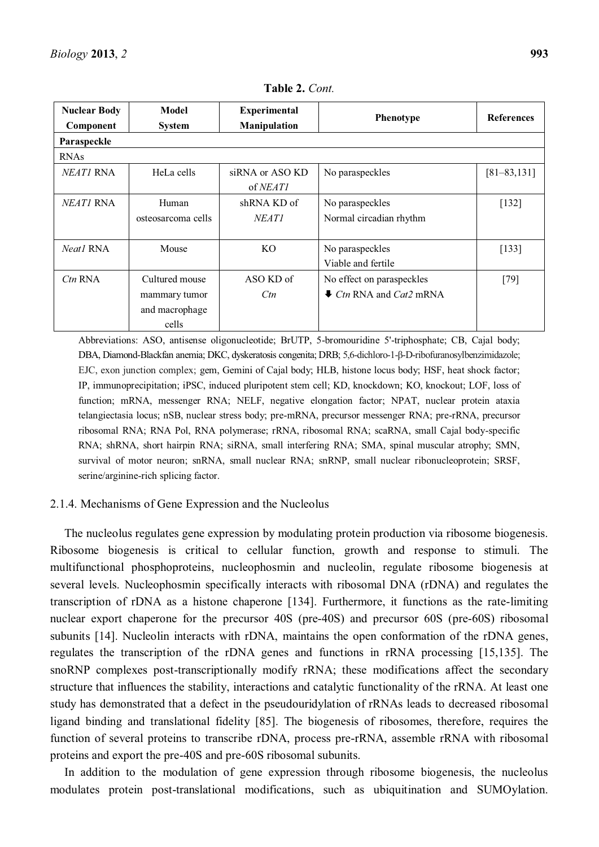| Model<br><b>Nuclear Body</b> |                    | <b>Experimental</b> | Phenotype                       | <b>References</b> |
|------------------------------|--------------------|---------------------|---------------------------------|-------------------|
| Component                    | <b>System</b>      | Manipulation        |                                 |                   |
| Paraspeckle                  |                    |                     |                                 |                   |
| <b>RNAs</b>                  |                    |                     |                                 |                   |
| <i>NEATI</i> RNA             | HeLa cells         | siRNA or ASO KD     | No paraspeckles                 | $[81 - 83, 131]$  |
|                              |                    | of <i>NEAT1</i>     |                                 |                   |
| <i>NEATI</i> RNA             | Human              | shRNA KD of         | No paraspeckles                 | $[132]$           |
|                              | osteosarcoma cells | <b>NEATI</b>        | Normal circadian rhythm         |                   |
|                              |                    |                     |                                 |                   |
| Neat1 RNA                    | Mouse              | KO.                 | No paraspeckles                 | [133]             |
|                              |                    |                     | Viable and fertile              |                   |
| $Ctn$ RNA                    | Cultured mouse     | ASO KD of           | No effect on paraspeckles       | $[79]$            |
|                              | mammary tumor      | Ctn                 | $\bullet$ Ctn RNA and Cat2 mRNA |                   |
|                              | and macrophage     |                     |                                 |                   |
|                              | cells              |                     |                                 |                   |

**Table 2.** *Cont.* 

Abbreviations: ASO, antisense oligonucleotide; BrUTP, 5-bromouridine 5'-triphosphate; CB, Cajal body; DBA, Diamond-Blackfan anemia; DKC, dyskeratosis congenita; DRB; 5,6-dichloro-1- $\beta$ -D-ribofuranosylbenzimidazole; EJC, exon junction complex; gem, Gemini of Cajal body; HLB, histone locus body; HSF, heat shock factor; IP, immunoprecipitation; iPSC, induced pluripotent stem cell; KD, knockdown; KO, knockout; LOF, loss of function; mRNA, messenger RNA; NELF, negative elongation factor; NPAT, nuclear protein ataxia telangiectasia locus; nSB, nuclear stress body; pre-mRNA, precursor messenger RNA; pre-rRNA, precursor ribosomal RNA; RNA Pol, RNA polymerase; rRNA, ribosomal RNA; scaRNA, small Cajal body-specific RNA; shRNA, short hairpin RNA; siRNA, small interfering RNA; SMA, spinal muscular atrophy; SMN, survival of motor neuron; snRNA, small nuclear RNA; snRNP, small nuclear ribonucleoprotein; SRSF, serine/arginine-rich splicing factor.

### 2.1.4. Mechanisms of Gene Expression and the Nucleolus

The nucleolus regulates gene expression by modulating protein production via ribosome biogenesis. Ribosome biogenesis is critical to cellular function, growth and response to stimuli. The multifunctional phosphoproteins, nucleophosmin and nucleolin, regulate ribosome biogenesis at several levels. Nucleophosmin specifically interacts with ribosomal DNA (rDNA) and regulates the transcription of rDNA as a histone chaperone [134]. Furthermore, it functions as the rate-limiting nuclear export chaperone for the precursor 40S (pre-40S) and precursor 60S (pre-60S) ribosomal subunits [14]. Nucleolin interacts with rDNA, maintains the open conformation of the rDNA genes, regulates the transcription of the rDNA genes and functions in rRNA processing [15,135]. The snoRNP complexes post-transcriptionally modify rRNA; these modifications affect the secondary structure that influences the stability, interactions and catalytic functionality of the rRNA. At least one study has demonstrated that a defect in the pseudouridylation of rRNAs leads to decreased ribosomal ligand binding and translational fidelity [85]. The biogenesis of ribosomes, therefore, requires the function of several proteins to transcribe rDNA, process pre-rRNA, assemble rRNA with ribosomal proteins and export the pre-40S and pre-60S ribosomal subunits.

In addition to the modulation of gene expression through ribosome biogenesis, the nucleolus modulates protein post-translational modifications, such as ubiquitination and SUMOylation.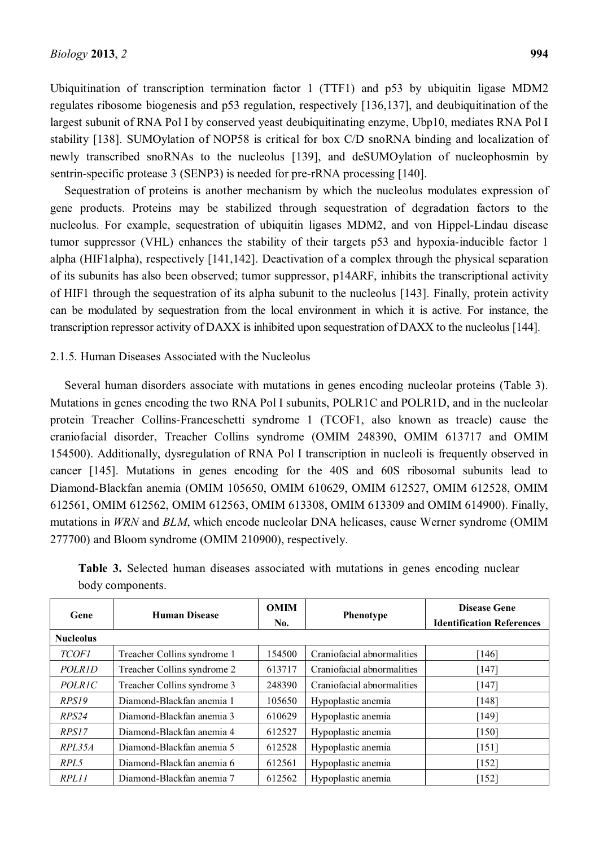Ubiquitination of transcription termination factor 1 (TTF1) and p53 by ubiquitin ligase MDM2 regulates ribosome biogenesis and p53 regulation, respectively [136,137], and deubiquitination of the largest subunit of RNA Pol I by conserved yeast deubiquitinating enzyme, Ubp10, mediates RNA Pol I stability [138]. SUMOylation of NOP58 is critical for box C/D snoRNA binding and localization of newly transcribed snoRNAs to the nucleolus [139], and deSUMOylation of nucleophosmin by sentrin-specific protease 3 (SENP3) is needed for pre-rRNA processing [140].

Sequestration of proteins is another mechanism by which the nucleolus modulates expression of gene products. Proteins may be stabilized through sequestration of degradation factors to the nucleolus. For example, sequestration of ubiquitin ligases MDM2, and von Hippel-Lindau disease tumor suppressor (VHL) enhances the stability of their targets p53 and hypoxia-inducible factor 1 alpha (HIF1alpha), respectively [141,142]. Deactivation of a complex through the physical separation of its subunits has also been observed; tumor suppressor, p14ARF, inhibits the transcriptional activity of HIF1 through the sequestration of its alpha subunit to the nucleolus [143]. Finally, protein activity can be modulated by sequestration from the local environment in which it is active. For instance, the transcription repressor activity of DAXX is inhibited upon sequestration of DAXX to the nucleolus [144].

# 2.1.5. Human Diseases Associated with the Nucleolus

Several human disorders associate with mutations in genes encoding nucleolar proteins (Table 3). Mutations in genes encoding the two RNA Pol I subunits, POLR1C and POLR1D, and in the nucleolar protein Treacher Collins-Franceschetti syndrome 1 (TCOF1, also known as treacle) cause the craniofacial disorder, Treacher Collins syndrome (OMIM 248390, OMIM 613717 and OMIM 154500). Additionally, dysregulation of RNA Pol I transcription in nucleoli is frequently observed in cancer [145]. Mutations in genes encoding for the 40S and 60S ribosomal subunits lead to Diamond-Blackfan anemia (OMIM 105650, OMIM 610629, OMIM 612527, OMIM 612528, OMIM 612561, OMIM 612562, OMIM 612563, OMIM 613308, OMIM 613309 and OMIM 614900). Finally, mutations in *WRN* and *BLM*, which encode nucleolar DNA helicases, cause Werner syndrome (OMIM 277700) and Bloom syndrome (OMIM 210900), respectively.

| Gene                | <b>Human Disease</b>        | <b>OMIM</b><br>No. | Phenotype                  | Disease Gene<br><b>Identification References</b> |  |
|---------------------|-----------------------------|--------------------|----------------------------|--------------------------------------------------|--|
| <b>Nucleolus</b>    |                             |                    |                            |                                                  |  |
| <b>TCOF1</b>        | Treacher Collins syndrome 1 | 154500             | Craniofacial abnormalities | [146]                                            |  |
| POLR <sub>1</sub> D | Treacher Collins syndrome 2 | 613717             | Craniofacial abnormalities | [147]                                            |  |
| <b>POLR1C</b>       | Treacher Collins syndrome 3 | 248390             | Craniofacial abnormalities | [147]                                            |  |
| RPS19               | Diamond-Blackfan anemia 1   | 105650             | Hypoplastic anemia         | [148]                                            |  |
| RPS24               | Diamond-Blackfan anemia 3   | 610629             | Hypoplastic anemia         | $[149]$                                          |  |
| RPS17               | Diamond-Blackfan anemia 4   | 612527             | Hypoplastic anemia         | $[150]$                                          |  |
| RPL35A              | Diamond-Blackfan anemia 5   | 612528             | Hypoplastic anemia         | [151]                                            |  |
| RPL5                | Diamond-Blackfan anemia 6   | 612561             | Hypoplastic anemia         | [152]                                            |  |
| RPL11               | Diamond-Blackfan anemia 7   | 612562             | Hypoplastic anemia         | [152]                                            |  |

**Table 3.** Selected human diseases associated with mutations in genes encoding nuclear body components.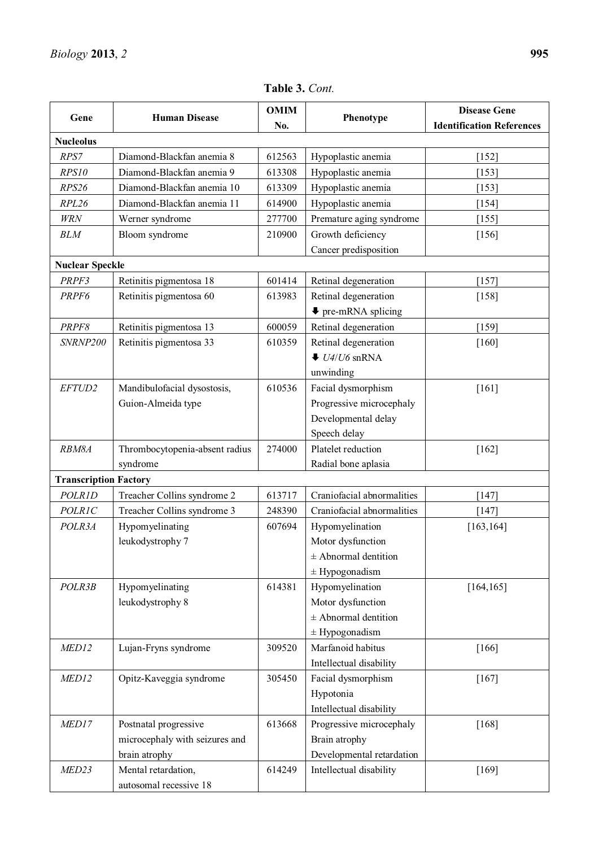| Gene                         | <b>Human Disease</b>           | <b>OMIM</b><br>No. | Phenotype                               | <b>Disease Gene</b><br><b>Identification References</b> |
|------------------------------|--------------------------------|--------------------|-----------------------------------------|---------------------------------------------------------|
| <b>Nucleolus</b>             |                                |                    |                                         |                                                         |
| RPS7                         | Diamond-Blackfan anemia 8      | 612563             | Hypoplastic anemia                      | $[152]$                                                 |
| RPS10                        | Diamond-Blackfan anemia 9      | 613308             | Hypoplastic anemia                      | [153]                                                   |
| RPS26                        | Diamond-Blackfan anemia 10     | 613309             | Hypoplastic anemia                      | [153]                                                   |
| RPL26                        | Diamond-Blackfan anemia 11     | 614900             | Hypoplastic anemia                      | $[154]$                                                 |
| <b>WRN</b>                   | Werner syndrome                | 277700             | Premature aging syndrome                | $[155]$                                                 |
| <b>BLM</b>                   | Bloom syndrome                 | 210900             | Growth deficiency                       | $[156]$                                                 |
|                              |                                |                    | Cancer predisposition                   |                                                         |
| <b>Nuclear Speckle</b>       |                                |                    |                                         |                                                         |
| PRPF3                        | Retinitis pigmentosa 18        | 601414             | Retinal degeneration                    | $[157]$                                                 |
| PRPF6                        | Retinitis pigmentosa 60        | 613983             | Retinal degeneration                    | $[158]$                                                 |
|                              |                                |                    | $\blacktriangleright$ pre-mRNA splicing |                                                         |
| PRPF8                        | Retinitis pigmentosa 13        | 600059             | Retinal degeneration                    | $[159]$                                                 |
| SNRNP200                     | Retinitis pigmentosa 33        | 610359             | Retinal degeneration                    | $[160]$                                                 |
|                              |                                |                    | $\bullet$ U4/U6 snRNA                   |                                                         |
|                              |                                |                    | unwinding                               |                                                         |
| EFTUD2                       | Mandibulofacial dysostosis,    | 610536             | Facial dysmorphism                      | $[161]$                                                 |
|                              | Guion-Almeida type             |                    | Progressive microcephaly                |                                                         |
|                              |                                |                    | Developmental delay                     |                                                         |
|                              |                                |                    | Speech delay                            |                                                         |
| RBM8A                        | Thrombocytopenia-absent radius | 274000             | Platelet reduction                      | $[162]$                                                 |
|                              | syndrome                       |                    | Radial bone aplasia                     |                                                         |
| <b>Transcription Factory</b> |                                |                    |                                         |                                                         |
| POLR1D                       | Treacher Collins syndrome 2    | 613717             | Craniofacial abnormalities              | $[147]$                                                 |
| <b>POLR1C</b>                | Treacher Collins syndrome 3    | 248390             | Craniofacial abnormalities              | $[147]$                                                 |
| POLR3A                       | Hypomyelinating                | 607694             | Hypomyelination                         | [163, 164]                                              |
|                              | leukodystrophy 7               |                    | Motor dysfunction                       |                                                         |
|                              |                                |                    | $±$ Abnormal dentition                  |                                                         |
|                              |                                |                    | $\pm$ Hypogonadism                      |                                                         |
| POLR3B                       | Hypomyelinating                | 614381             | Hypomyelination                         | [164, 165]                                              |
|                              | leukodystrophy 8               |                    | Motor dysfunction                       |                                                         |
|                              |                                |                    | $±$ Abnormal dentition                  |                                                         |
|                              |                                |                    | $±$ Hypogonadism                        |                                                         |
| MED12                        | Lujan-Fryns syndrome           | 309520             | Marfanoid habitus                       | $[166]$                                                 |
|                              |                                |                    | Intellectual disability                 |                                                         |
| MED12                        | Opitz-Kaveggia syndrome        | 305450             | Facial dysmorphism                      | $[167]$                                                 |
|                              |                                |                    | Hypotonia                               |                                                         |
|                              |                                |                    | Intellectual disability                 |                                                         |
| MED17                        | Postnatal progressive          | 613668             | Progressive microcephaly                | $[168]$                                                 |
|                              | microcephaly with seizures and |                    | Brain atrophy                           |                                                         |
|                              | brain atrophy                  |                    | Developmental retardation               |                                                         |
| MED23                        | Mental retardation,            | 614249             | Intellectual disability                 | $[169]$                                                 |
|                              | autosomal recessive 18         |                    |                                         |                                                         |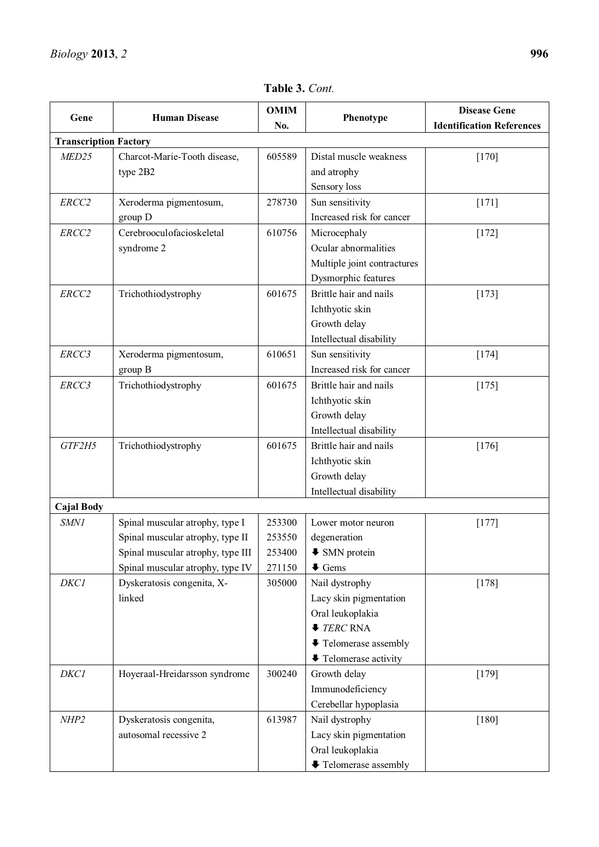$\overline{\phantom{a}}$ 

| Gene                         | <b>Human Disease</b>              | <b>OMIM</b> | Phenotype                      | <b>Disease Gene</b>              |
|------------------------------|-----------------------------------|-------------|--------------------------------|----------------------------------|
|                              | No.                               |             |                                | <b>Identification References</b> |
| <b>Transcription Factory</b> |                                   |             |                                |                                  |
| MED25                        | Charcot-Marie-Tooth disease,      | 605589      | Distal muscle weakness         | $[170]$                          |
|                              | type 2B2                          |             | and atrophy                    |                                  |
|                              |                                   |             | Sensory loss                   |                                  |
| ERCC2                        | Xeroderma pigmentosum,            | 278730      | Sun sensitivity                | $[171]$                          |
|                              | group D                           |             | Increased risk for cancer      |                                  |
| ERCC2                        | Cerebrooculofacioskeletal         | 610756      | Microcephaly                   | $[172]$                          |
|                              | syndrome 2                        |             | Ocular abnormalities           |                                  |
|                              |                                   |             | Multiple joint contractures    |                                  |
|                              |                                   |             | Dysmorphic features            |                                  |
| ERCC2                        | Trichothiodystrophy               | 601675      | Brittle hair and nails         | $[173]$                          |
|                              |                                   |             | Ichthyotic skin                |                                  |
|                              |                                   |             | Growth delay                   |                                  |
|                              |                                   |             | Intellectual disability        |                                  |
| ERCC3                        | Xeroderma pigmentosum,            | 610651      | Sun sensitivity                | $[174]$                          |
|                              | group B                           |             | Increased risk for cancer      |                                  |
| ERCC3                        | Trichothiodystrophy               | 601675      | Brittle hair and nails         | $[175]$                          |
|                              |                                   |             | Ichthyotic skin                |                                  |
|                              |                                   |             | Growth delay                   |                                  |
|                              |                                   |             | Intellectual disability        |                                  |
| GTF2H5                       | Trichothiodystrophy               | 601675      | Brittle hair and nails         | $[176]$                          |
|                              |                                   |             | Ichthyotic skin                |                                  |
|                              |                                   |             | Growth delay                   |                                  |
|                              |                                   |             | Intellectual disability        |                                  |
| <b>Cajal Body</b>            |                                   |             |                                |                                  |
| SMN1                         | Spinal muscular atrophy, type I   | 253300      | Lower motor neuron             | $[177]$                          |
|                              | Spinal muscular atrophy, type II  | 253550      | degeneration                   |                                  |
|                              | Spinal muscular atrophy, type III | 253400      | <b>↓ SMN</b> protein           |                                  |
|                              | Spinal muscular atrophy, type IV  | 271150      | $\blacklozenge$ Gems           |                                  |
| <b>DKC1</b>                  | Dyskeratosis congenita, X-        | 305000      | Nail dystrophy                 | $[178]$                          |
|                              | linked                            |             | Lacy skin pigmentation         |                                  |
|                              |                                   |             | Oral leukoplakia               |                                  |
|                              |                                   |             | $\blacktriangleright$ TERC RNA |                                  |
|                              |                                   |             | ↓ Telomerase assembly          |                                  |
|                              |                                   |             | <b>↓</b> Telomerase activity   |                                  |
| <b>DKC1</b>                  | Hoyeraal-Hreidarsson syndrome     | 300240      | Growth delay                   | $[179]$                          |
|                              |                                   |             | Immunodeficiency               |                                  |
|                              |                                   |             | Cerebellar hypoplasia          |                                  |
| NHP2                         | Dyskeratosis congenita,           | 613987      | Nail dystrophy                 | $[180]$                          |
|                              | autosomal recessive 2             |             | Lacy skin pigmentation         |                                  |
|                              |                                   |             | Oral leukoplakia               |                                  |
|                              |                                   |             | <b>↓</b> Telomerase assembly   |                                  |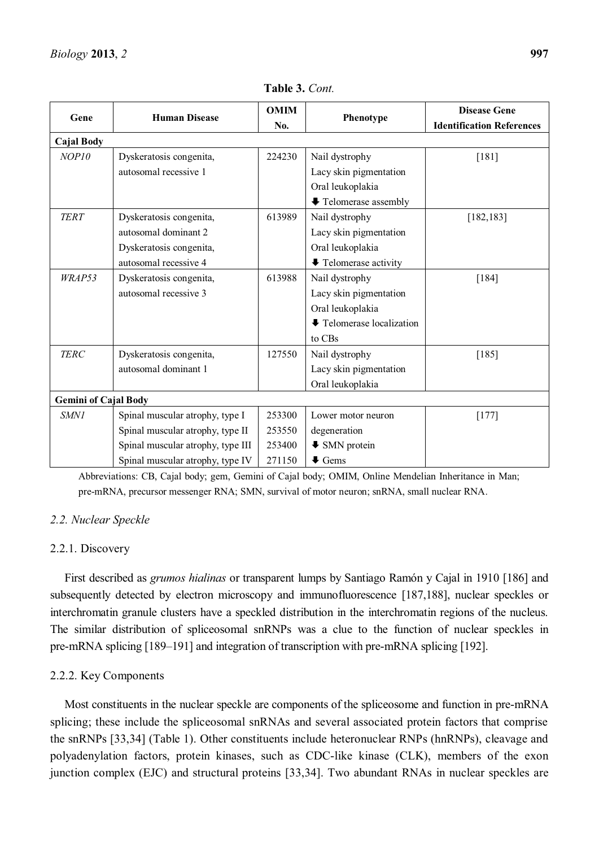| Gene                        | <b>Human Disease</b>              | <b>OMIM</b><br>No. | Phenotype                                     | <b>Disease Gene</b><br><b>Identification References</b> |
|-----------------------------|-----------------------------------|--------------------|-----------------------------------------------|---------------------------------------------------------|
| <b>Cajal Body</b>           |                                   |                    |                                               |                                                         |
| NOP10                       | Dyskeratosis congenita,           | 224230             | Nail dystrophy                                | [181]                                                   |
|                             | autosomal recessive 1             |                    | Lacy skin pigmentation                        |                                                         |
|                             |                                   |                    | Oral leukoplakia                              |                                                         |
|                             |                                   |                    | <b>↓</b> Telomerase assembly                  |                                                         |
| <b>TERT</b>                 | Dyskeratosis congenita,           | 613989             | Nail dystrophy                                | [182, 183]                                              |
|                             | autosomal dominant 2              |                    | Lacy skin pigmentation                        |                                                         |
|                             | Dyskeratosis congenita,           |                    | Oral leukoplakia                              |                                                         |
|                             | autosomal recessive 4             |                    | $\blacktriangleright$ Telomerase activity     |                                                         |
| WRAP53                      | Dyskeratosis congenita,           | 613988             | Nail dystrophy                                | $[184]$                                                 |
|                             | autosomal recessive 3             |                    | Lacy skin pigmentation                        |                                                         |
|                             |                                   |                    | Oral leukoplakia                              |                                                         |
|                             |                                   |                    | $\blacktriangleright$ Telomerase localization |                                                         |
|                             |                                   |                    | to CBs                                        |                                                         |
| <b>TERC</b>                 | Dyskeratosis congenita,           | 127550             | Nail dystrophy                                | [185]                                                   |
|                             | autosomal dominant 1              |                    | Lacy skin pigmentation                        |                                                         |
|                             |                                   |                    | Oral leukoplakia                              |                                                         |
| <b>Gemini of Cajal Body</b> |                                   |                    |                                               |                                                         |
| SMN1                        | Spinal muscular atrophy, type I   | 253300             | Lower motor neuron                            | $[177]$                                                 |
|                             | Spinal muscular atrophy, type II  | 253550             | degeneration                                  |                                                         |
|                             | Spinal muscular atrophy, type III | 253400             | $\blacktriangleright$ SMN protein             |                                                         |
|                             | Spinal muscular atrophy, type IV  | 271150             | $\blacklozenge$ Gems                          |                                                         |

**Table 3.** *Cont.* 

Abbreviations: CB, Cajal body; gem, Gemini of Cajal body; OMIM, Online Mendelian Inheritance in Man; pre-mRNA, precursor messenger RNA; SMN, survival of motor neuron; snRNA, small nuclear RNA.

# *2.2. Nuclear Speckle*

# 2.2.1. Discovery

First described as *grumos hialinas* or transparent lumps by Santiago Ramón y Cajal in 1910 [186] and subsequently detected by electron microscopy and immunofluorescence [187,188], nuclear speckles or interchromatin granule clusters have a speckled distribution in the interchromatin regions of the nucleus. The similar distribution of spliceosomal snRNPs was a clue to the function of nuclear speckles in pre-mRNA splicing [189-191] and integration of transcription with pre-mRNA splicing [192].

# 2.2.2. Key Components

Most constituents in the nuclear speckle are components of the spliceosome and function in pre-mRNA splicing; these include the spliceosomal snRNAs and several associated protein factors that comprise the snRNPs [33,34] (Table 1). Other constituents include heteronuclear RNPs (hnRNPs), cleavage and polyadenylation factors, protein kinases, such as CDC-like kinase (CLK), members of the exon junction complex (EJC) and structural proteins [33,34]. Two abundant RNAs in nuclear speckles are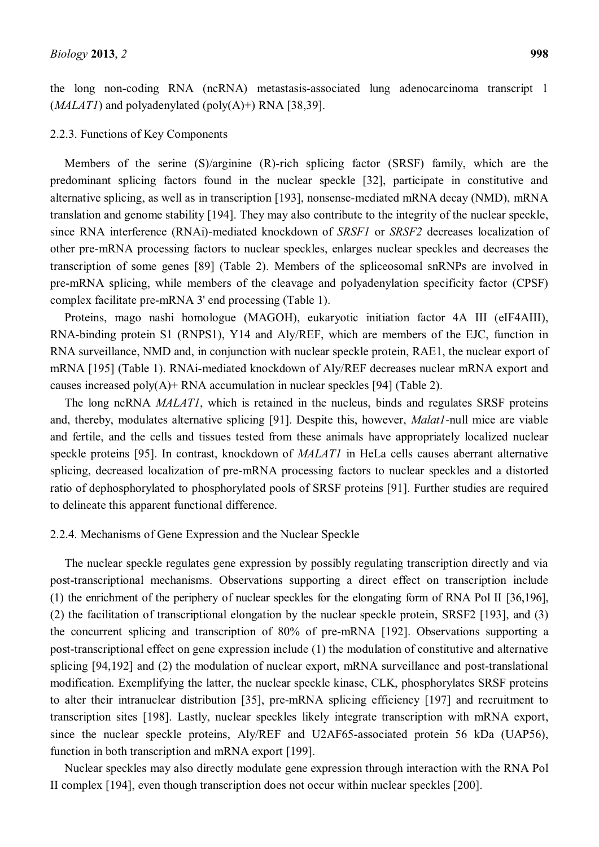the long non-coding RNA (ncRNA) metastasis-associated lung adenocarcinoma transcript 1  $(MALATI)$  and polyadenylated (poly $(A)$ +) RNA [38,39].

#### 2.2.3. Functions of Key Components

Members of the serine (S)/arginine (R)-rich splicing factor (SRSF) family, which are the predominant splicing factors found in the nuclear speckle [32], participate in constitutive and alternative splicing, as well as in transcription [193], nonsense-mediated mRNA decay (NMD), mRNA translation and genome stability [194]. They may also contribute to the integrity of the nuclear speckle, since RNA interference (RNAi)-mediated knockdown of *SRSF1* or *SRSF2* decreases localization of other pre-mRNA processing factors to nuclear speckles, enlarges nuclear speckles and decreases the transcription of some genes [89] (Table 2). Members of the spliceosomal snRNPs are involved in pre-mRNA splicing, while members of the cleavage and polyadenylation specificity factor (CPSF) complex facilitate pre-mRNA 3' end processing (Table 1).

Proteins, mago nashi homologue (MAGOH), eukaryotic initiation factor 4A III (eIF4AIII), RNA-binding protein S1 (RNPS1), Y14 and Aly/REF, which are members of the EJC, function in RNA surveillance, NMD and, in conjunction with nuclear speckle protein, RAE1, the nuclear export of mRNA [195] (Table 1). RNAi-mediated knockdown of Aly/REF decreases nuclear mRNA export and causes increased poly $(A)$ + RNA accumulation in nuclear speckles [94] (Table 2).

The long ncRNA *MALAT1*, which is retained in the nucleus, binds and regulates SRSF proteins and, thereby, modulates alternative splicing [91]. Despite this, however, *Malat1*-null mice are viable and fertile, and the cells and tissues tested from these animals have appropriately localized nuclear speckle proteins [95]. In contrast, knockdown of *MALAT1* in HeLa cells causes aberrant alternative splicing, decreased localization of pre-mRNA processing factors to nuclear speckles and a distorted ratio of dephosphorylated to phosphorylated pools of SRSF proteins [91]. Further studies are required to delineate this apparent functional difference.

# 2.2.4. Mechanisms of Gene Expression and the Nuclear Speckle

The nuclear speckle regulates gene expression by possibly regulating transcription directly and via post-transcriptional mechanisms. Observations supporting a direct effect on transcription include (1) the enrichment of the periphery of nuclear speckles for the elongating form of RNA Pol II [36,196], (2) the facilitation of transcriptional elongation by the nuclear speckle protein, SRSF2 [193], and (3) the concurrent splicing and transcription of 80% of pre-mRNA [192]. Observations supporting a post-transcriptional effect on gene expression include (1) the modulation of constitutive and alternative splicing [94,192] and (2) the modulation of nuclear export, mRNA surveillance and post-translational modification. Exemplifying the latter, the nuclear speckle kinase, CLK, phosphorylates SRSF proteins to alter their intranuclear distribution [35], pre-mRNA splicing efficiency [197] and recruitment to transcription sites [198]. Lastly, nuclear speckles likely integrate transcription with mRNA export, since the nuclear speckle proteins, Aly/REF and U2AF65-associated protein 56 kDa (UAP56), function in both transcription and mRNA export [199].

Nuclear speckles may also directly modulate gene expression through interaction with the RNA Pol II complex [194], even though transcription does not occur within nuclear speckles [200].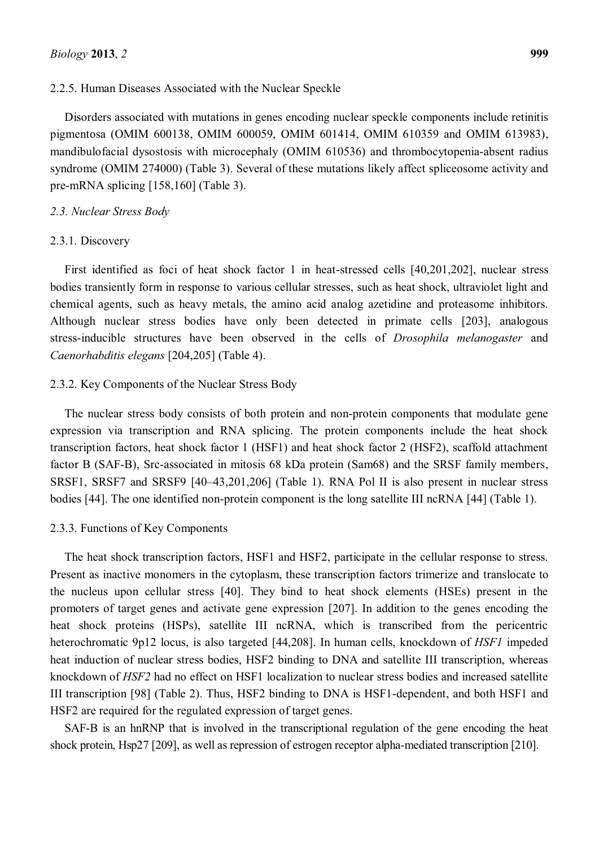#### 2.2.5. Human Diseases Associated with the Nuclear Speckle

Disorders associated with mutations in genes encoding nuclear speckle components include retinitis pigmentosa (OMIM 600138, OMIM 600059, OMIM 601414, OMIM 610359 and OMIM 613983), mandibulofacial dysostosis with microcephaly (OMIM 610536) and thrombocytopenia-absent radius syndrome (OMIM 274000) (Table 3). Several of these mutations likely affect spliceosome activity and pre-mRNA splicing [158,160] (Table 3).

#### *2.3. Nuclear Stress Body*

### 2.3.1. Discovery

First identified as foci of heat shock factor 1 in heat-stressed cells [40,201,202], nuclear stress bodies transiently form in response to various cellular stresses, such as heat shock, ultraviolet light and chemical agents, such as heavy metals, the amino acid analog azetidine and proteasome inhibitors. Although nuclear stress bodies have only been detected in primate cells [203], analogous stress-inducible structures have been observed in the cells of *Drosophila melanogaster* and *Caenorhabditis elegans* [204,205] (Table 4).

### 2.3.2. Key Components of the Nuclear Stress Body

The nuclear stress body consists of both protein and non-protein components that modulate gene expression via transcription and RNA splicing. The protein components include the heat shock transcription factors, heat shock factor 1 (HSF1) and heat shock factor 2 (HSF2), scaffold attachment factor B (SAF-B), Src-associated in mitosis 68 kDa protein (Sam68) and the SRSF family members, SRSF1, SRSF7 and SRSF9 [40-43,201,206] (Table 1). RNA Pol II is also present in nuclear stress bodies [44]. The one identified non-protein component is the long satellite III ncRNA [44] (Table 1).

#### 2.3.3. Functions of Key Components

The heat shock transcription factors, HSF1 and HSF2, participate in the cellular response to stress. Present as inactive monomers in the cytoplasm, these transcription factors trimerize and translocate to the nucleus upon cellular stress [40]. They bind to heat shock elements (HSEs) present in the promoters of target genes and activate gene expression [207]. In addition to the genes encoding the heat shock proteins (HSPs), satellite III ncRNA, which is transcribed from the pericentric heterochromatic 9p12 locus, is also targeted [44,208]. In human cells, knockdown of *HSF1* impeded heat induction of nuclear stress bodies, HSF2 binding to DNA and satellite III transcription, whereas knockdown of *HSF2* had no effect on HSF1 localization to nuclear stress bodies and increased satellite III transcription [98] (Table 2). Thus, HSF2 binding to DNA is HSF1-dependent, and both HSF1 and HSF2 are required for the regulated expression of target genes.

SAF-B is an hnRNP that is involved in the transcriptional regulation of the gene encoding the heat shock protein, Hsp27 [209], as well as repression of estrogen receptor alpha-mediated transcription [210].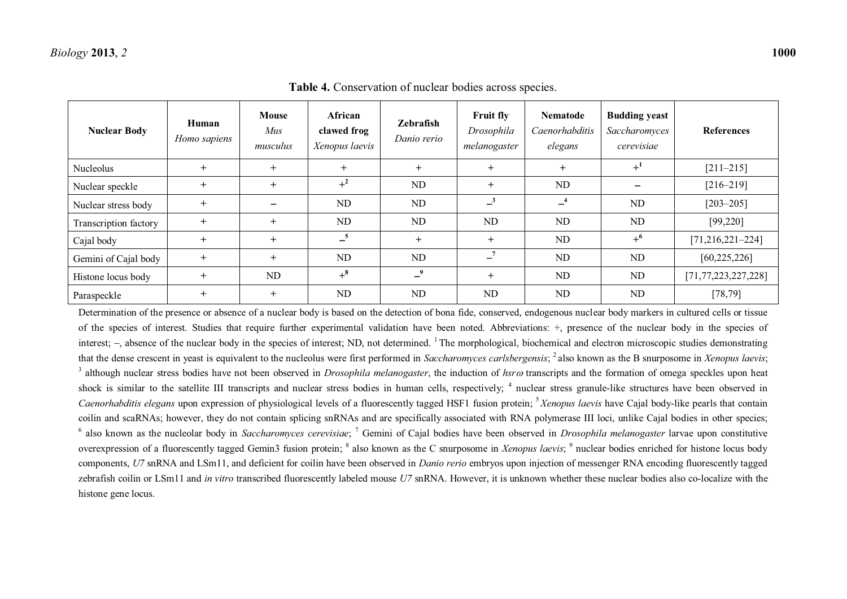| <b>Nuclear Body</b>   | Human<br>Homo sapiens | <b>Mouse</b><br><i>Mus</i><br>musculus | African<br>clawed frog<br>Xenopus laevis | Zebrafish<br>Danio rerio | <b>Fruit fly</b><br>Drosophila<br>melanogaster | <b>Nematode</b><br>Caenorhabditis<br>elegans | <b>Budding yeast</b><br>Saccharomyces<br>cerevisiae | <b>References</b>       |
|-----------------------|-----------------------|----------------------------------------|------------------------------------------|--------------------------|------------------------------------------------|----------------------------------------------|-----------------------------------------------------|-------------------------|
| Nucleolus             | $+$                   | $+$                                    | $+$                                      | $+$                      | $+$                                            | $+$                                          | $+$ <sup>1</sup>                                    | $[211 - 215]$           |
| Nuclear speckle       | $\pm$                 | $+$                                    | $+^2$                                    | <b>ND</b>                | $\ddot{}$                                      | ND                                           |                                                     | $[216 - 219]$           |
| Nuclear stress body   | $+$                   |                                        | ND                                       | <b>ND</b>                | $-3$                                           | $-4$                                         | ND                                                  | $[203 - 205]$           |
| Transcription factory | $^{+}$                | $+$                                    | ND                                       | <b>ND</b>                | ND                                             | ND                                           | ND                                                  | [99, 220]               |
| Cajal body            | $+$                   | $+$                                    | $-5$                                     | $+$                      | $+$                                            | ND                                           | $+^{6}$                                             | $[71, 216, 221 - 224]$  |
| Gemini of Cajal body  | $^{+}$                | $+$                                    | <b>ND</b>                                | ND                       | $-7$                                           | ND                                           | ND                                                  | [60, 225, 226]          |
| Histone locus body    | $+$                   | ND                                     | $+$ <sup>8</sup>                         | $-9$                     | $\ddot{}$                                      | ND                                           | ND                                                  | [71, 77, 223, 227, 228] |
| Paraspeckle           | $+$                   | $+$                                    | <b>ND</b>                                | <b>ND</b>                | <b>ND</b>                                      | ND                                           | N <sub>D</sub>                                      | [78, 79]                |

**Table 4.** Conservation of nuclear bodies across species.

Determination of the presence or absence of a nuclear body is based on the detection of bona fide, conserved, endogenous nuclear body markers in cultured cells or tissue of the species of interest. Studies that require further experimental validation have been noted. Abbreviations: +, presence of the nuclear body in the species of interest;  $-$ , absence of the nuclear body in the species of interest; ND, not determined. <sup>1</sup> The morphological, biochemical and electron microscopic studies demonstrating that the dense crescent in yeast is equivalent to the nucleolus were first performed in *Saccharomyces carlsbergensis*; <sup>2</sup> also known as the B snurposome in *Xenopus laevis*;  $3$  although nuclear stress bodies have not been observed in *Drosophila melanogaster*, the induction of *hsr* $\omega$  transcripts and the formation of omega speckles upon heat shock is similar to the satellite III transcripts and nuclear stress bodies in human cells, respectively; <sup>4</sup> nuclear stress granule-like structures have been observed in *Caenorhabditis elegans* upon expression of physiological levels of a fluorescently tagged HSF1 fusion protein; <sup>5</sup>*Xenopus laevis* have Cajal body-like pearls that contain coilin and scaRNAs; however, they do not contain splicing snRNAs and are specifically associated with RNA polymerase III loci, unlike Cajal bodies in other species; <sup>6</sup> also known as the nucleolar body in *Saccharomyces cerevisiae*; <sup>7</sup> Gemini of Cajal bodies have been observed in *Drosophila melanogaster* larvae upon constitutive overexpression of a fluorescently tagged Gemin3 fusion protein; <sup>8</sup> also known as the C snurposome in *Xenopus laevis*; <sup>9</sup> nuclear bodies enriched for histone locus body components, *U7* snRNA and LSm11, and deficient for coilin have been observed in *Danio rerio* embryos upon injection of messenger RNA encoding fluorescently tagged zebrafish coilin or LSm11 and *in vitro* transcribed fluorescently labeled mouse *U7* snRNA. However, it is unknown whether these nuclear bodies also co-localize with the histone gene locus.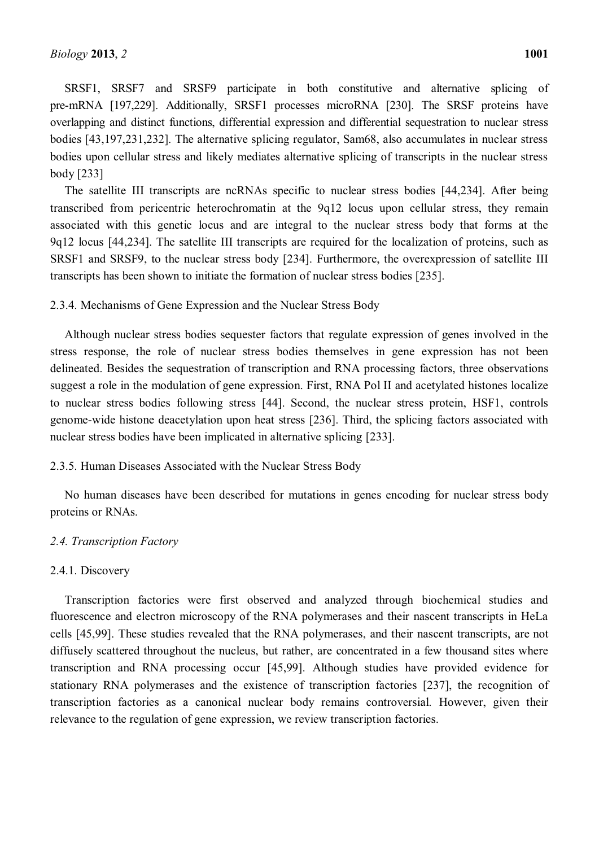SRSF1, SRSF7 and SRSF9 participate in both constitutive and alternative splicing of pre-mRNA [197,229]. Additionally, SRSF1 processes microRNA [230]. The SRSF proteins have overlapping and distinct functions, differential expression and differential sequestration to nuclear stress bodies [43,197,231,232]. The alternative splicing regulator, Sam68, also accumulates in nuclear stress bodies upon cellular stress and likely mediates alternative splicing of transcripts in the nuclear stress body [233]

The satellite III transcripts are ncRNAs specific to nuclear stress bodies [44,234]. After being transcribed from pericentric heterochromatin at the 9q12 locus upon cellular stress, they remain associated with this genetic locus and are integral to the nuclear stress body that forms at the 9q12 locus [44,234]. The satellite III transcripts are required for the localization of proteins, such as SRSF1 and SRSF9, to the nuclear stress body [234]. Furthermore, the overexpression of satellite III transcripts has been shown to initiate the formation of nuclear stress bodies [235].

#### 2.3.4. Mechanisms of Gene Expression and the Nuclear Stress Body

Although nuclear stress bodies sequester factors that regulate expression of genes involved in the stress response, the role of nuclear stress bodies themselves in gene expression has not been delineated. Besides the sequestration of transcription and RNA processing factors, three observations suggest a role in the modulation of gene expression. First, RNA Pol II and acetylated histones localize to nuclear stress bodies following stress [44]. Second, the nuclear stress protein, HSF1, controls genome-wide histone deacetylation upon heat stress [236]. Third, the splicing factors associated with nuclear stress bodies have been implicated in alternative splicing [233].

# 2.3.5. Human Diseases Associated with the Nuclear Stress Body

No human diseases have been described for mutations in genes encoding for nuclear stress body proteins or RNAs.

#### *2.4. Transcription Factory*

#### 2.4.1. Discovery

Transcription factories were first observed and analyzed through biochemical studies and fluorescence and electron microscopy of the RNA polymerases and their nascent transcripts in HeLa cells [45,99]. These studies revealed that the RNA polymerases, and their nascent transcripts, are not diffusely scattered throughout the nucleus, but rather, are concentrated in a few thousand sites where transcription and RNA processing occur [45,99]. Although studies have provided evidence for stationary RNA polymerases and the existence of transcription factories [237], the recognition of transcription factories as a canonical nuclear body remains controversial. However, given their relevance to the regulation of gene expression, we review transcription factories.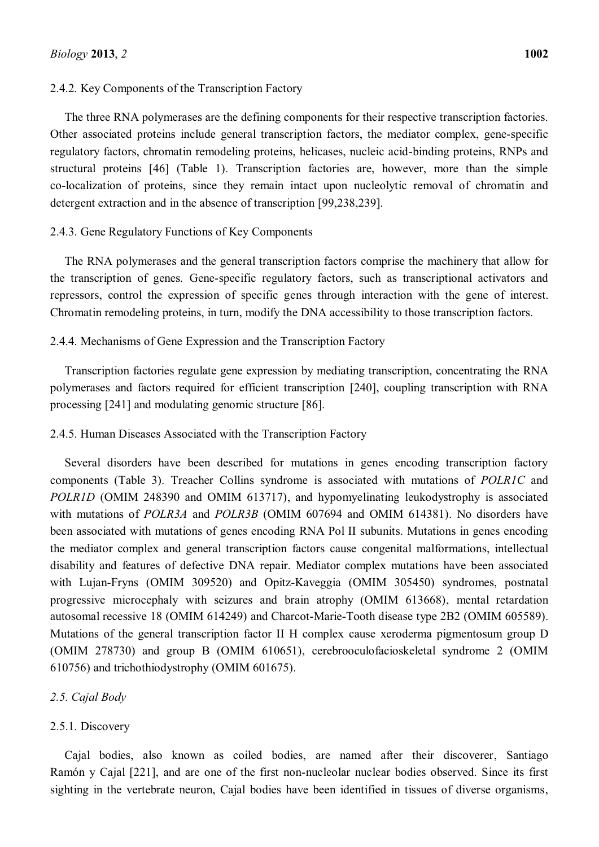# 2.4.2. Key Components of the Transcription Factory

The three RNA polymerases are the defining components for their respective transcription factories. Other associated proteins include general transcription factors, the mediator complex, gene-specific regulatory factors, chromatin remodeling proteins, helicases, nucleic acid-binding proteins, RNPs and structural proteins [46] (Table 1). Transcription factories are, however, more than the simple co-localization of proteins, since they remain intact upon nucleolytic removal of chromatin and detergent extraction and in the absence of transcription [99,238,239].

# 2.4.3. Gene Regulatory Functions of Key Components

The RNA polymerases and the general transcription factors comprise the machinery that allow for the transcription of genes. Gene-specific regulatory factors, such as transcriptional activators and repressors, control the expression of specific genes through interaction with the gene of interest. Chromatin remodeling proteins, in turn, modify the DNA accessibility to those transcription factors.

# 2.4.4. Mechanisms of Gene Expression and the Transcription Factory

Transcription factories regulate gene expression by mediating transcription, concentrating the RNA polymerases and factors required for efficient transcription [240], coupling transcription with RNA processing [241] and modulating genomic structure [86].

# 2.4.5. Human Diseases Associated with the Transcription Factory

Several disorders have been described for mutations in genes encoding transcription factory components (Table 3). Treacher Collins syndrome is associated with mutations of *POLR1C* and *POLR1D* (OMIM 248390 and OMIM 613717), and hypomyelinating leukodystrophy is associated with mutations of *POLR3A* and *POLR3B* (OMIM 607694 and OMIM 614381). No disorders have been associated with mutations of genes encoding RNA Pol II subunits. Mutations in genes encoding the mediator complex and general transcription factors cause congenital malformations, intellectual disability and features of defective DNA repair. Mediator complex mutations have been associated with Lujan-Fryns (OMIM 309520) and Opitz-Kaveggia (OMIM 305450) syndromes, postnatal progressive microcephaly with seizures and brain atrophy (OMIM 613668), mental retardation autosomal recessive 18 (OMIM 614249) and Charcot-Marie-Tooth disease type 2B2 (OMIM 605589). Mutations of the general transcription factor II H complex cause xeroderma pigmentosum group D (OMIM 278730) and group B (OMIM 610651), cerebrooculofacioskeletal syndrome 2 (OMIM 610756) and trichothiodystrophy (OMIM 601675).

# *2.5. Cajal Body*

# 2.5.1. Discovery

Cajal bodies, also known as coiled bodies, are named after their discoverer, Santiago Ramón y Cajal [221], and are one of the first non-nucleolar nuclear bodies observed. Since its first sighting in the vertebrate neuron, Cajal bodies have been identified in tissues of diverse organisms,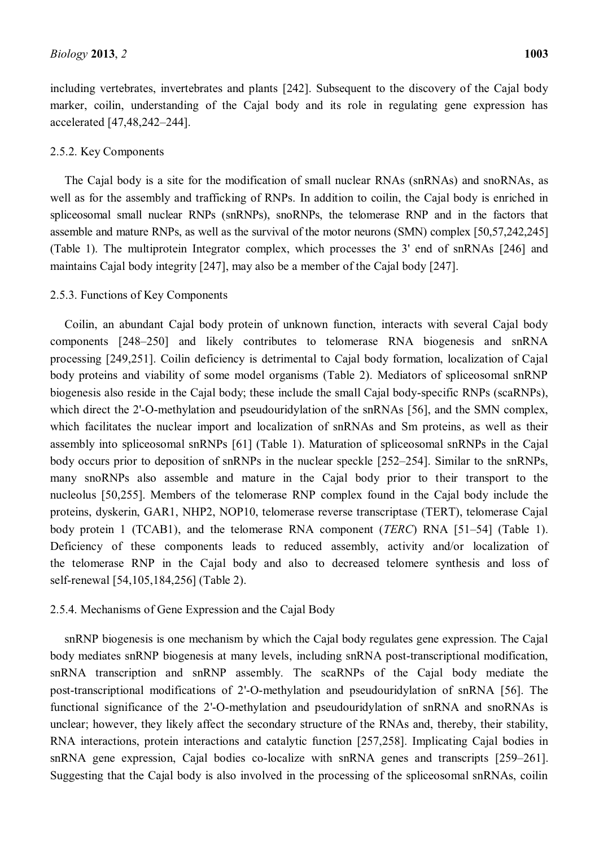including vertebrates, invertebrates and plants [242]. Subsequent to the discovery of the Cajal body marker, coilin, understanding of the Cajal body and its role in regulating gene expression has accelerated [47,48,242-244].

# 2.5.2. Key Components

The Cajal body is a site for the modification of small nuclear RNAs (snRNAs) and snoRNAs, as well as for the assembly and trafficking of RNPs. In addition to coilin, the Cajal body is enriched in spliceosomal small nuclear RNPs (snRNPs), snoRNPs, the telomerase RNP and in the factors that assemble and mature RNPs, as well as the survival of the motor neurons (SMN) complex [50,57,242,245] (Table 1). The multiprotein Integrator complex, which processes the 3' end of snRNAs [246] and maintains Cajal body integrity [247], may also be a member of the Cajal body [247].

# 2.5.3. Functions of Key Components

Coilin, an abundant Cajal body protein of unknown function, interacts with several Cajal body components [248-250] and likely contributes to telomerase RNA biogenesis and snRNA processing [249,251]. Coilin deficiency is detrimental to Cajal body formation, localization of Cajal body proteins and viability of some model organisms (Table 2). Mediators of spliceosomal snRNP biogenesis also reside in the Cajal body; these include the small Cajal body-specific RNPs (scaRNPs), which direct the 2'-O-methylation and pseudouridylation of the snRNAs [56], and the SMN complex, which facilitates the nuclear import and localization of snRNAs and Sm proteins, as well as their assembly into spliceosomal snRNPs [61] (Table 1). Maturation of spliceosomal snRNPs in the Cajal body occurs prior to deposition of snRNPs in the nuclear speckle  $[252-254]$ . Similar to the snRNPs, many snoRNPs also assemble and mature in the Cajal body prior to their transport to the nucleolus [50,255]. Members of the telomerase RNP complex found in the Cajal body include the proteins, dyskerin, GAR1, NHP2, NOP10, telomerase reverse transcriptase (TERT), telomerase Cajal body protein 1 (TCAB1), and the telomerase RNA component (*TERC*) RNA [51-54] (Table 1). Deficiency of these components leads to reduced assembly, activity and/or localization of the telomerase RNP in the Cajal body and also to decreased telomere synthesis and loss of self-renewal [54,105,184,256] (Table 2).

#### 2.5.4. Mechanisms of Gene Expression and the Cajal Body

snRNP biogenesis is one mechanism by which the Cajal body regulates gene expression. The Cajal body mediates snRNP biogenesis at many levels, including snRNA post-transcriptional modification, snRNA transcription and snRNP assembly. The scaRNPs of the Cajal body mediate the post-transcriptional modifications of 2'-O-methylation and pseudouridylation of snRNA [56]. The functional significance of the 2'-O-methylation and pseudouridylation of snRNA and snoRNAs is unclear; however, they likely affect the secondary structure of the RNAs and, thereby, their stability, RNA interactions, protein interactions and catalytic function [257,258]. Implicating Cajal bodies in snRNA gene expression, Cajal bodies co-localize with snRNA genes and transcripts  $[259-261]$ . Suggesting that the Cajal body is also involved in the processing of the spliceosomal snRNAs, coilin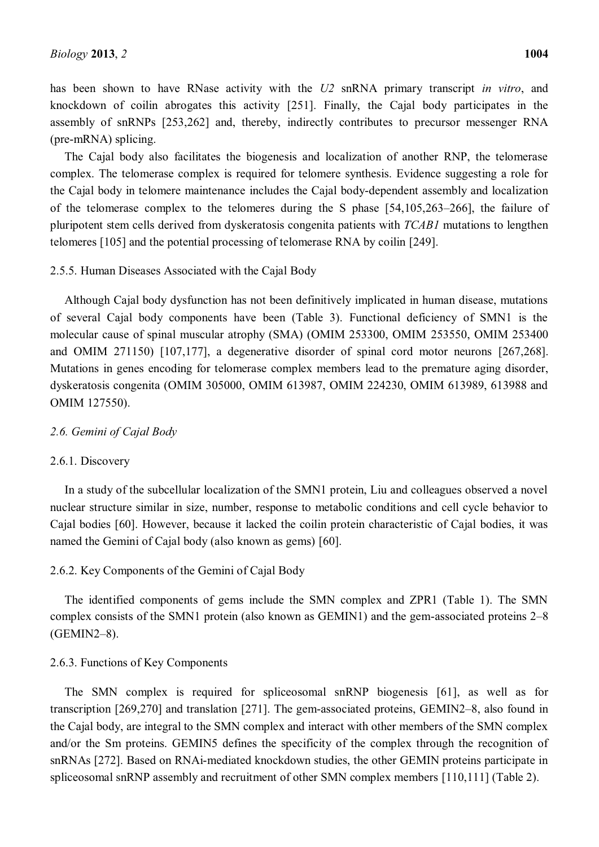has been shown to have RNase activity with the *U2* snRNA primary transcript *in vitro*, and knockdown of coilin abrogates this activity [251]. Finally, the Cajal body participates in the assembly of snRNPs [253,262] and, thereby, indirectly contributes to precursor messenger RNA (pre-mRNA) splicing.

The Cajal body also facilitates the biogenesis and localization of another RNP, the telomerase complex. The telomerase complex is required for telomere synthesis. Evidence suggesting a role for the Cajal body in telomere maintenance includes the Cajal body-dependent assembly and localization of the telomerase complex to the telomeres during the S phase  $[54,105,263-266]$ , the failure of pluripotent stem cells derived from dyskeratosis congenita patients with *TCAB1* mutations to lengthen telomeres [105] and the potential processing of telomerase RNA by coilin [249].

# 2.5.5. Human Diseases Associated with the Cajal Body

Although Cajal body dysfunction has not been definitively implicated in human disease, mutations of several Cajal body components have been (Table 3). Functional deficiency of SMN1 is the molecular cause of spinal muscular atrophy (SMA) (OMIM 253300, OMIM 253550, OMIM 253400 and OMIM 271150) [107,177], a degenerative disorder of spinal cord motor neurons [267,268]. Mutations in genes encoding for telomerase complex members lead to the premature aging disorder, dyskeratosis congenita (OMIM 305000, OMIM 613987, OMIM 224230, OMIM 613989, 613988 and OMIM 127550).

#### *2.6. Gemini of Cajal Body*

#### 2.6.1. Discovery

In a study of the subcellular localization of the SMN1 protein, Liu and colleagues observed a novel nuclear structure similar in size, number, response to metabolic conditions and cell cycle behavior to Cajal bodies [60]. However, because it lacked the coilin protein characteristic of Cajal bodies, it was named the Gemini of Cajal body (also known as gems) [60].

# 2.6.2. Key Components of the Gemini of Cajal Body

The identified components of gems include the SMN complex and ZPR1 (Table 1). The SMN complex consists of the SMN1 protein (also known as GEMIN1) and the gem-associated proteins 2–8  $(GEMIN2-8)$ .

#### 2.6.3. Functions of Key Components

The SMN complex is required for spliceosomal snRNP biogenesis [61], as well as for transcription  $[269,270]$  and translation  $[271]$ . The gem-associated proteins, GEMIN2-8, also found in the Cajal body, are integral to the SMN complex and interact with other members of the SMN complex and/or the Sm proteins. GEMIN5 defines the specificity of the complex through the recognition of snRNAs [272]. Based on RNAi-mediated knockdown studies, the other GEMIN proteins participate in spliceosomal snRNP assembly and recruitment of other SMN complex members [110,111] (Table 2).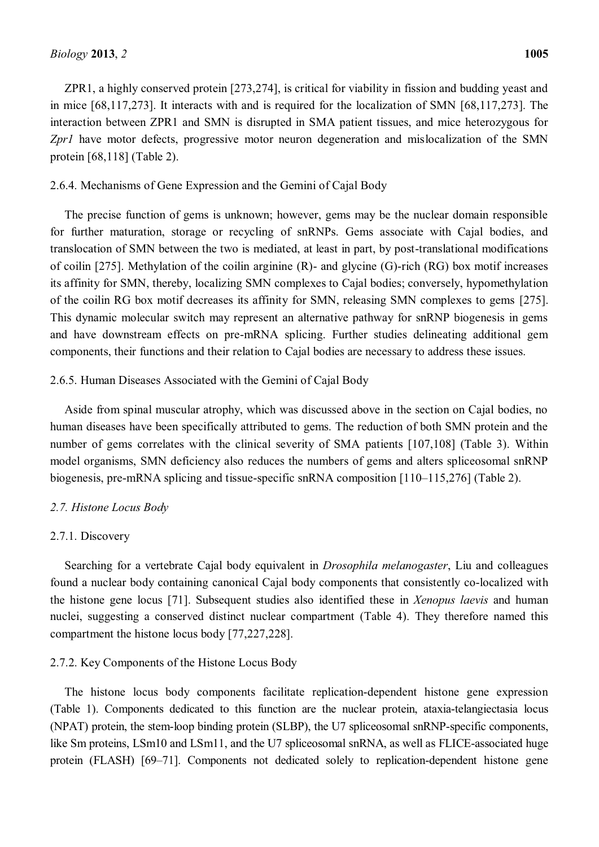ZPR1, a highly conserved protein [273,274], is critical for viability in fission and budding yeast and in mice [68,117,273]. It interacts with and is required for the localization of SMN [68,117,273]. The interaction between ZPR1 and SMN is disrupted in SMA patient tissues, and mice heterozygous for *Zpr1* have motor defects, progressive motor neuron degeneration and mislocalization of the SMN protein [68,118] (Table 2).

# 2.6.4. Mechanisms of Gene Expression and the Gemini of Cajal Body

The precise function of gems is unknown; however, gems may be the nuclear domain responsible for further maturation, storage or recycling of snRNPs. Gems associate with Cajal bodies, and translocation of SMN between the two is mediated, at least in part, by post-translational modifications of coilin [275]. Methylation of the coilin arginine (R)- and glycine (G)-rich (RG) box motif increases its affinity for SMN, thereby, localizing SMN complexes to Cajal bodies; conversely, hypomethylation of the coilin RG box motif decreases its affinity for SMN, releasing SMN complexes to gems [275]. This dynamic molecular switch may represent an alternative pathway for snRNP biogenesis in gems and have downstream effects on pre-mRNA splicing. Further studies delineating additional gem components, their functions and their relation to Cajal bodies are necessary to address these issues.

# 2.6.5. Human Diseases Associated with the Gemini of Cajal Body

Aside from spinal muscular atrophy, which was discussed above in the section on Cajal bodies, no human diseases have been specifically attributed to gems. The reduction of both SMN protein and the number of gems correlates with the clinical severity of SMA patients [107,108] (Table 3). Within model organisms, SMN deficiency also reduces the numbers of gems and alters spliceosomal snRNP biogenesis, pre-mRNA splicing and tissue-specific snRNA composition [110–115,276] (Table 2).

# *2.7. Histone Locus Body*

# 2.7.1. Discovery

Searching for a vertebrate Cajal body equivalent in *Drosophila melanogaster*, Liu and colleagues found a nuclear body containing canonical Cajal body components that consistently co-localized with the histone gene locus [71]. Subsequent studies also identified these in *Xenopus laevis* and human nuclei, suggesting a conserved distinct nuclear compartment (Table 4). They therefore named this compartment the histone locus body [77,227,228].

# 2.7.2. Key Components of the Histone Locus Body

The histone locus body components facilitate replication-dependent histone gene expression (Table 1). Components dedicated to this function are the nuclear protein, ataxia-telangiectasia locus (NPAT) protein, the stem-loop binding protein (SLBP), the U7 spliceosomal snRNP-specific components, like Sm proteins, LSm10 and LSm11, and the U7 spliceosomal snRNA, as well as FLICE-associated huge protein (FLASH) [69-71]. Components not dedicated solely to replication-dependent histone gene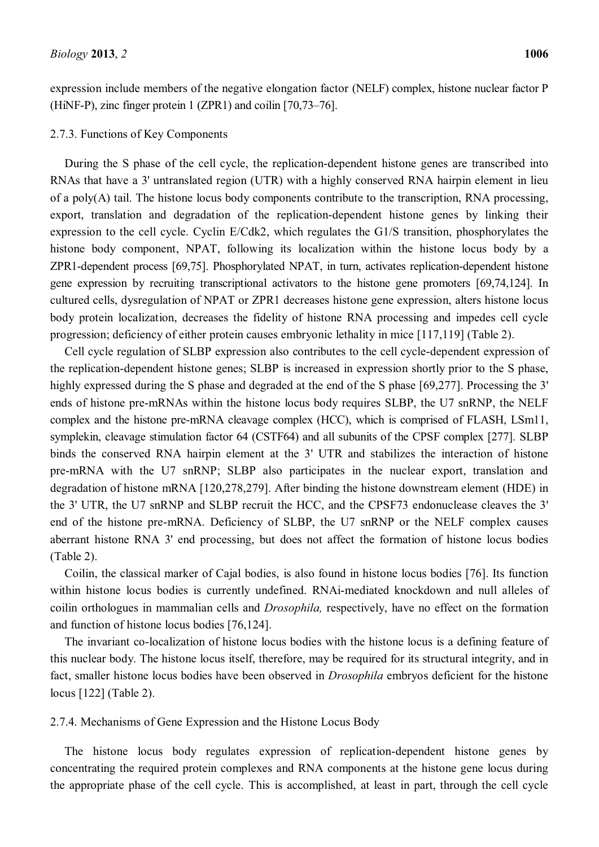expression include members of the negative elongation factor (NELF) complex, histone nuclear factor P (HiNF-P), zinc finger protein  $1$  (ZPR1) and coilin  $[70, 73-76]$ .

### 2.7.3. Functions of Key Components

During the S phase of the cell cycle, the replication-dependent histone genes are transcribed into RNAs that have a 3' untranslated region (UTR) with a highly conserved RNA hairpin element in lieu of a poly(A) tail. The histone locus body components contribute to the transcription, RNA processing, export, translation and degradation of the replication-dependent histone genes by linking their expression to the cell cycle. Cyclin E/Cdk2, which regulates the G1/S transition, phosphorylates the histone body component, NPAT, following its localization within the histone locus body by a ZPR1-dependent process [69,75]. Phosphorylated NPAT, in turn, activates replication-dependent histone gene expression by recruiting transcriptional activators to the histone gene promoters [69,74,124]. In cultured cells, dysregulation of NPAT or ZPR1 decreases histone gene expression, alters histone locus body protein localization, decreases the fidelity of histone RNA processing and impedes cell cycle progression; deficiency of either protein causes embryonic lethality in mice [117,119] (Table 2).

Cell cycle regulation of SLBP expression also contributes to the cell cycle-dependent expression of the replication-dependent histone genes; SLBP is increased in expression shortly prior to the S phase, highly expressed during the S phase and degraded at the end of the S phase [69,277]. Processing the 3' ends of histone pre-mRNAs within the histone locus body requires SLBP, the U7 snRNP, the NELF complex and the histone pre-mRNA cleavage complex (HCC), which is comprised of FLASH, LSm11, symplekin, cleavage stimulation factor 64 (CSTF64) and all subunits of the CPSF complex [277]. SLBP binds the conserved RNA hairpin element at the 3' UTR and stabilizes the interaction of histone pre-mRNA with the U7 snRNP; SLBP also participates in the nuclear export, translation and degradation of histone mRNA [120,278,279]. After binding the histone downstream element (HDE) in the 3' UTR, the U7 snRNP and SLBP recruit the HCC, and the CPSF73 endonuclease cleaves the 3' end of the histone pre-mRNA. Deficiency of SLBP, the U7 snRNP or the NELF complex causes aberrant histone RNA 3' end processing, but does not affect the formation of histone locus bodies (Table 2).

Coilin, the classical marker of Cajal bodies, is also found in histone locus bodies [76]. Its function within histone locus bodies is currently undefined. RNAi-mediated knockdown and null alleles of coilin orthologues in mammalian cells and *Drosophila,* respectively, have no effect on the formation and function of histone locus bodies [76,124].

The invariant co-localization of histone locus bodies with the histone locus is a defining feature of this nuclear body. The histone locus itself, therefore, may be required for its structural integrity, and in fact, smaller histone locus bodies have been observed in *Drosophila* embryos deficient for the histone locus [122] (Table 2).

### 2.7.4. Mechanisms of Gene Expression and the Histone Locus Body

The histone locus body regulates expression of replication-dependent histone genes by concentrating the required protein complexes and RNA components at the histone gene locus during the appropriate phase of the cell cycle. This is accomplished, at least in part, through the cell cycle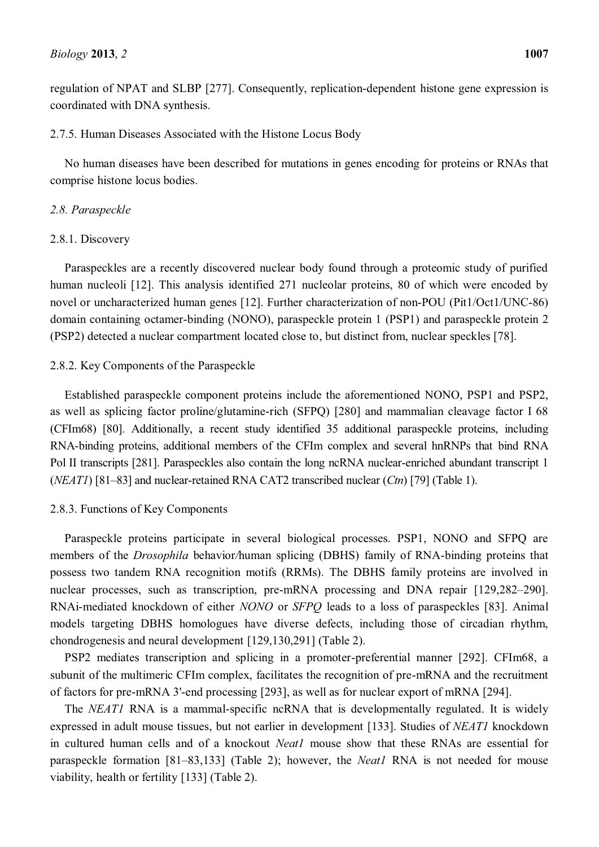regulation of NPAT and SLBP [277]. Consequently, replication-dependent histone gene expression is coordinated with DNA synthesis.

# 2.7.5. Human Diseases Associated with the Histone Locus Body

No human diseases have been described for mutations in genes encoding for proteins or RNAs that comprise histone locus bodies.

# *2.8. Paraspeckle*

# 2.8.1. Discovery

Paraspeckles are a recently discovered nuclear body found through a proteomic study of purified human nucleoli [12]. This analysis identified 271 nucleolar proteins, 80 of which were encoded by novel or uncharacterized human genes [12]. Further characterization of non-POU (Pit1/Oct1/UNC-86) domain containing octamer-binding (NONO), paraspeckle protein 1 (PSP1) and paraspeckle protein 2 (PSP2) detected a nuclear compartment located close to, but distinct from, nuclear speckles [78].

# 2.8.2. Key Components of the Paraspeckle

Established paraspeckle component proteins include the aforementioned NONO, PSP1 and PSP2, as well as splicing factor proline/glutamine-rich (SFPQ) [280] and mammalian cleavage factor I 68 (CFIm68) [80]. Additionally, a recent study identified 35 additional paraspeckle proteins, including RNA-binding proteins, additional members of the CFIm complex and several hnRNPs that bind RNA Pol II transcripts [281]. Paraspeckles also contain the long ncRNA nuclear-enriched abundant transcript 1 (*NEAT1*) [81–83] and nuclear-retained RNA CAT2 transcribed nuclear (*Ctn*) [79] (Table 1).

# 2.8.3. Functions of Key Components

Paraspeckle proteins participate in several biological processes. PSP1, NONO and SFPQ are members of the *Drosophila* behavior*/*human splicing (DBHS) family of RNA-binding proteins that possess two tandem RNA recognition motifs (RRMs). The DBHS family proteins are involved in nuclear processes, such as transcription, pre-mRNA processing and DNA repair  $[129,282-290]$ . RNAi-mediated knockdown of either *NONO* or *SFPQ* leads to a loss of paraspeckles [83]. Animal models targeting DBHS homologues have diverse defects, including those of circadian rhythm, chondrogenesis and neural development [129,130,291] (Table 2).

PSP2 mediates transcription and splicing in a promoter-preferential manner [292]. CFIm68, a subunit of the multimeric CFIm complex, facilitates the recognition of pre-mRNA and the recruitment of factors for pre-mRNA 3'-end processing [293], as well as for nuclear export of mRNA [294].

The *NEAT1* RNA is a mammal-specific ncRNA that is developmentally regulated. It is widely expressed in adult mouse tissues, but not earlier in development [133]. Studies of *NEAT1* knockdown in cultured human cells and of a knockout *Neat1* mouse show that these RNAs are essential for paraspeckle formation [81-83,133] (Table 2); however, the *Neat1* RNA is not needed for mouse viability, health or fertility [133] (Table 2).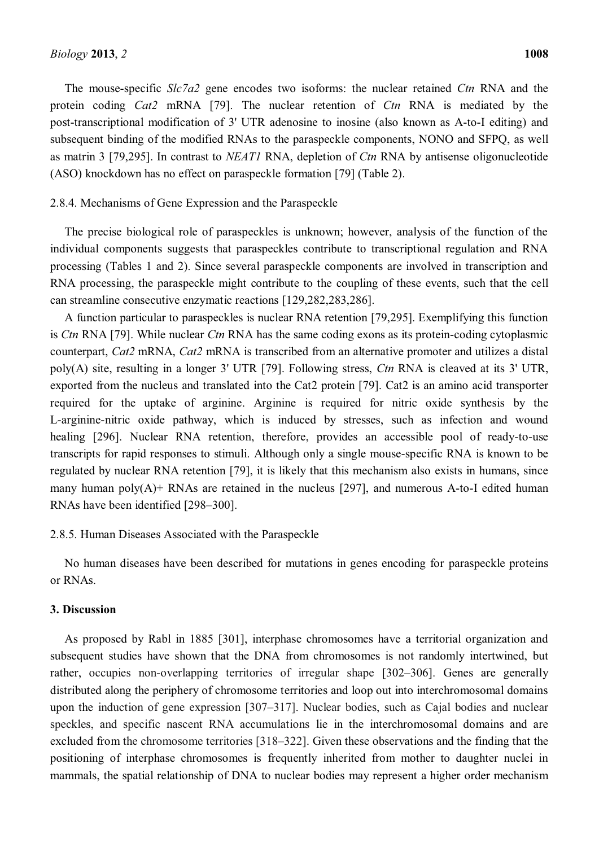The mouse-specific *Slc7a2* gene encodes two isoforms: the nuclear retained *Ctn* RNA and the protein coding *Cat2* mRNA [79]. The nuclear retention of *Ctn* RNA is mediated by the post-transcriptional modification of 3' UTR adenosine to inosine (also known as A-to-I editing) and subsequent binding of the modified RNAs to the paraspeckle components, NONO and SFPQ, as well as matrin 3 [79,295]. In contrast to *NEAT1* RNA, depletion of *Ctn* RNA by antisense oligonucleotide (ASO) knockdown has no effect on paraspeckle formation [79] (Table 2).

#### 2.8.4. Mechanisms of Gene Expression and the Paraspeckle

The precise biological role of paraspeckles is unknown; however, analysis of the function of the individual components suggests that paraspeckles contribute to transcriptional regulation and RNA processing (Tables 1 and 2). Since several paraspeckle components are involved in transcription and RNA processing, the paraspeckle might contribute to the coupling of these events, such that the cell can streamline consecutive enzymatic reactions [129,282,283,286].

A function particular to paraspeckles is nuclear RNA retention [79,295]. Exemplifying this function is *Ctn* RNA [79]. While nuclear *Ctn* RNA has the same coding exons as its protein-coding cytoplasmic counterpart, *Cat2* mRNA, *Cat2* mRNA is transcribed from an alternative promoter and utilizes a distal poly(A) site, resulting in a longer 3' UTR [79]. Following stress, *Ctn* RNA is cleaved at its 3' UTR, exported from the nucleus and translated into the Cat2 protein [79]. Cat2 is an amino acid transporter required for the uptake of arginine. Arginine is required for nitric oxide synthesis by the L-arginine-nitric oxide pathway, which is induced by stresses, such as infection and wound healing [296]. Nuclear RNA retention, therefore, provides an accessible pool of ready-to-use transcripts for rapid responses to stimuli. Although only a single mouse-specific RNA is known to be regulated by nuclear RNA retention [79], it is likely that this mechanism also exists in humans, since many human poly $(A)$ + RNAs are retained in the nucleus [297], and numerous A-to-I edited human RNAs have been identified [298-300].

#### 2.8.5. Human Diseases Associated with the Paraspeckle

No human diseases have been described for mutations in genes encoding for paraspeckle proteins or RNAs.

# **3. Discussion**

As proposed by Rabl in 1885 [301], interphase chromosomes have a territorial organization and subsequent studies have shown that the DNA from chromosomes is not randomly intertwined, but rather, occupies non-overlapping territories of irregular shape [302–306]. Genes are generally distributed along the periphery of chromosome territories and loop out into interchromosomal domains upon the induction of gene expression  $[307-317]$ . Nuclear bodies, such as Cajal bodies and nuclear speckles, and specific nascent RNA accumulations lie in the interchromosomal domains and are excluded from the chromosome territories [318–322]. Given these observations and the finding that the positioning of interphase chromosomes is frequently inherited from mother to daughter nuclei in mammals, the spatial relationship of DNA to nuclear bodies may represent a higher order mechanism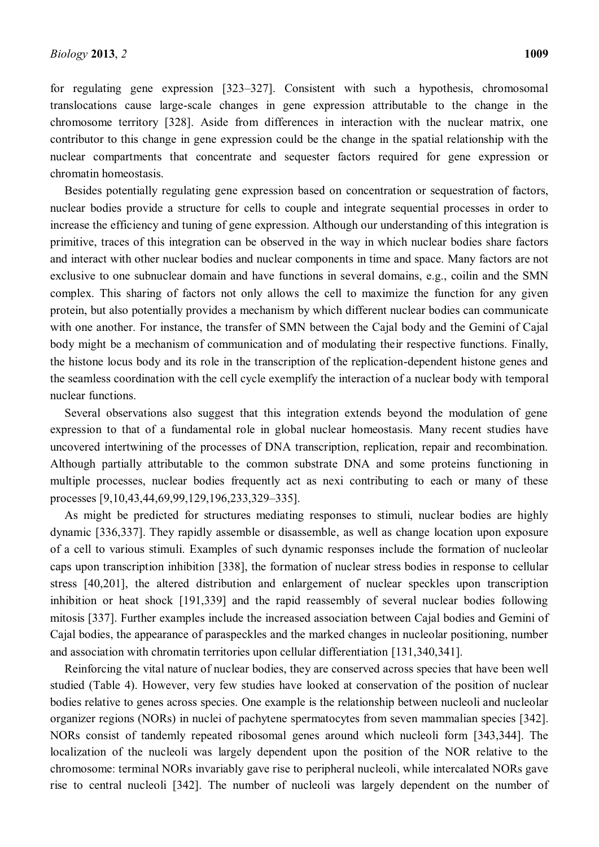for regulating gene expression  $[323-327]$ . Consistent with such a hypothesis, chromosomal translocations cause large-scale changes in gene expression attributable to the change in the chromosome territory [328]. Aside from differences in interaction with the nuclear matrix, one contributor to this change in gene expression could be the change in the spatial relationship with the nuclear compartments that concentrate and sequester factors required for gene expression or chromatin homeostasis.

Besides potentially regulating gene expression based on concentration or sequestration of factors, nuclear bodies provide a structure for cells to couple and integrate sequential processes in order to increase the efficiency and tuning of gene expression. Although our understanding of this integration is primitive, traces of this integration can be observed in the way in which nuclear bodies share factors and interact with other nuclear bodies and nuclear components in time and space. Many factors are not exclusive to one subnuclear domain and have functions in several domains, e.g., coilin and the SMN complex. This sharing of factors not only allows the cell to maximize the function for any given protein, but also potentially provides a mechanism by which different nuclear bodies can communicate with one another. For instance, the transfer of SMN between the Cajal body and the Gemini of Cajal body might be a mechanism of communication and of modulating their respective functions. Finally, the histone locus body and its role in the transcription of the replication-dependent histone genes and the seamless coordination with the cell cycle exemplify the interaction of a nuclear body with temporal nuclear functions.

Several observations also suggest that this integration extends beyond the modulation of gene expression to that of a fundamental role in global nuclear homeostasis. Many recent studies have uncovered intertwining of the processes of DNA transcription, replication, repair and recombination. Although partially attributable to the common substrate DNA and some proteins functioning in multiple processes, nuclear bodies frequently act as nexi contributing to each or many of these processes [9,10,43,44,69,99,129,196,233,329-335].

As might be predicted for structures mediating responses to stimuli, nuclear bodies are highly dynamic [336,337]. They rapidly assemble or disassemble, as well as change location upon exposure of a cell to various stimuli. Examples of such dynamic responses include the formation of nucleolar caps upon transcription inhibition [338], the formation of nuclear stress bodies in response to cellular stress [40,201], the altered distribution and enlargement of nuclear speckles upon transcription inhibition or heat shock [191,339] and the rapid reassembly of several nuclear bodies following mitosis [337]. Further examples include the increased association between Cajal bodies and Gemini of Cajal bodies, the appearance of paraspeckles and the marked changes in nucleolar positioning, number and association with chromatin territories upon cellular differentiation [131,340,341].

Reinforcing the vital nature of nuclear bodies, they are conserved across species that have been well studied (Table 4). However, very few studies have looked at conservation of the position of nuclear bodies relative to genes across species. One example is the relationship between nucleoli and nucleolar organizer regions (NORs) in nuclei of pachytene spermatocytes from seven mammalian species [342]. NORs consist of tandemly repeated ribosomal genes around which nucleoli form [343,344]. The localization of the nucleoli was largely dependent upon the position of the NOR relative to the chromosome: terminal NORs invariably gave rise to peripheral nucleoli, while intercalated NORs gave rise to central nucleoli [342]. The number of nucleoli was largely dependent on the number of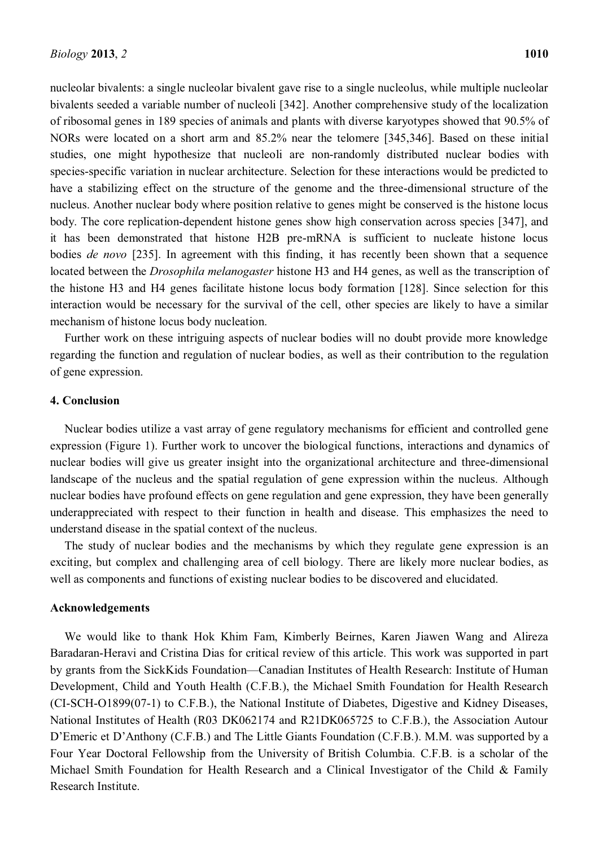nucleolar bivalents: a single nucleolar bivalent gave rise to a single nucleolus, while multiple nucleolar bivalents seeded a variable number of nucleoli [342]. Another comprehensive study of the localization of ribosomal genes in 189 species of animals and plants with diverse karyotypes showed that 90.5% of NORs were located on a short arm and 85.2% near the telomere [345,346]. Based on these initial studies, one might hypothesize that nucleoli are non-randomly distributed nuclear bodies with species-specific variation in nuclear architecture. Selection for these interactions would be predicted to have a stabilizing effect on the structure of the genome and the three-dimensional structure of the nucleus. Another nuclear body where position relative to genes might be conserved is the histone locus body. The core replication-dependent histone genes show high conservation across species [347], and it has been demonstrated that histone H2B pre-mRNA is sufficient to nucleate histone locus bodies *de novo* [235]. In agreement with this finding, it has recently been shown that a sequence located between the *Drosophila melanogaster* histone H3 and H4 genes, as well as the transcription of the histone H3 and H4 genes facilitate histone locus body formation [128]. Since selection for this interaction would be necessary for the survival of the cell, other species are likely to have a similar mechanism of histone locus body nucleation.

Further work on these intriguing aspects of nuclear bodies will no doubt provide more knowledge regarding the function and regulation of nuclear bodies, as well as their contribution to the regulation of gene expression.

# **4. Conclusion**

Nuclear bodies utilize a vast array of gene regulatory mechanisms for efficient and controlled gene expression (Figure 1). Further work to uncover the biological functions, interactions and dynamics of nuclear bodies will give us greater insight into the organizational architecture and three-dimensional landscape of the nucleus and the spatial regulation of gene expression within the nucleus. Although nuclear bodies have profound effects on gene regulation and gene expression, they have been generally underappreciated with respect to their function in health and disease. This emphasizes the need to understand disease in the spatial context of the nucleus.

The study of nuclear bodies and the mechanisms by which they regulate gene expression is an exciting, but complex and challenging area of cell biology. There are likely more nuclear bodies, as well as components and functions of existing nuclear bodies to be discovered and elucidated.

#### **Acknowledgements**

We would like to thank Hok Khim Fam, Kimberly Beirnes, Karen Jiawen Wang and Alireza Baradaran-Heravi and Cristina Dias for critical review of this article. This work was supported in part by grants from the SickKids Foundation—Canadian Institutes of Health Research: Institute of Human Development, Child and Youth Health (C.F.B.), the Michael Smith Foundation for Health Research (CI-SCH-O1899(07-1) to C.F.B.), the National Institute of Diabetes, Digestive and Kidney Diseases, National Institutes of Health (R03 DK062174 and R21DK065725 to C.F.B.), the Association Autour D'Emeric et D'Anthony (C.F.B.) and The Little Giants Foundation (C.F.B.). M.M. was supported by a Four Year Doctoral Fellowship from the University of British Columbia. C.F.B. is a scholar of the Michael Smith Foundation for Health Research and a Clinical Investigator of the Child & Family Research Institute.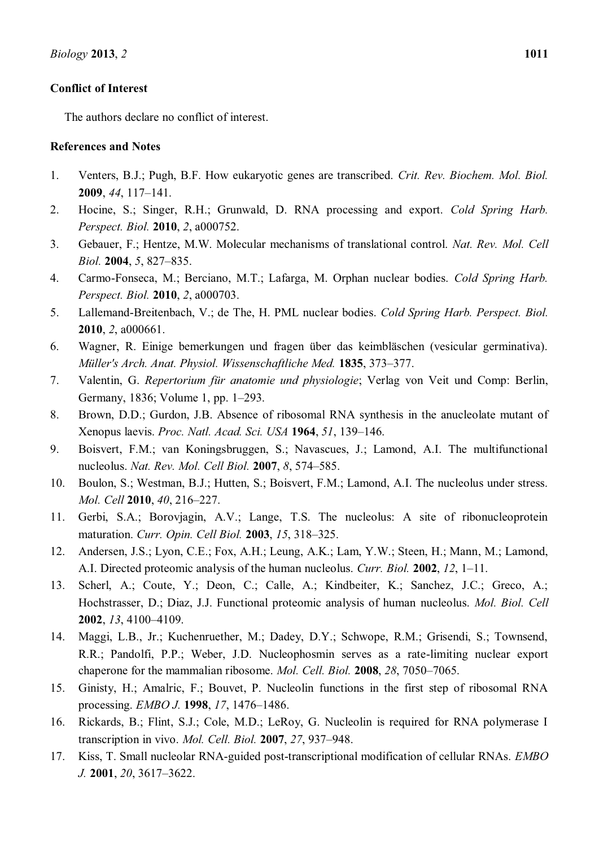# **Conflict of Interest**

The authors declare no conflict of interest.

# **References and Notes**

- 1. Venters, B.J.; Pugh, B.F. How eukaryotic genes are transcribed. *Crit. Rev. Biochem. Mol. Biol.*  **2009**, 44, 117-141.
- 2. Hocine, S.; Singer, R.H.; Grunwald, D. RNA processing and export. *Cold Spring Harb. Perspect. Biol.* **2010**, *2*, a000752.
- 3. Gebauer, F.; Hentze, M.W. Molecular mechanisms of translational control. *Nat. Rev. Mol. Cell Biol.* **2004**, 5, 827–835.
- 4. Carmo-Fonseca, M.; Berciano, M.T.; Lafarga, M. Orphan nuclear bodies. *Cold Spring Harb. Perspect. Biol.* **2010**, *2*, a000703.
- 5. Lallemand-Breitenbach, V.; de The, H. PML nuclear bodies. *Cold Spring Harb. Perspect. Biol.*  **2010**, *2*, a000661.
- 6. Wagner, R. Einige bemerkungen und fragen über das keimbläschen (vesicular germinativa). *Müller's Arch. Anat. Physiol. Wissenschaftliche Med.* **1835**, 373–377.
- 7. Valentin, G. *Repertorium für anatomie und physiologie*; Verlag von Veit und Comp: Berlin, Germany, 1836; Volume 1, pp. 1–293.
- 8. Brown, D.D.; Gurdon, J.B. Absence of ribosomal RNA synthesis in the anucleolate mutant of Xenopus laevis. *Proc. Natl. Acad. Sci. USA* **1964**, 51, 139–146.
- 9. Boisvert, F.M.; van Koningsbruggen, S.; Navascues, J.; Lamond, A.I. The multifunctional nucleolus. *Nat. Rev. Mol. Cell Biol.* **2007**, *8*, 574-585.
- 10. Boulon, S.; Westman, B.J.; Hutten, S.; Boisvert, F.M.; Lamond, A.I. The nucleolus under stress. *Mol. Cell* 2010, 40, 216-227.
- 11. Gerbi, S.A.; Borovjagin, A.V.; Lange, T.S. The nucleolus: A site of ribonucleoprotein maturation. *Curr. Opin. Cell Biol.* **2003**, 15, 318-325.
- 12. Andersen, J.S.; Lyon, C.E.; Fox, A.H.; Leung, A.K.; Lam, Y.W.; Steen, H.; Mann, M.; Lamond, A.I. Directed proteomic analysis of the human nucleolus. *Curr. Biol.* **2002**, 12, 1–11.
- 13. Scherl, A.; Coute, Y.; Deon, C.; Calle, A.; Kindbeiter, K.; Sanchez, J.C.; Greco, A.; Hochstrasser, D.; Diaz, J.J. Functional proteomic analysis of human nucleolus. *Mol. Biol. Cell*  **2002**, *13*, 4100-4109.
- 14. Maggi, L.B., Jr.; Kuchenruether, M.; Dadey, D.Y.; Schwope, R.M.; Grisendi, S.; Townsend, R.R.; Pandolfi, P.P.; Weber, J.D. Nucleophosmin serves as a rate-limiting nuclear export chaperone for the mammalian ribosome. *Mol. Cell. Biol.* **2008**, 28, 7050–7065.
- 15. Ginisty, H.; Amalric, F.; Bouvet, P. Nucleolin functions in the first step of ribosomal RNA processing. *EMBO J.* **1998**, 17, 1476–1486.
- 16. Rickards, B.; Flint, S.J.; Cole, M.D.; LeRoy, G. Nucleolin is required for RNA polymerase I transcription in vivo. *Mol. Cell. Biol.* **2007**, 27, 937-948.
- 17. Kiss, T. Small nucleolar RNA-guided post-transcriptional modification of cellular RNAs. *EMBO J.* **2001**, *20*, 3617–3622.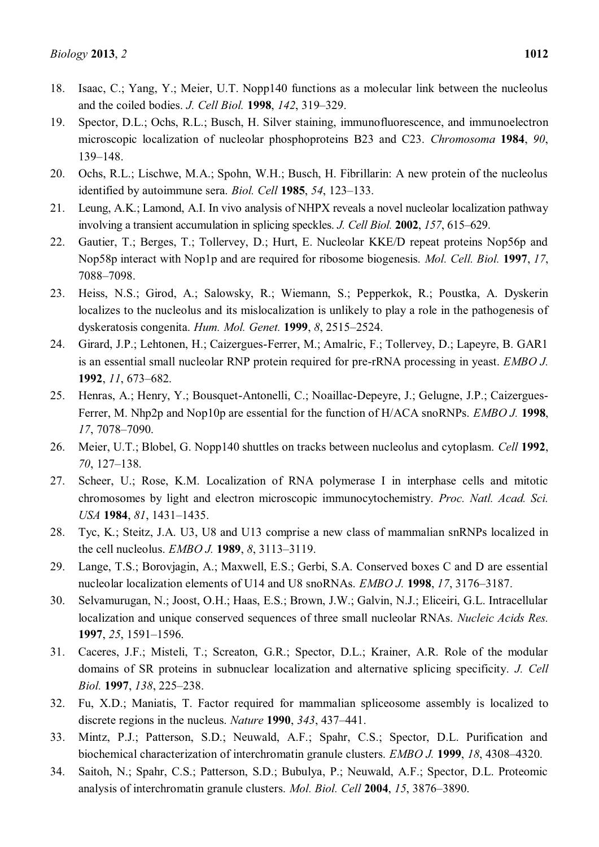- 18. Isaac, C.; Yang, Y.; Meier, U.T. Nopp140 functions as a molecular link between the nucleolus and the coiled bodies. *J. Cell Biol.* **1998**, *142*, 319–329.
- 19. Spector, D.L.; Ochs, R.L.; Busch, H. Silver staining, immunofluorescence, and immunoelectron microscopic localization of nucleolar phosphoproteins B23 and C23. *Chromosoma* **1984**, *90*, 139±148.
- 20. Ochs, R.L.; Lischwe, M.A.; Spohn, W.H.; Busch, H. Fibrillarin: A new protein of the nucleolus identified by autoimmune sera. *Biol. Cell* **1985**, 54, 123-133.
- 21. Leung, A.K.; Lamond, A.I. In vivo analysis of NHPX reveals a novel nucleolar localization pathway involving a transient accumulation in splicing speckles. *J. Cell Biol.* **2002**, 157, 615–629.
- 22. Gautier, T.; Berges, T.; Tollervey, D.; Hurt, E. Nucleolar KKE/D repeat proteins Nop56p and Nop58p interact with Nop1p and are required for ribosome biogenesis. *Mol. Cell. Biol.* **1997**, *17*, 7088±7098.
- 23. Heiss, N.S.; Girod, A.; Salowsky, R.; Wiemann, S.; Pepperkok, R.; Poustka, A. Dyskerin localizes to the nucleolus and its mislocalization is unlikely to play a role in the pathogenesis of dyskeratosis congenita. *Hum. Mol. Genet.* **1999**, *8*, 2515–2524.
- 24. Girard, J.P.; Lehtonen, H.; Caizergues-Ferrer, M.; Amalric, F.; Tollervey, D.; Lapeyre, B. GAR1 is an essential small nucleolar RNP protein required for pre-rRNA processing in yeast. *EMBO J.*  **1992**, *11*, 673–682.
- 25. Henras, A.; Henry, Y.; Bousquet-Antonelli, C.; Noaillac-Depeyre, J.; Gelugne, J.P.; Caizergues-Ferrer, M. Nhp2p and Nop10p are essential for the function of H/ACA snoRNPs. *EMBO J.* **1998**, *17*, 7078±7090.
- 26. Meier, U.T.; Blobel, G. Nopp140 shuttles on tracks between nucleolus and cytoplasm. *Cell* **1992**, *70*, 127–138.
- 27. Scheer, U.; Rose, K.M. Localization of RNA polymerase I in interphase cells and mitotic chromosomes by light and electron microscopic immunocytochemistry. *Proc. Natl. Acad. Sci. USA* **1984**, *81*, 1431±1435.
- 28. Tyc, K.; Steitz, J.A. U3, U8 and U13 comprise a new class of mammalian snRNPs localized in the cell nucleolus. *EMBO J.* **1989**, *8*, 3113-3119.
- 29. Lange, T.S.; Borovjagin, A.; Maxwell, E.S.; Gerbi, S.A. Conserved boxes C and D are essential nucleolar localization elements of U14 and U8 snoRNAs. *EMBO J.* **1998**, 17, 3176-3187.
- 30. Selvamurugan, N.; Joost, O.H.; Haas, E.S.; Brown, J.W.; Galvin, N.J.; Eliceiri, G.L. Intracellular localization and unique conserved sequences of three small nucleolar RNAs. *Nucleic Acids Res.*  **1997**, 25, 1591-1596.
- 31. Caceres, J.F.; Misteli, T.; Screaton, G.R.; Spector, D.L.; Krainer, A.R. Role of the modular domains of SR proteins in subnuclear localization and alternative splicing specificity. *J. Cell Biol.* **1997**, *138*, 225–238.
- 32. Fu, X.D.; Maniatis, T. Factor required for mammalian spliceosome assembly is localized to discrete regions in the nucleus. *Nature* **1990**, 343, 437–441.
- 33. Mintz, P.J.; Patterson, S.D.; Neuwald, A.F.; Spahr, C.S.; Spector, D.L. Purification and biochemical characterization of interchromatin granule clusters. *EMBO J.* **1999**, *18*, 4308–4320.
- 34. Saitoh, N.; Spahr, C.S.; Patterson, S.D.; Bubulya, P.; Neuwald, A.F.; Spector, D.L. Proteomic analysis of interchromatin granule clusters. *Mol. Biol. Cell* 2004, 15, 3876–3890.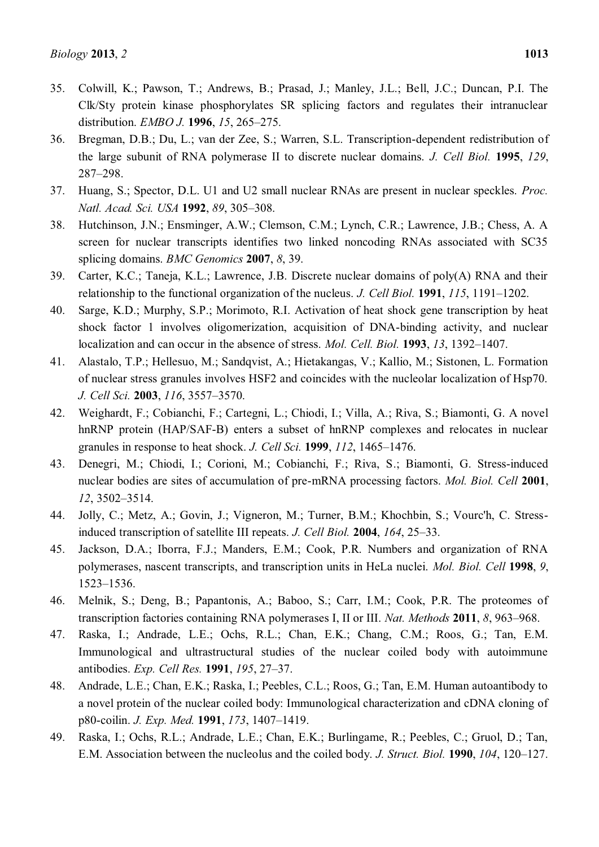- 35. Colwill, K.; Pawson, T.; Andrews, B.; Prasad, J.; Manley, J.L.; Bell, J.C.; Duncan, P.I. The Clk/Sty protein kinase phosphorylates SR splicing factors and regulates their intranuclear distribution. *EMBO J.* **1996**, 15, 265-275.
- 36. Bregman, D.B.; Du, L.; van der Zee, S.; Warren, S.L. Transcription-dependent redistribution of the large subunit of RNA polymerase II to discrete nuclear domains. *J. Cell Biol.* **1995**, *129*, 287±298.
- 37. Huang, S.; Spector, D.L. U1 and U2 small nuclear RNAs are present in nuclear speckles. *Proc. Natl. Acad. Sci. USA* **1992**, 89, 305-308.
- 38. Hutchinson, J.N.; Ensminger, A.W.; Clemson, C.M.; Lynch, C.R.; Lawrence, J.B.; Chess, A. A screen for nuclear transcripts identifies two linked noncoding RNAs associated with SC35 splicing domains. *BMC Genomics* **2007**, *8*, 39.
- 39. Carter, K.C.; Taneja, K.L.; Lawrence, J.B. Discrete nuclear domains of poly(A) RNA and their relationship to the functional organization of the nucleus. *J. Cell Biol.* **1991**, *115*, **1191**–1202.
- 40. Sarge, K.D.; Murphy, S.P.; Morimoto, R.I. Activation of heat shock gene transcription by heat shock factor 1 involves oligomerization, acquisition of DNA-binding activity, and nuclear localization and can occur in the absence of stress. *Mol. Cell. Biol.* **1993**, *13*, 1392–1407.
- 41. Alastalo, T.P.; Hellesuo, M.; Sandqvist, A.; Hietakangas, V.; Kallio, M.; Sistonen, L. Formation of nuclear stress granules involves HSF2 and coincides with the nucleolar localization of Hsp70. *J. Cell Sci.* **2003**, *116*, 3557-3570.
- 42. Weighardt, F.; Cobianchi, F.; Cartegni, L.; Chiodi, I.; Villa, A.; Riva, S.; Biamonti, G. A novel hnRNP protein (HAP/SAF-B) enters a subset of hnRNP complexes and relocates in nuclear granules in response to heat shock. *J. Cell Sci.* **1999**, *112*, 1465–1476.
- 43. Denegri, M.; Chiodi, I.; Corioni, M.; Cobianchi, F.; Riva, S.; Biamonti, G. Stress-induced nuclear bodies are sites of accumulation of pre-mRNA processing factors. *Mol. Biol. Cell* **2001**, *12*, 3502-3514.
- 44. Jolly, C.; Metz, A.; Govin, J.; Vigneron, M.; Turner, B.M.; Khochbin, S.; Vourc'h, C. Stressinduced transcription of satellite III repeats. *J. Cell Biol.* **2004**, *164*, 25–33.
- 45. Jackson, D.A.; Iborra, F.J.; Manders, E.M.; Cook, P.R. Numbers and organization of RNA polymerases, nascent transcripts, and transcription units in HeLa nuclei. *Mol. Biol. Cell* **1998**, *9*, 1523±1536.
- 46. Melnik, S.; Deng, B.; Papantonis, A.; Baboo, S.; Carr, I.M.; Cook, P.R. The proteomes of transcription factories containing RNA polymerases I, II or III, *Nat. Methods* **2011**, *8*, 963–968.
- 47. Raska, I.; Andrade, L.E.; Ochs, R.L.; Chan, E.K.; Chang, C.M.; Roos, G.; Tan, E.M. Immunological and ultrastructural studies of the nuclear coiled body with autoimmune antibodies. *Exp. Cell Res.* **1991**, *195*, 27±37.
- 48. Andrade, L.E.; Chan, E.K.; Raska, I.; Peebles, C.L.; Roos, G.; Tan, E.M. Human autoantibody to a novel protein of the nuclear coiled body: Immunological characterization and cDNA cloning of p80-coilin. *J. Exp. Med.* **1991**, *173*, 1407-1419.
- 49. Raska, I.; Ochs, R.L.; Andrade, L.E.; Chan, E.K.; Burlingame, R.; Peebles, C.; Gruol, D.; Tan, E.M. Association between the nucleolus and the coiled body. *J. Struct. Biol.* **1990**, *104*, **120**–127.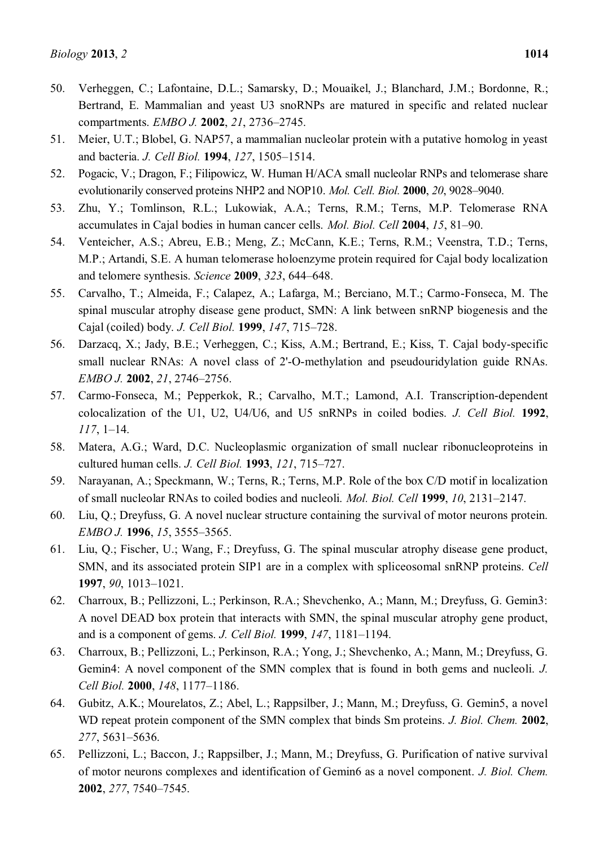- 50. Verheggen, C.; Lafontaine, D.L.; Samarsky, D.; Mouaikel, J.; Blanchard, J.M.; Bordonne, R.; Bertrand, E. Mammalian and yeast U3 snoRNPs are matured in specific and related nuclear compartments. *EMBO J.* **2002**, 21, 2736-2745.
- 51. Meier, U.T.; Blobel, G. NAP57, a mammalian nucleolar protein with a putative homolog in yeast and bacteria. *J. Cell Biol.* **1994**, *127*, 1505-1514.
- 52. Pogacic, V.; Dragon, F.; Filipowicz, W. Human H/ACA small nucleolar RNPs and telomerase share evolutionarily conserved proteins NHP2 and NOP10. *Mol. Cell. Biol.* **2000**, *20*, 9028-9040.
- 53. Zhu, Y.; Tomlinson, R.L.; Lukowiak, A.A.; Terns, R.M.; Terns, M.P. Telomerase RNA accumulates in Cajal bodies in human cancer cells. *Mol. Biol. Cell* 2004, 15, 81–90.
- 54. Venteicher, A.S.; Abreu, E.B.; Meng, Z.; McCann, K.E.; Terns, R.M.; Veenstra, T.D.; Terns, M.P.; Artandi, S.E. A human telomerase holoenzyme protein required for Cajal body localization and telomere synthesis. *Science* **2009**, 323, 644–648.
- 55. Carvalho, T.; Almeida, F.; Calapez, A.; Lafarga, M.; Berciano, M.T.; Carmo-Fonseca, M. The spinal muscular atrophy disease gene product, SMN: A link between snRNP biogenesis and the Cajal (coiled) body. *J. Cell Biol.* **1999**, *147*, 715–728.
- 56. Darzacq, X.; Jady, B.E.; Verheggen, C.; Kiss, A.M.; Bertrand, E.; Kiss, T. Cajal body-specific small nuclear RNAs: A novel class of 2'-O-methylation and pseudouridylation guide RNAs. *EMBO J.* 2002, 21, 2746-2756.
- 57. Carmo-Fonseca, M.; Pepperkok, R.; Carvalho, M.T.; Lamond, A.I. Transcription-dependent colocalization of the U1, U2, U4/U6, and U5 snRNPs in coiled bodies. *J. Cell Biol.* **1992**,  $117, 1-14.$
- 58. Matera, A.G.; Ward, D.C. Nucleoplasmic organization of small nuclear ribonucleoproteins in cultured human cells. *J. Cell Biol.* **1993**, *121*, 715-727.
- 59. Narayanan, A.; Speckmann, W.; Terns, R.; Terns, M.P. Role of the box C/D motif in localization of small nucleolar RNAs to coiled bodies and nucleoli. *Mol. Biol. Cell* 1999, 10, 2131-2147.
- 60. Liu, Q.; Dreyfuss, G. A novel nuclear structure containing the survival of motor neurons protein. *EMBO J.* **1996**, *15*, 3555-3565.
- 61. Liu, Q.; Fischer, U.; Wang, F.; Dreyfuss, G. The spinal muscular atrophy disease gene product, SMN, and its associated protein SIP1 are in a complex with spliceosomal snRNP proteins. *Cell*  **1997**, *90*, 1013-1021.
- 62. Charroux, B.; Pellizzoni, L.; Perkinson, R.A.; Shevchenko, A.; Mann, M.; Dreyfuss, G. Gemin3: A novel DEAD box protein that interacts with SMN, the spinal muscular atrophy gene product, and is a component of gems. *J. Cell Biol.* **1999**, *147*, **1181–1194**.
- 63. Charroux, B.; Pellizzoni, L.; Perkinson, R.A.; Yong, J.; Shevchenko, A.; Mann, M.; Dreyfuss, G. Gemin4: A novel component of the SMN complex that is found in both gems and nucleoli. *J. Cell Biol.* **2000**, *148*, 1177-1186.
- 64. Gubitz, A.K.; Mourelatos, Z.; Abel, L.; Rappsilber, J.; Mann, M.; Dreyfuss, G. Gemin5, a novel WD repeat protein component of the SMN complex that binds Sm proteins. *J. Biol. Chem.* **2002**, 277, 5631-5636.
- 65. Pellizzoni, L.; Baccon, J.; Rappsilber, J.; Mann, M.; Dreyfuss, G. Purification of native survival of motor neurons complexes and identification of Gemin6 as a novel component. *J. Biol. Chem.*  **2002**, 277, 7540-7545.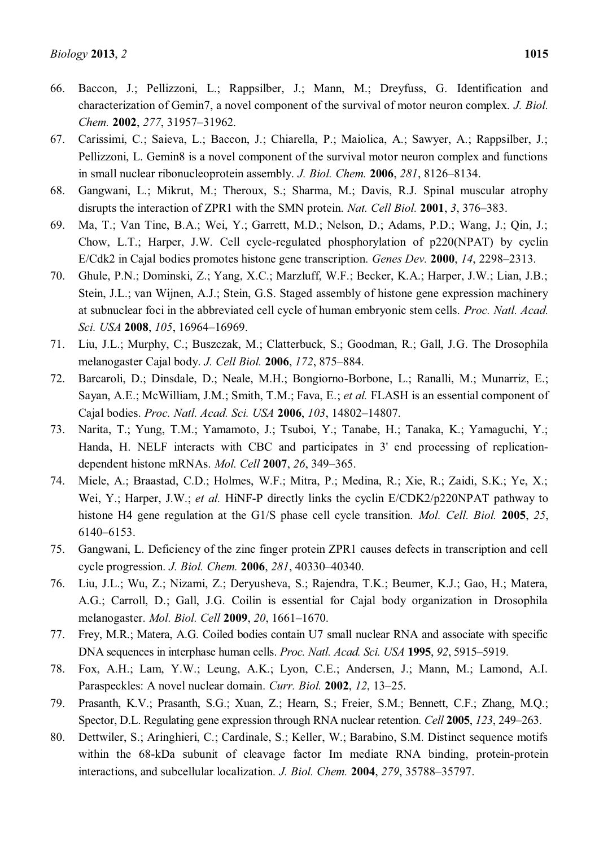- 66. Baccon, J.; Pellizzoni, L.; Rappsilber, J.; Mann, M.; Dreyfuss, G. Identification and characterization of Gemin7, a novel component of the survival of motor neuron complex. *J. Biol. Chem.* **2002**, 277, 31957-31962.
- 67. Carissimi, C.; Saieva, L.; Baccon, J.; Chiarella, P.; Maiolica, A.; Sawyer, A.; Rappsilber, J.; Pellizzoni, L. Gemin8 is a novel component of the survival motor neuron complex and functions in small nuclear ribonucleoprotein assembly. *J. Biol. Chem.* **2006**, 281, 8126–8134.
- 68. Gangwani, L.; Mikrut, M.; Theroux, S.; Sharma, M.; Davis, R.J. Spinal muscular atrophy disrupts the interaction of ZPR1 with the SMN protein. *Nat. Cell Biol.* **2001**, 3, 376–383.
- 69. Ma, T.; Van Tine, B.A.; Wei, Y.; Garrett, M.D.; Nelson, D.; Adams, P.D.; Wang, J.; Qin, J.; Chow, L.T.; Harper, J.W. Cell cycle-regulated phosphorylation of p220(NPAT) by cyclin E/Cdk2 in Cajal bodies promotes histone gene transcription. *Genes Dev.* 2000, 14, 2298–2313.
- 70. Ghule, P.N.; Dominski, Z.; Yang, X.C.; Marzluff, W.F.; Becker, K.A.; Harper, J.W.; Lian, J.B.; Stein, J.L.; van Wijnen, A.J.; Stein, G.S. Staged assembly of histone gene expression machinery at subnuclear foci in the abbreviated cell cycle of human embryonic stem cells. *Proc. Natl. Acad. Sci. USA* **2008**, *105*, 16964-16969.
- 71. Liu, J.L.; Murphy, C.; Buszczak, M.; Clatterbuck, S.; Goodman, R.; Gall, J.G. The Drosophila melanogaster Cajal body. *J. Cell Biol.* **2006**, *172*, 875-884.
- 72. Barcaroli, D.; Dinsdale, D.; Neale, M.H.; Bongiorno-Borbone, L.; Ranalli, M.; Munarriz, E.; Sayan, A.E.; McWilliam, J.M.; Smith, T.M.; Fava, E.; *et al.* FLASH is an essential component of Cajal bodies. *Proc. Natl. Acad. Sci. USA* **2006**, 103, 14802-14807.
- 73. Narita, T.; Yung, T.M.; Yamamoto, J.; Tsuboi, Y.; Tanabe, H.; Tanaka, K.; Yamaguchi, Y.; Handa, H. NELF interacts with CBC and participates in 3' end processing of replicationdependent histone mRNAs. *Mol. Cell* **2007**, 26, 349-365.
- 74. Miele, A.; Braastad, C.D.; Holmes, W.F.; Mitra, P.; Medina, R.; Xie, R.; Zaidi, S.K.; Ye, X.; Wei, Y.; Harper, J.W.; *et al.* HiNF-P directly links the cyclin E/CDK2/p220NPAT pathway to histone H4 gene regulation at the G1/S phase cell cycle transition. *Mol. Cell. Biol.* **2005**, *25*, 6140±6153.
- 75. Gangwani, L. Deficiency of the zinc finger protein ZPR1 causes defects in transcription and cell cycle progression. *J. Biol. Chem.* **2006**, *281*, 40330±40340.
- 76. Liu, J.L.; Wu, Z.; Nizami, Z.; Deryusheva, S.; Rajendra, T.K.; Beumer, K.J.; Gao, H.; Matera, A.G.; Carroll, D.; Gall, J.G. Coilin is essential for Cajal body organization in Drosophila melanogaster. *Mol. Biol. Cell* **2009**, 20, 1661-1670.
- 77. Frey, M.R.; Matera, A.G. Coiled bodies contain U7 small nuclear RNA and associate with specific DNA sequences in interphase human cells. *Proc. Natl. Acad. Sci. USA* **1995**, 92, 5915–5919.
- 78. Fox, A.H.; Lam, Y.W.; Leung, A.K.; Lyon, C.E.; Andersen, J.; Mann, M.; Lamond, A.I. Paraspeckles: A novel nuclear domain. *Curr. Biol.* **2002**, *12*, 13–25.
- 79. Prasanth, K.V.; Prasanth, S.G.; Xuan, Z.; Hearn, S.; Freier, S.M.; Bennett, C.F.; Zhang, M.Q.; Spector, D.L. Regulating gene expression through RNA nuclear retention. *Cell* 2005, 123, 249–263.
- 80. Dettwiler, S.; Aringhieri, C.; Cardinale, S.; Keller, W.; Barabino, S.M. Distinct sequence motifs within the 68-kDa subunit of cleavage factor Im mediate RNA binding, protein-protein interactions, and subcellular localization. *J. Biol. Chem.* **2004**, 279, 35788–35797.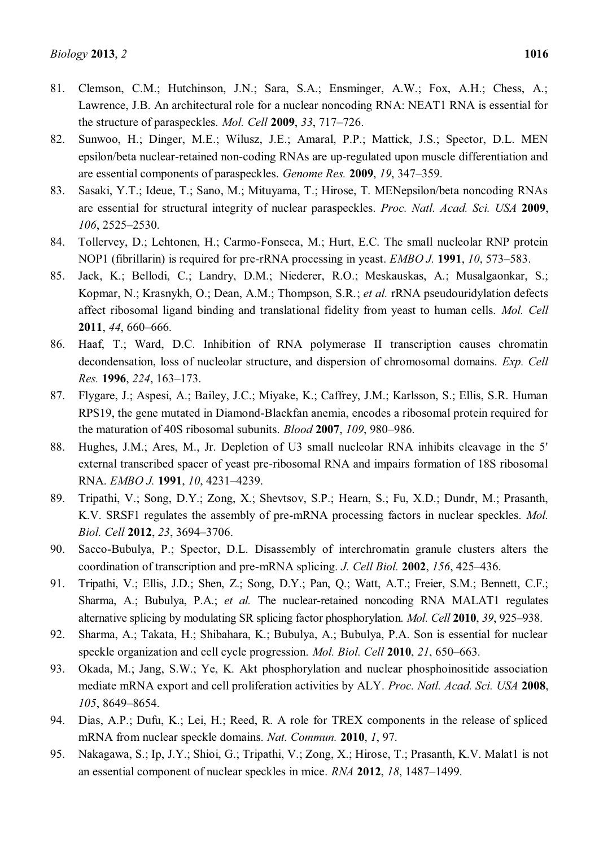- 81. Clemson, C.M.; Hutchinson, J.N.; Sara, S.A.; Ensminger, A.W.; Fox, A.H.; Chess, A.; Lawrence, J.B. An architectural role for a nuclear noncoding RNA: NEAT1 RNA is essential for the structure of paraspeckles. *Mol. Cell* **2009**, 33, 717–726.
- 82. Sunwoo, H.; Dinger, M.E.; Wilusz, J.E.; Amaral, P.P.; Mattick, J.S.; Spector, D.L. MEN epsilon/beta nuclear-retained non-coding RNAs are up-regulated upon muscle differentiation and are essential components of paraspeckles. *Genome Res.* **2009**, 19, 347–359.
- 83. Sasaki, Y.T.; Ideue, T.; Sano, M.; Mituyama, T.; Hirose, T. MENepsilon/beta noncoding RNAs are essential for structural integrity of nuclear paraspeckles. *Proc. Natl. Acad. Sci. USA* **2009**, *106*, 2525-2530.
- 84. Tollervey, D.; Lehtonen, H.; Carmo-Fonseca, M.; Hurt, E.C. The small nucleolar RNP protein NOP1 (fibrillarin) is required for pre-rRNA processing in yeast. *EMBO J.* **1991**, *10*, 573–583.
- 85. Jack, K.; Bellodi, C.; Landry, D.M.; Niederer, R.O.; Meskauskas, A.; Musalgaonkar, S.; Kopmar, N.; Krasnykh, O.; Dean, A.M.; Thompson, S.R.; *et al.* rRNA pseudouridylation defects affect ribosomal ligand binding and translational fidelity from yeast to human cells. *Mol. Cell*  **2011**, 44, 660–666.
- 86. Haaf, T.; Ward, D.C. Inhibition of RNA polymerase II transcription causes chromatin decondensation, loss of nucleolar structure, and dispersion of chromosomal domains. *Exp. Cell Res.* **1996**, 224, 163–173.
- 87. Flygare, J.; Aspesi, A.; Bailey, J.C.; Miyake, K.; Caffrey, J.M.; Karlsson, S.; Ellis, S.R. Human RPS19, the gene mutated in Diamond-Blackfan anemia, encodes a ribosomal protein required for the maturation of 40S ribosomal subunits. *Blood* 2007, 109, 980–986.
- 88. Hughes, J.M.; Ares, M., Jr. Depletion of U3 small nucleolar RNA inhibits cleavage in the 5' external transcribed spacer of yeast pre-ribosomal RNA and impairs formation of 18S ribosomal RNA. *EMBO J.* **1991**, *10*, 4231±4239.
- 89. Tripathi, V.; Song, D.Y.; Zong, X.; Shevtsov, S.P.; Hearn, S.; Fu, X.D.; Dundr, M.; Prasanth, K.V. SRSF1 regulates the assembly of pre-mRNA processing factors in nuclear speckles. *Mol. Biol. Cell* **2012**, 23, 3694-3706.
- 90. Sacco-Bubulya, P.; Spector, D.L. Disassembly of interchromatin granule clusters alters the coordination of transcription and pre-mRNA splicing. *J. Cell Biol.* **2002**, *156*, 425–436.
- 91. Tripathi, V.; Ellis, J.D.; Shen, Z.; Song, D.Y.; Pan, Q.; Watt, A.T.; Freier, S.M.; Bennett, C.F.; Sharma, A.; Bubulya, P.A.; *et al.* The nuclear-retained noncoding RNA MALAT1 regulates alternative splicing by modulating SR splicing factor phosphorylation. *Mol. Cell* **2010**, 39, 925–938.
- 92. Sharma, A.; Takata, H.; Shibahara, K.; Bubulya, A.; Bubulya, P.A. Son is essential for nuclear speckle organization and cell cycle progression. *Mol. Biol. Cell* **2010**, 21, 650–663.
- 93. Okada, M.; Jang, S.W.; Ye, K. Akt phosphorylation and nuclear phosphoinositide association mediate mRNA export and cell proliferation activities by ALY. *Proc. Natl. Acad. Sci. USA* **2008**, *105*, 8649–8654.
- 94. Dias, A.P.; Dufu, K.; Lei, H.; Reed, R. A role for TREX components in the release of spliced mRNA from nuclear speckle domains. *Nat. Commun.* **2010**, *1*, 97.
- 95. Nakagawa, S.; Ip, J.Y.; Shioi, G.; Tripathi, V.; Zong, X.; Hirose, T.; Prasanth, K.V. Malat1 is not an essential component of nuclear speckles in mice. *RNA* **2012**, *18*, 1487–1499.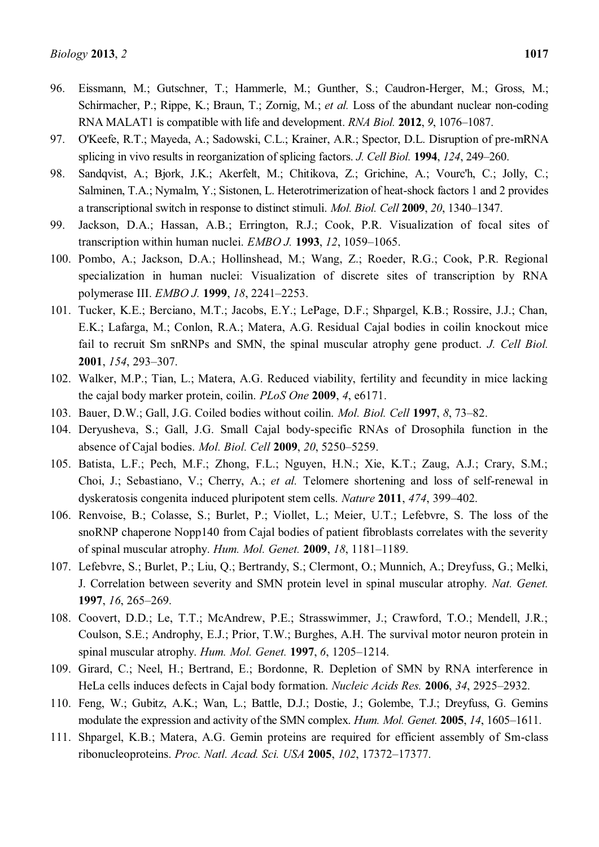- 96. Eissmann, M.; Gutschner, T.; Hammerle, M.; Gunther, S.; Caudron-Herger, M.; Gross, M.; Schirmacher, P.; Rippe, K.; Braun, T.; Zornig, M.; *et al.* Loss of the abundant nuclear non-coding RNA MALAT1 is compatible with life and development. *RNA Biol.* **2012**, 9, 1076–1087.
- 97. O'Keefe, R.T.; Mayeda, A.; Sadowski, C.L.; Krainer, A.R.; Spector, D.L. Disruption of pre-mRNA splicing in vivo results in reorganization of splicing factors. *J. Cell Biol.* **1994**, *124*, 249–260.
- 98. Sandqvist, A.; Bjork, J.K.; Akerfelt, M.; Chitikova, Z.; Grichine, A.; Vourc'h, C.; Jolly, C.; Salminen, T.A.; Nymalm, Y.; Sistonen, L. Heterotrimerization of heat-shock factors 1 and 2 provides a transcriptional switch in response to distinct stimuli. *Mol. Biol. Cell* **2009**, *20*, 1340–1347.
- 99. Jackson, D.A.; Hassan, A.B.; Errington, R.J.; Cook, P.R. Visualization of focal sites of transcription within human nuclei. *EMBO J.* **1993**, *12*, 1059–1065.
- 100. Pombo, A.; Jackson, D.A.; Hollinshead, M.; Wang, Z.; Roeder, R.G.; Cook, P.R. Regional specialization in human nuclei: Visualization of discrete sites of transcription by RNA polymerase III. *EMBO J.* **1999**, *18*, 2241–2253.
- 101. Tucker, K.E.; Berciano, M.T.; Jacobs, E.Y.; LePage, D.F.; Shpargel, K.B.; Rossire, J.J.; Chan, E.K.; Lafarga, M.; Conlon, R.A.; Matera, A.G. Residual Cajal bodies in coilin knockout mice fail to recruit Sm snRNPs and SMN, the spinal muscular atrophy gene product. *J. Cell Biol.*  **2001**, *154*, 293-307.
- 102. Walker, M.P.; Tian, L.; Matera, A.G. Reduced viability, fertility and fecundity in mice lacking the cajal body marker protein, coilin. *PLoS One* **2009**, *4*, e6171.
- 103. Bauer, D.W.; Gall, J.G. Coiled bodies without coilin. *Mol. Biol. Cell* **1997**, *8*, 73–82.
- 104. Deryusheva, S.; Gall, J.G. Small Cajal body-specific RNAs of Drosophila function in the absence of Cajal bodies. *Mol. Biol. Cell* **2009**, *20*, 5250±5259.
- 105. Batista, L.F.; Pech, M.F.; Zhong, F.L.; Nguyen, H.N.; Xie, K.T.; Zaug, A.J.; Crary, S.M.; Choi, J.; Sebastiano, V.; Cherry, A.; *et al.* Telomere shortening and loss of self-renewal in dyskeratosis congenita induced pluripotent stem cells. *Nature* 2011, 474, 399–402.
- 106. Renvoise, B.; Colasse, S.; Burlet, P.; Viollet, L.; Meier, U.T.; Lefebvre, S. The loss of the snoRNP chaperone Nopp140 from Cajal bodies of patient fibroblasts correlates with the severity of spinal muscular atrophy. *Hum. Mol. Genet.* **2009**, *18*, 1181–1189.
- 107. Lefebvre, S.; Burlet, P.; Liu, Q.; Bertrandy, S.; Clermont, O.; Munnich, A.; Dreyfuss, G.; Melki, J. Correlation between severity and SMN protein level in spinal muscular atrophy. *Nat. Genet.*  **1997**, *16*, 265–269.
- 108. Coovert, D.D.; Le, T.T.; McAndrew, P.E.; Strasswimmer, J.; Crawford, T.O.; Mendell, J.R.; Coulson, S.E.; Androphy, E.J.; Prior, T.W.; Burghes, A.H. The survival motor neuron protein in spinal muscular atrophy. *Hum. Mol. Genet.* **1997**, *6*, 1205-1214.
- 109. Girard, C.; Neel, H.; Bertrand, E.; Bordonne, R. Depletion of SMN by RNA interference in HeLa cells induces defects in Cajal body formation. *Nucleic Acids Res.* **2006**, 34, 2925–2932.
- 110. Feng, W.; Gubitz, A.K.; Wan, L.; Battle, D.J.; Dostie, J.; Golembe, T.J.; Dreyfuss, G. Gemins modulate the expression and activity of the SMN complex. *Hum. Mol. Genet.* **2005**, *14*, 1605–1611.
- 111. Shpargel, K.B.; Matera, A.G. Gemin proteins are required for efficient assembly of Sm-class ribonucleoproteins. *Proc. Natl. Acad. Sci. USA* **2005**, *102*, 17372-17377.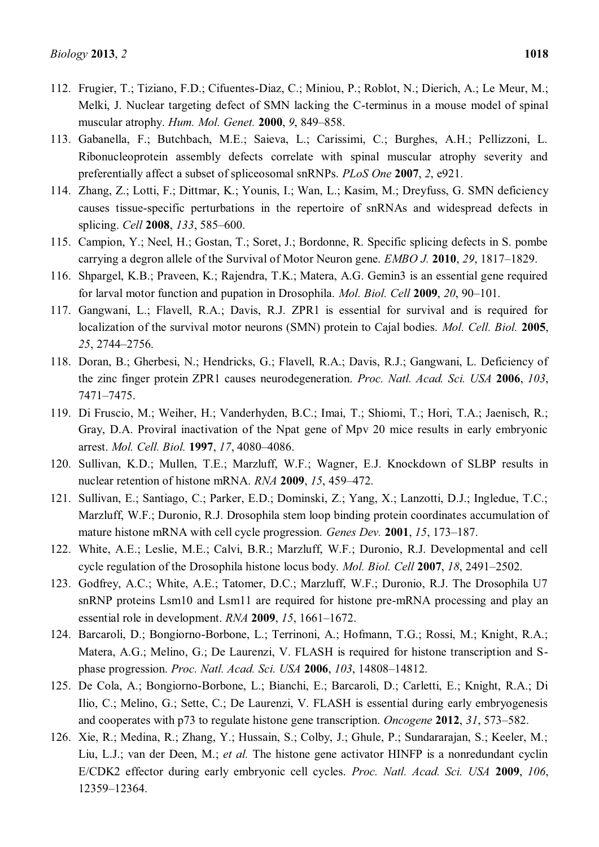- 112. Frugier, T.; Tiziano, F.D.; Cifuentes-Diaz, C.; Miniou, P.; Roblot, N.; Dierich, A.; Le Meur, M.; Melki, J. Nuclear targeting defect of SMN lacking the C-terminus in a mouse model of spinal muscular atrophy. *Hum. Mol. Genet.* **2000**, *9*, 849–858.
- 113. Gabanella, F.; Butchbach, M.E.; Saieva, L.; Carissimi, C.; Burghes, A.H.; Pellizzoni, L. Ribonucleoprotein assembly defects correlate with spinal muscular atrophy severity and preferentially affect a subset of spliceosomal snRNPs. *PLoS One* **2007**, *2*, e921.
- 114. Zhang, Z.; Lotti, F.; Dittmar, K.; Younis, I.; Wan, L.; Kasim, M.; Dreyfuss, G. SMN deficiency causes tissue-specific perturbations in the repertoire of snRNAs and widespread defects in splicing. *Cell* **2008**, 133, 585-600.
- 115. Campion, Y.; Neel, H.; Gostan, T.; Soret, J.; Bordonne, R. Specific splicing defects in S. pombe carrying a degron allele of the Survival of Motor Neuron gene. *EMBO J.* **2010**, 29, 1817–1829.
- 116. Shpargel, K.B.; Praveen, K.; Rajendra, T.K.; Matera, A.G. Gemin3 is an essential gene required for larval motor function and pupation in Drosophila. *Mol. Biol. Cell* **2009**, 20, 90–101.
- 117. Gangwani, L.; Flavell, R.A.; Davis, R.J. ZPR1 is essential for survival and is required for localization of the survival motor neurons (SMN) protein to Cajal bodies. *Mol. Cell. Biol.* **2005**, 25, 2744-2756.
- 118. Doran, B.; Gherbesi, N.; Hendricks, G.; Flavell, R.A.; Davis, R.J.; Gangwani, L. Deficiency of the zinc finger protein ZPR1 causes neurodegeneration. *Proc. Natl. Acad. Sci. USA* **2006**, *103*, 7471±7475.
- 119. Di Fruscio, M.; Weiher, H.; Vanderhyden, B.C.; Imai, T.; Shiomi, T.; Hori, T.A.; Jaenisch, R.; Gray, D.A. Proviral inactivation of the Npat gene of Mpv 20 mice results in early embryonic arrest. *Mol. Cell. Biol.* **1997**, 17, 4080-4086.
- 120. Sullivan, K.D.; Mullen, T.E.; Marzluff, W.F.; Wagner, E.J. Knockdown of SLBP results in nuclear retention of histone mRNA. *RNA* **2009**, 15, 459–472.
- 121. Sullivan, E.; Santiago, C.; Parker, E.D.; Dominski, Z.; Yang, X.; Lanzotti, D.J.; Ingledue, T.C.; Marzluff, W.F.; Duronio, R.J. Drosophila stem loop binding protein coordinates accumulation of mature histone mRNA with cell cycle progression. *Genes Dev.* **2001**, *15*, 173–187.
- 122. White, A.E.; Leslie, M.E.; Calvi, B.R.; Marzluff, W.F.; Duronio, R.J. Developmental and cell cycle regulation of the Drosophila histone locus body. *Mol. Biol. Cell* 2007, 18, 2491–2502.
- 123. Godfrey, A.C.; White, A.E.; Tatomer, D.C.; Marzluff, W.F.; Duronio, R.J. The Drosophila U7 snRNP proteins Lsm10 and Lsm11 are required for histone pre-mRNA processing and play an essential role in development. *RNA* **2009**, *15*, 1661–1672.
- 124. Barcaroli, D.; Bongiorno-Borbone, L.; Terrinoni, A.; Hofmann, T.G.; Rossi, M.; Knight, R.A.; Matera, A.G.; Melino, G.; De Laurenzi, V. FLASH is required for histone transcription and Sphase progression. *Proc. Natl. Acad. Sci. USA* **2006**, 103, 14808–14812.
- 125. De Cola, A.; Bongiorno-Borbone, L.; Bianchi, E.; Barcaroli, D.; Carletti, E.; Knight, R.A.; Di Ilio, C.; Melino, G.; Sette, C.; De Laurenzi, V. FLASH is essential during early embryogenesis and cooperates with p73 to regulate histone gene transcription. *Oncogene* 2012, 31, 573–582.
- 126. Xie, R.; Medina, R.; Zhang, Y.; Hussain, S.; Colby, J.; Ghule, P.; Sundararajan, S.; Keeler, M.; Liu, L.J.; van der Deen, M.; *et al.* The histone gene activator HINFP is a nonredundant cyclin E/CDK2 effector during early embryonic cell cycles. *Proc. Natl. Acad. Sci. USA* **2009**, *106*, 12359±12364.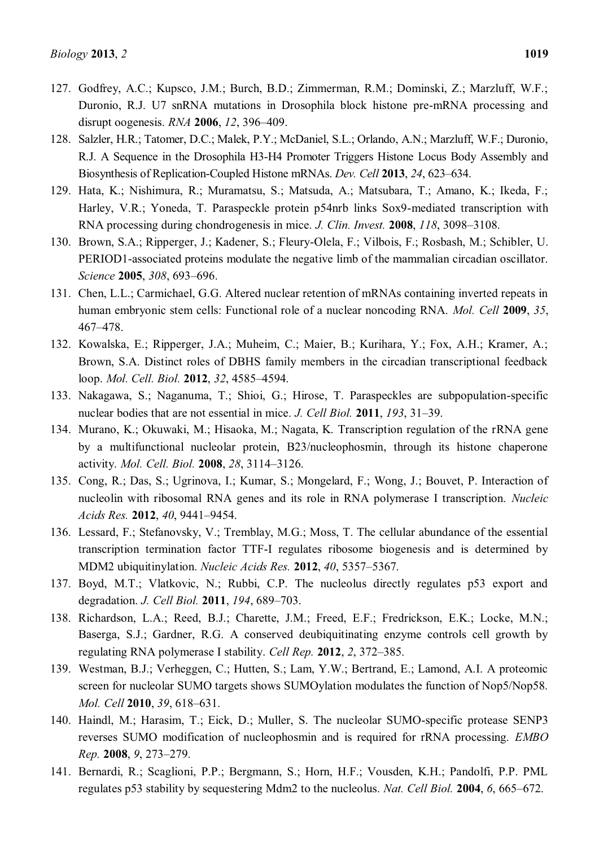- 127. Godfrey, A.C.; Kupsco, J.M.; Burch, B.D.; Zimmerman, R.M.; Dominski, Z.; Marzluff, W.F.; Duronio, R.J. U7 snRNA mutations in Drosophila block histone pre-mRNA processing and disrupt oogenesis. *RNA* **2006**, *12*, 396–409.
- 128. Salzler, H.R.; Tatomer, D.C.; Malek, P.Y.; McDaniel, S.L.; Orlando, A.N.; Marzluff, W.F.; Duronio, R.J. A Sequence in the Drosophila H3-H4 Promoter Triggers Histone Locus Body Assembly and Biosynthesis of Replication-Coupled Histone mRNAs. *Dev. Cell* 2013, 24, 623–634.
- 129. Hata, K.; Nishimura, R.; Muramatsu, S.; Matsuda, A.; Matsubara, T.; Amano, K.; Ikeda, F.; Harley, V.R.; Yoneda, T. Paraspeckle protein p54nrb links Sox9-mediated transcription with RNA processing during chondrogenesis in mice. *J. Clin. Invest.* **2008**, *118*, 3098–3108.
- 130. Brown, S.A.; Ripperger, J.; Kadener, S.; Fleury-Olela, F.; Vilbois, F.; Rosbash, M.; Schibler, U. PERIOD1-associated proteins modulate the negative limb of the mammalian circadian oscillator. *Science* **2005**, *308*, 693-696.
- 131. Chen, L.L.; Carmichael, G.G. Altered nuclear retention of mRNAs containing inverted repeats in human embryonic stem cells: Functional role of a nuclear noncoding RNA. *Mol. Cell* **2009**, *35*, 467±478.
- 132. Kowalska, E.; Ripperger, J.A.; Muheim, C.; Maier, B.; Kurihara, Y.; Fox, A.H.; Kramer, A.; Brown, S.A. Distinct roles of DBHS family members in the circadian transcriptional feedback loop. *Mol. Cell. Biol.* **2012**, 32, 4585–4594.
- 133. Nakagawa, S.; Naganuma, T.; Shioi, G.; Hirose, T. Paraspeckles are subpopulation-specific nuclear bodies that are not essential in mice. *J. Cell Biol.* **2011**, *193*, 31–39.
- 134. Murano, K.; Okuwaki, M.; Hisaoka, M.; Nagata, K. Transcription regulation of the rRNA gene by a multifunctional nucleolar protein, B23/nucleophosmin, through its histone chaperone activity. *Mol. Cell. Biol.* **2008**, *28*, 3114±3126.
- 135. Cong, R.; Das, S.; Ugrinova, I.; Kumar, S.; Mongelard, F.; Wong, J.; Bouvet, P. Interaction of nucleolin with ribosomal RNA genes and its role in RNA polymerase I transcription. *Nucleic Acids Res.* **2012**, *40*, 9441-9454.
- 136. Lessard, F.; Stefanovsky, V.; Tremblay, M.G.; Moss, T. The cellular abundance of the essential transcription termination factor TTF-I regulates ribosome biogenesis and is determined by MDM2 ubiquitinylation. *Nucleic Acids Res.* **2012**, *40*, 5357±5367.
- 137. Boyd, M.T.; Vlatkovic, N.; Rubbi, C.P. The nucleolus directly regulates p53 export and degradation. *J. Cell Biol.* **2011**, *194*, 689–703.
- 138. Richardson, L.A.; Reed, B.J.; Charette, J.M.; Freed, E.F.; Fredrickson, E.K.; Locke, M.N.; Baserga, S.J.; Gardner, R.G. A conserved deubiquitinating enzyme controls cell growth by regulating RNA polymerase I stability. *Cell Rep.* 2012, 2, 372–385.
- 139. Westman, B.J.; Verheggen, C.; Hutten, S.; Lam, Y.W.; Bertrand, E.; Lamond, A.I. A proteomic screen for nucleolar SUMO targets shows SUMOylation modulates the function of Nop5/Nop58. *Mol. Cell* **2010**, 39, 618-631.
- 140. Haindl, M.; Harasim, T.; Eick, D.; Muller, S. The nucleolar SUMO-specific protease SENP3 reverses SUMO modification of nucleophosmin and is required for rRNA processing. *EMBO Rep.* **2008**, *9*, 273±279.
- 141. Bernardi, R.; Scaglioni, P.P.; Bergmann, S.; Horn, H.F.; Vousden, K.H.; Pandolfi, P.P. PML regulates p53 stability by sequestering Mdm2 to the nucleolus. *Nat. Cell Biol.* **2004**, *6*, 665–672.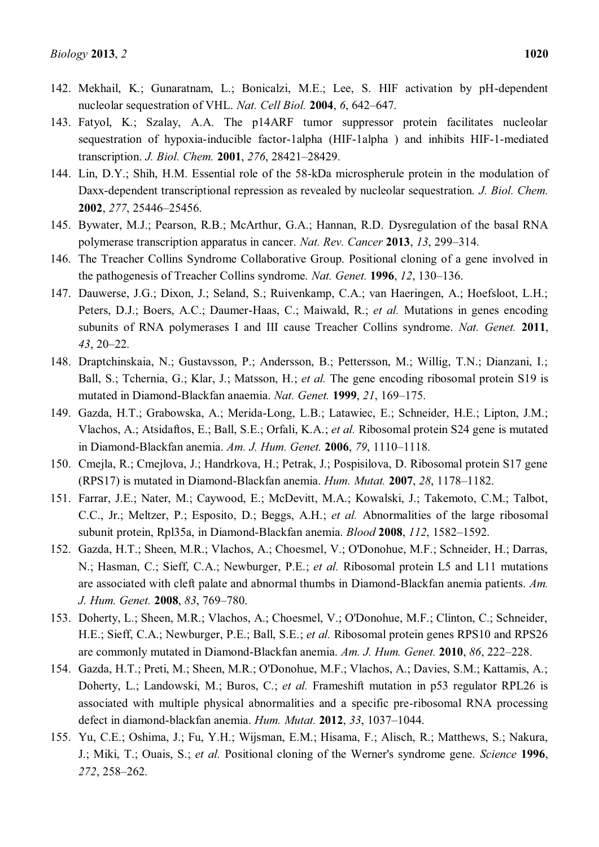- 142. Mekhail, K.; Gunaratnam, L.; Bonicalzi, M.E.; Lee, S. HIF activation by pH-dependent nucleolar sequestration of VHL. *Nat. Cell Biol.* **2004**, *6*, 642–647.
- 143. Fatyol, K.; Szalay, A.A. The p14ARF tumor suppressor protein facilitates nucleolar sequestration of hypoxia-inducible factor-1alpha (HIF-1alpha ) and inhibits HIF-1-mediated transcription. *J. Biol. Chem.* **2001**, 276, 28421-28429.
- 144. Lin, D.Y.; Shih, H.M. Essential role of the 58-kDa microspherule protein in the modulation of Daxx-dependent transcriptional repression as revealed by nucleolar sequestration. *J. Biol. Chem.*  **2002**, 277, 25446-25456.
- 145. Bywater, M.J.; Pearson, R.B.; McArthur, G.A.; Hannan, R.D. Dysregulation of the basal RNA polymerase transcription apparatus in cancer. *Nat. Rev. Cancer* 2013, 13, 299–314.
- 146. The Treacher Collins Syndrome Collaborative Group. Positional cloning of a gene involved in the pathogenesis of Treacher Collins syndrome. *Nat. Genet.* **1996**, *12*, **130**–136.
- 147. Dauwerse, J.G.; Dixon, J.; Seland, S.; Ruivenkamp, C.A.; van Haeringen, A.; Hoefsloot, L.H.; Peters, D.J.; Boers, A.C.; Daumer-Haas, C.; Maiwald, R.; *et al.* Mutations in genes encoding subunits of RNA polymerases I and III cause Treacher Collins syndrome. *Nat. Genet.* **2011**, *43*, 20–22.
- 148. Draptchinskaia, N.; Gustavsson, P.; Andersson, B.; Pettersson, M.; Willig, T.N.; Dianzani, I.; Ball, S.; Tchernia, G.; Klar, J.; Matsson, H.; *et al.* The gene encoding ribosomal protein S19 is mutated in Diamond-Blackfan anaemia. *Nat. Genet.* **1999**, 21, 169-175.
- 149. Gazda, H.T.; Grabowska, A.; Merida-Long, L.B.; Latawiec, E.; Schneider, H.E.; Lipton, J.M.; Vlachos, A.; Atsidaftos, E.; Ball, S.E.; Orfali, K.A.; *et al.* Ribosomal protein S24 gene is mutated in Diamond-Blackfan anemia. *Am. J. Hum. Genet.* **2006**, 79, 1110-1118.
- 150. Cmejla, R.; Cmejlova, J.; Handrkova, H.; Petrak, J.; Pospisilova, D. Ribosomal protein S17 gene (RPS17) is mutated in Diamond-Blackfan anemia. *Hum. Mutat.* **2007**, 28, 1178-1182.
- 151. Farrar, J.E.; Nater, M.; Caywood, E.; McDevitt, M.A.; Kowalski, J.; Takemoto, C.M.; Talbot, C.C., Jr.; Meltzer, P.; Esposito, D.; Beggs, A.H.; *et al.* Abnormalities of the large ribosomal subunit protein, Rpl35a, in Diamond-Blackfan anemia. *Blood* 2008, 112, 1582-1592.
- 152. Gazda, H.T.; Sheen, M.R.; Vlachos, A.; Choesmel, V.; O'Donohue, M.F.; Schneider, H.; Darras, N.; Hasman, C.; Sieff, C.A.; Newburger, P.E.; *et al.* Ribosomal protein L5 and L11 mutations are associated with cleft palate and abnormal thumbs in Diamond-Blackfan anemia patients. *Am. J. Hum. Genet.* **2008**, 83, 769-780.
- 153. Doherty, L.; Sheen, M.R.; Vlachos, A.; Choesmel, V.; O'Donohue, M.F.; Clinton, C.; Schneider, H.E.; Sieff, C.A.; Newburger, P.E.; Ball, S.E.; *et al.* Ribosomal protein genes RPS10 and RPS26 are commonly mutated in Diamond-Blackfan anemia. *Am. J. Hum. Genet.* **2010**, *86*, 222–228.
- 154. Gazda, H.T.; Preti, M.; Sheen, M.R.; O'Donohue, M.F.; Vlachos, A.; Davies, S.M.; Kattamis, A.; Doherty, L.; Landowski, M.; Buros, C.; *et al.* Frameshift mutation in p53 regulator RPL26 is associated with multiple physical abnormalities and a specific pre-ribosomal RNA processing defect in diamond-blackfan anemia. *Hum. Mutat.* **2012**, 33, 1037-1044.
- 155. Yu, C.E.; Oshima, J.; Fu, Y.H.; Wijsman, E.M.; Hisama, F.; Alisch, R.; Matthews, S.; Nakura, J.; Miki, T.; Ouais, S.; *et al.* Positional cloning of the Werner's syndrome gene. *Science* **1996**, 272, 258-262.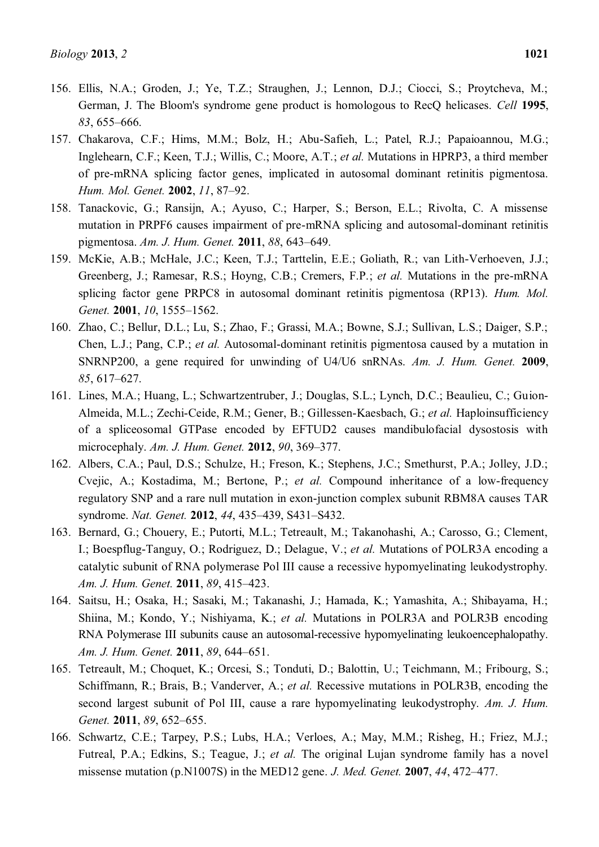- 156. Ellis, N.A.; Groden, J.; Ye, T.Z.; Straughen, J.; Lennon, D.J.; Ciocci, S.; Proytcheva, M.; German, J. The Bloom's syndrome gene product is homologous to RecQ helicases. *Cell* **1995**, 83, 655–666.
- 157. Chakarova, C.F.; Hims, M.M.; Bolz, H.; Abu-Safieh, L.; Patel, R.J.; Papaioannou, M.G.; Inglehearn, C.F.; Keen, T.J.; Willis, C.; Moore, A.T.; *et al.* Mutations in HPRP3, a third member of pre-mRNA splicing factor genes, implicated in autosomal dominant retinitis pigmentosa. *Hum. Mol. Genet.* **2002**, 11, 87-92.
- 158. Tanackovic, G.; Ransijn, A.; Ayuso, C.; Harper, S.; Berson, E.L.; Rivolta, C. A missense mutation in PRPF6 causes impairment of pre-mRNA splicing and autosomal-dominant retinitis pigmentosa. *Am. J. Hum. Genet.* **2011**, *88*, 643±649.
- 159. McKie, A.B.; McHale, J.C.; Keen, T.J.; Tarttelin, E.E.; Goliath, R.; van Lith-Verhoeven, J.J.; Greenberg, J.; Ramesar, R.S.; Hoyng, C.B.; Cremers, F.P.; *et al.* Mutations in the pre-mRNA splicing factor gene PRPC8 in autosomal dominant retinitis pigmentosa (RP13). *Hum. Mol. Genet.* **2001**, *10*, 1555-1562.
- 160. Zhao, C.; Bellur, D.L.; Lu, S.; Zhao, F.; Grassi, M.A.; Bowne, S.J.; Sullivan, L.S.; Daiger, S.P.; Chen, L.J.; Pang, C.P.; *et al.* Autosomal-dominant retinitis pigmentosa caused by a mutation in SNRNP200, a gene required for unwinding of U4/U6 snRNAs. *Am. J. Hum. Genet.* **2009**, 85, 617–627.
- 161. Lines, M.A.; Huang, L.; Schwartzentruber, J.; Douglas, S.L.; Lynch, D.C.; Beaulieu, C.; Guion-Almeida, M.L.; Zechi-Ceide, R.M.; Gener, B.; Gillessen-Kaesbach, G.; *et al.* Haploinsufficiency of a spliceosomal GTPase encoded by EFTUD2 causes mandibulofacial dysostosis with microcephaly. *Am. J. Hum. Genet.* **2012**, *90*, 369-377.
- 162. Albers, C.A.; Paul, D.S.; Schulze, H.; Freson, K.; Stephens, J.C.; Smethurst, P.A.; Jolley, J.D.; Cvejic, A.; Kostadima, M.; Bertone, P.; *et al.* Compound inheritance of a low-frequency regulatory SNP and a rare null mutation in exon-junction complex subunit RBM8A causes TAR syndrome. *Nat. Genet.* **2012**, 44, 435–439, S431–S432.
- 163. Bernard, G.; Chouery, E.; Putorti, M.L.; Tetreault, M.; Takanohashi, A.; Carosso, G.; Clement, I.; Boespflug-Tanguy, O.; Rodriguez, D.; Delague, V.; *et al.* Mutations of POLR3A encoding a catalytic subunit of RNA polymerase Pol III cause a recessive hypomyelinating leukodystrophy. *Am. J. Hum. Genet.* **2011**, 89, 415-423.
- 164. Saitsu, H.; Osaka, H.; Sasaki, M.; Takanashi, J.; Hamada, K.; Yamashita, A.; Shibayama, H.; Shiina, M.; Kondo, Y.; Nishiyama, K.; *et al.* Mutations in POLR3A and POLR3B encoding RNA Polymerase III subunits cause an autosomal-recessive hypomyelinating leukoencephalopathy. *Am. J. Hum. Genet.* **2011**, 89, 644-651.
- 165. Tetreault, M.; Choquet, K.; Orcesi, S.; Tonduti, D.; Balottin, U.; Teichmann, M.; Fribourg, S.; Schiffmann, R.; Brais, B.; Vanderver, A.; *et al.* Recessive mutations in POLR3B, encoding the second largest subunit of Pol III, cause a rare hypomyelinating leukodystrophy. *Am. J. Hum. Genet.* **2011**, 89, 652-655.
- 166. Schwartz, C.E.; Tarpey, P.S.; Lubs, H.A.; Verloes, A.; May, M.M.; Risheg, H.; Friez, M.J.; Futreal, P.A.; Edkins, S.; Teague, J.; *et al.* The original Lujan syndrome family has a novel missense mutation (p.N1007S) in the MED12 gene. *J. Med. Genet.* **2007**, 44, 472–477.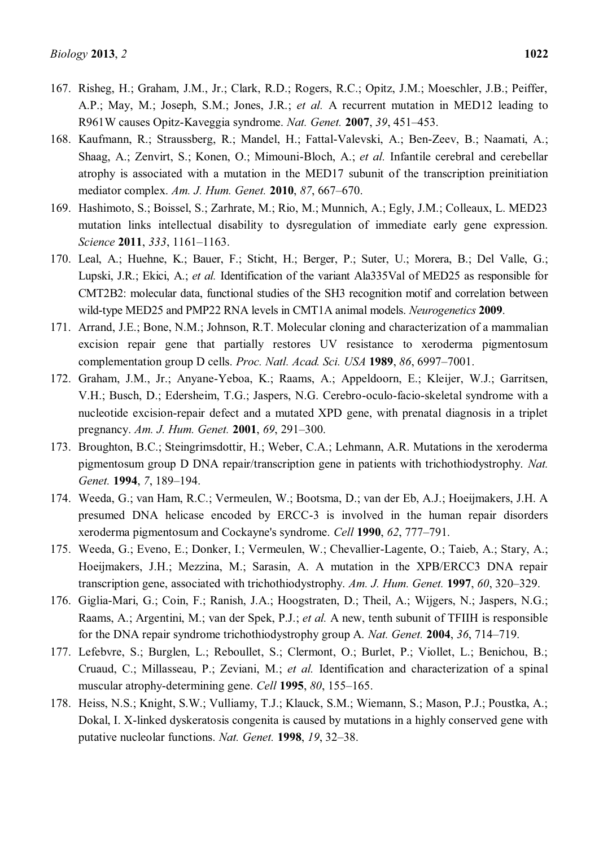- 167. Risheg, H.; Graham, J.M., Jr.; Clark, R.D.; Rogers, R.C.; Opitz, J.M.; Moeschler, J.B.; Peiffer, A.P.; May, M.; Joseph, S.M.; Jones, J.R.; *et al.* A recurrent mutation in MED12 leading to R961W causes Opitz-Kaveggia syndrome. *Nat. Genet.* **2007**, 39, 451–453.
- 168. Kaufmann, R.; Straussberg, R.; Mandel, H.; Fattal-Valevski, A.; Ben-Zeev, B.; Naamati, A.; Shaag, A.; Zenvirt, S.; Konen, O.; Mimouni-Bloch, A.; *et al.* Infantile cerebral and cerebellar atrophy is associated with a mutation in the MED17 subunit of the transcription preinitiation mediator complex. *Am. J. Hum. Genet.* **2010**, 87, 667-670.
- 169. Hashimoto, S.; Boissel, S.; Zarhrate, M.; Rio, M.; Munnich, A.; Egly, J.M.; Colleaux, L. MED23 mutation links intellectual disability to dysregulation of immediate early gene expression. *Science* **2011**, 333, 1161-1163.
- 170. Leal, A.; Huehne, K.; Bauer, F.; Sticht, H.; Berger, P.; Suter, U.; Morera, B.; Del Valle, G.; Lupski, J.R.; Ekici, A.; *et al.* Identification of the variant Ala335Val of MED25 as responsible for CMT2B2: molecular data, functional studies of the SH3 recognition motif and correlation between wild-type MED25 and PMP22 RNA levels in CMT1A animal models. *Neurogenetics* **2009**.
- 171. Arrand, J.E.; Bone, N.M.; Johnson, R.T. Molecular cloning and characterization of a mammalian excision repair gene that partially restores UV resistance to xeroderma pigmentosum complementation group D cells. *Proc. Natl. Acad. Sci. USA* **1989**, *86*, 6997-7001.
- 172. Graham, J.M., Jr.; Anyane-Yeboa, K.; Raams, A.; Appeldoorn, E.; Kleijer, W.J.; Garritsen, V.H.; Busch, D.; Edersheim, T.G.; Jaspers, N.G. Cerebro-oculo-facio-skeletal syndrome with a nucleotide excision-repair defect and a mutated XPD gene, with prenatal diagnosis in a triplet pregnancy. *Am. J. Hum. Genet.* **2001**, *69*, 291–300.
- 173. Broughton, B.C.; Steingrimsdottir, H.; Weber, C.A.; Lehmann, A.R. Mutations in the xeroderma pigmentosum group D DNA repair/transcription gene in patients with trichothiodystrophy. *Nat. Genet.* **1994**, 7, 189-194.
- 174. Weeda, G.; van Ham, R.C.; Vermeulen, W.; Bootsma, D.; van der Eb, A.J.; Hoeijmakers, J.H. A presumed DNA helicase encoded by ERCC-3 is involved in the human repair disorders xeroderma pigmentosum and Cockayne's syndrome. *Cell* 1990, *62*, 777-791.
- 175. Weeda, G.; Eveno, E.; Donker, I.; Vermeulen, W.; Chevallier-Lagente, O.; Taieb, A.; Stary, A.; Hoeijmakers, J.H.; Mezzina, M.; Sarasin, A. A mutation in the XPB/ERCC3 DNA repair transcription gene, associated with trichothiodystrophy. *Am. J. Hum. Genet.* **1997**, *60*, 320–329.
- 176. Giglia-Mari, G.; Coin, F.; Ranish, J.A.; Hoogstraten, D.; Theil, A.; Wijgers, N.; Jaspers, N.G.; Raams, A.; Argentini, M.; van der Spek, P.J.; *et al.* A new, tenth subunit of TFIIH is responsible for the DNA repair syndrome trichothiodystrophy group A. *Nat. Genet.* **2004**, 36, 714–719.
- 177. Lefebvre, S.; Burglen, L.; Reboullet, S.; Clermont, O.; Burlet, P.; Viollet, L.; Benichou, B.; Cruaud, C.; Millasseau, P.; Zeviani, M.; *et al.* Identification and characterization of a spinal muscular atrophy-determining gene. *Cell* **1995**, 80, 155-165.
- 178. Heiss, N.S.; Knight, S.W.; Vulliamy, T.J.; Klauck, S.M.; Wiemann, S.; Mason, P.J.; Poustka, A.; Dokal, I. X-linked dyskeratosis congenita is caused by mutations in a highly conserved gene with putative nucleolar functions. *Nat. Genet.* **1998**, *19*, 32–38.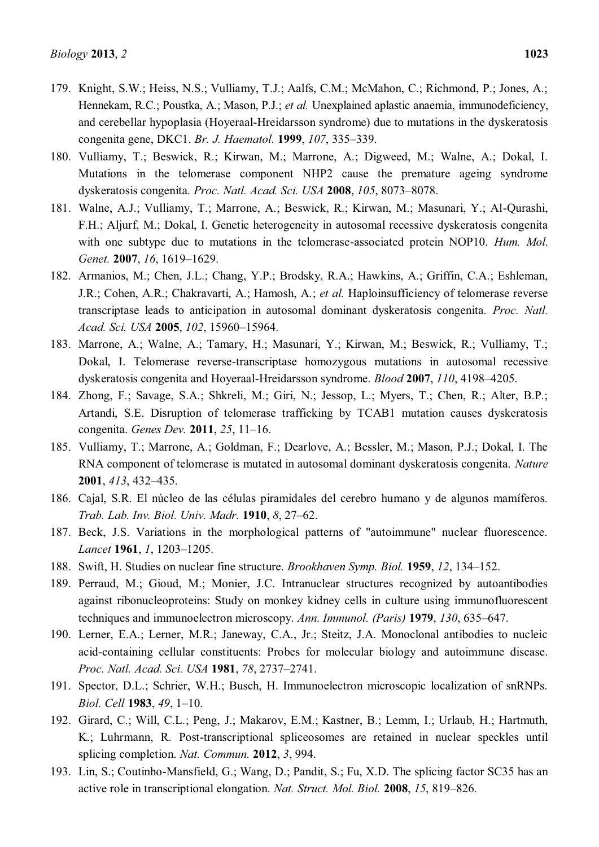- 179. Knight, S.W.; Heiss, N.S.; Vulliamy, T.J.; Aalfs, C.M.; McMahon, C.; Richmond, P.; Jones, A.; Hennekam, R.C.; Poustka, A.; Mason, P.J.; *et al.* Unexplained aplastic anaemia, immunodeficiency, and cerebellar hypoplasia (Hoyeraal-Hreidarsson syndrome) due to mutations in the dyskeratosis congenita gene, DKC1. *Br. J. Haematol.* **1999**, *107*, 335±339.
- 180. Vulliamy, T.; Beswick, R.; Kirwan, M.; Marrone, A.; Digweed, M.; Walne, A.; Dokal, I. Mutations in the telomerase component NHP2 cause the premature ageing syndrome dyskeratosis congenita. *Proc. Natl. Acad. Sci. USA* **2008**, 105, 8073-8078.
- 181. Walne, A.J.; Vulliamy, T.; Marrone, A.; Beswick, R.; Kirwan, M.; Masunari, Y.; Al-Qurashi, F.H.; Aljurf, M.; Dokal, I. Genetic heterogeneity in autosomal recessive dyskeratosis congenita with one subtype due to mutations in the telomerase-associated protein NOP10. *Hum. Mol. Genet.* **2007**, *16*, 1619-1629.
- 182. Armanios, M.; Chen, J.L.; Chang, Y.P.; Brodsky, R.A.; Hawkins, A.; Griffin, C.A.; Eshleman, J.R.; Cohen, A.R.; Chakravarti, A.; Hamosh, A.; *et al.* Haploinsufficiency of telomerase reverse transcriptase leads to anticipation in autosomal dominant dyskeratosis congenita. *Proc. Natl. Acad. Sci. USA* 2005, 102, 15960-15964.
- 183. Marrone, A.; Walne, A.; Tamary, H.; Masunari, Y.; Kirwan, M.; Beswick, R.; Vulliamy, T.; Dokal, I. Telomerase reverse-transcriptase homozygous mutations in autosomal recessive dyskeratosis congenita and Hoyeraal-Hreidarsson syndrome. *Blood* 2007, 110, 4198-4205.
- 184. Zhong, F.; Savage, S.A.; Shkreli, M.; Giri, N.; Jessop, L.; Myers, T.; Chen, R.; Alter, B.P.; Artandi, S.E. Disruption of telomerase trafficking by TCAB1 mutation causes dyskeratosis congenita. *Genes Dev.* **2011**, 25, 11-16.
- 185. Vulliamy, T.; Marrone, A.; Goldman, F.; Dearlove, A.; Bessler, M.; Mason, P.J.; Dokal, I. The RNA component of telomerase is mutated in autosomal dominant dyskeratosis congenita. *Nature*  **2001**, 413, 432–435.
- 186. Cajal, S.R. El núcleo de las células piramidales del cerebro humano y de algunos mamíferos. *Trab. Lab. Inv. Biol. Univ. Madr.* **1910**, *8*, 27–62.
- 187. Beck, J.S. Variations in the morphological patterns of "autoimmune" nuclear fluorescence. *Lancet* **1961**, *1*, 1203-1205.
- 188. Swift, H. Studies on nuclear fine structure. *Brookhaven Symp. Biol.* **1959**, *12*, **134**-152.
- 189. Perraud, M.; Gioud, M.; Monier, J.C. Intranuclear structures recognized by autoantibodies against ribonucleoproteins: Study on monkey kidney cells in culture using immunofluorescent techniques and immunoelectron microscopy. Ann. Immunol. (Paris) **1979**, 130, 635–647.
- 190. Lerner, E.A.; Lerner, M.R.; Janeway, C.A., Jr.; Steitz, J.A. Monoclonal antibodies to nucleic acid-containing cellular constituents: Probes for molecular biology and autoimmune disease. *Proc. Natl. Acad. Sci. USA* **1981**, *78*, 2737±2741.
- 191. Spector, D.L.; Schrier, W.H.; Busch, H. Immunoelectron microscopic localization of snRNPs. *Biol. Cell* **1983**, 49, 1-10.
- 192. Girard, C.; Will, C.L.; Peng, J.; Makarov, E.M.; Kastner, B.; Lemm, I.; Urlaub, H.; Hartmuth, K.; Luhrmann, R. Post-transcriptional spliceosomes are retained in nuclear speckles until splicing completion. *Nat. Commun.* **2012**, *3*, 994.
- 193. Lin, S.; Coutinho-Mansfield, G.; Wang, D.; Pandit, S.; Fu, X.D. The splicing factor SC35 has an active role in transcriptional elongation. *Nat. Struct. Mol. Biol.* 2008, 15, 819-826.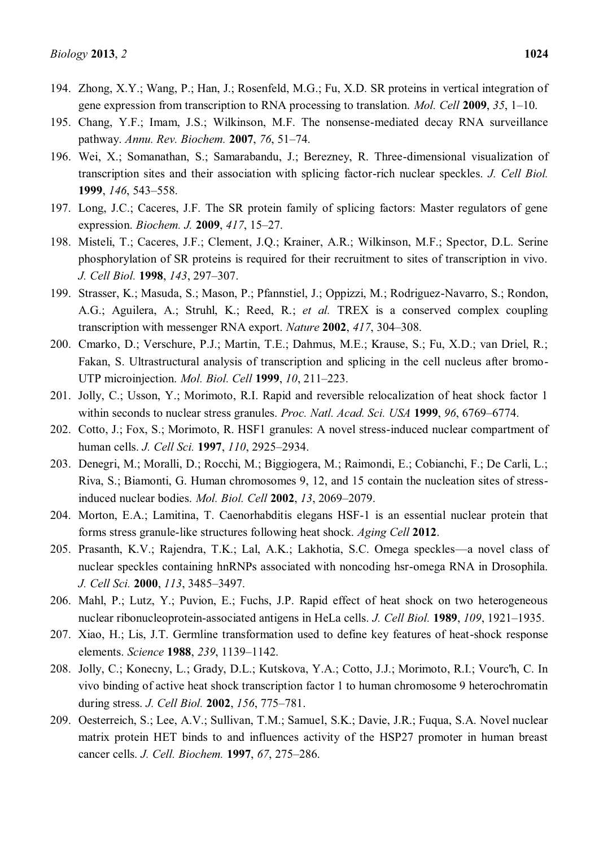- 194. Zhong, X.Y.; Wang, P.; Han, J.; Rosenfeld, M.G.; Fu, X.D. SR proteins in vertical integration of gene expression from transcription to RNA processing to translation. *Mol. Cell* 2009, 35, 1–10.
- 195. Chang, Y.F.; Imam, J.S.; Wilkinson, M.F. The nonsense-mediated decay RNA surveillance pathway. *Annu. Rev. Biochem.* **2007**, 76, 51–74.
- 196. Wei, X.; Somanathan, S.; Samarabandu, J.; Berezney, R. Three-dimensional visualization of transcription sites and their association with splicing factor-rich nuclear speckles. *J. Cell Biol.*  **1999**, *146*, 543-558.
- 197. Long, J.C.; Caceres, J.F. The SR protein family of splicing factors: Master regulators of gene expression. *Biochem. J.* **2009**, 417, 15-27.
- 198. Misteli, T.; Caceres, J.F.; Clement, J.Q.; Krainer, A.R.; Wilkinson, M.F.; Spector, D.L. Serine phosphorylation of SR proteins is required for their recruitment to sites of transcription in vivo. *J. Cell Biol.* **1998**, *143*, 297-307.
- 199. Strasser, K.; Masuda, S.; Mason, P.; Pfannstiel, J.; Oppizzi, M.; Rodriguez-Navarro, S.; Rondon, A.G.; Aguilera, A.; Struhl, K.; Reed, R.; *et al.* TREX is a conserved complex coupling transcription with messenger RNA export. *Nature* 2002, 417, 304–308.
- 200. Cmarko, D.; Verschure, P.J.; Martin, T.E.; Dahmus, M.E.; Krause, S.; Fu, X.D.; van Driel, R.; Fakan, S. Ultrastructural analysis of transcription and splicing in the cell nucleus after bromo-UTP microinjection. *Mol. Biol. Cell* **1999**, *10*, 211-223.
- 201. Jolly, C.; Usson, Y.; Morimoto, R.I. Rapid and reversible relocalization of heat shock factor 1 within seconds to nuclear stress granules. *Proc. Natl. Acad. Sci. USA* **1999**, *96*, 6769–6774.
- 202. Cotto, J.; Fox, S.; Morimoto, R. HSF1 granules: A novel stress-induced nuclear compartment of human cells. *J. Cell Sci.* **1997**, *110*, 2925-2934.
- 203. Denegri, M.; Moralli, D.; Rocchi, M.; Biggiogera, M.; Raimondi, E.; Cobianchi, F.; De Carli, L.; Riva, S.; Biamonti, G. Human chromosomes 9, 12, and 15 contain the nucleation sites of stressinduced nuclear bodies. *Mol. Biol. Cell* **2002**, 13, 2069-2079.
- 204. Morton, E.A.; Lamitina, T. Caenorhabditis elegans HSF-1 is an essential nuclear protein that forms stress granule-like structures following heat shock. *Aging Cell* **2012**.
- 205. Prasanth, K.V.; Rajendra, T.K.; Lal, A.K.; Lakhotia, S.C. Omega speckles—a novel class of nuclear speckles containing hnRNPs associated with noncoding hsr-omega RNA in Drosophila. *J. Cell Sci.* **2000**, *113*, 3485-3497.
- 206. Mahl, P.; Lutz, Y.; Puvion, E.; Fuchs, J.P. Rapid effect of heat shock on two heterogeneous nuclear ribonucleoprotein-associated antigens in HeLa cells. *J. Cell Biol.* **1989**, *109*, **1921**-1935.
- 207. Xiao, H.; Lis, J.T. Germline transformation used to define key features of heat-shock response elements. *Science* **1988**, 239, 1139-1142.
- 208. Jolly, C.; Konecny, L.; Grady, D.L.; Kutskova, Y.A.; Cotto, J.J.; Morimoto, R.I.; Vourc'h, C. In vivo binding of active heat shock transcription factor 1 to human chromosome 9 heterochromatin during stress. *J. Cell Biol.* **2002**, *156*, 775–781.
- 209. Oesterreich, S.; Lee, A.V.; Sullivan, T.M.; Samuel, S.K.; Davie, J.R.; Fuqua, S.A. Novel nuclear matrix protein HET binds to and influences activity of the HSP27 promoter in human breast cancer cells. *J. Cell. Biochem.* **1997**, *67*, 275-286.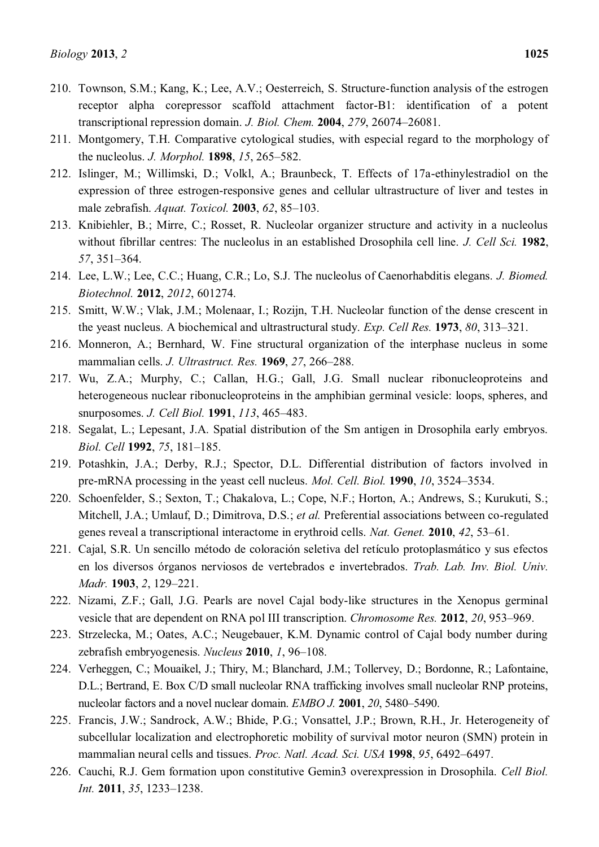- 210. Townson, S.M.; Kang, K.; Lee, A.V.; Oesterreich, S. Structure-function analysis of the estrogen receptor alpha corepressor scaffold attachment factor-B1: identification of a potent transcriptional repression domain. *J. Biol. Chem.* **2004**, 279, 26074–26081.
- 211. Montgomery, T.H. Comparative cytological studies, with especial regard to the morphology of the nucleolus. *J. Morphol.* **1898**, *15*, 265–582.
- 212. Islinger, M.; Willimski, D.; Volkl, A.; Braunbeck, T. Effects of 17a-ethinylestradiol on the expression of three estrogen-responsive genes and cellular ultrastructure of liver and testes in male zebrafish. *Aquat. Toxicol.* **2003**, *62*, 85–103.
- 213. Knibiehler, B.; Mirre, C.; Rosset, R. Nucleolar organizer structure and activity in a nucleolus without fibrillar centres: The nucleolus in an established Drosophila cell line. *J. Cell Sci.* **1982**, 57, 351-364.
- 214. Lee, L.W.; Lee, C.C.; Huang, C.R.; Lo, S.J. The nucleolus of Caenorhabditis elegans. *J. Biomed. Biotechnol.* **2012**, *2012*, 601274.
- 215. Smitt, W.W.; Vlak, J.M.; Molenaar, I.; Rozijn, T.H. Nucleolar function of the dense crescent in the yeast nucleus. A biochemical and ultrastructural study. *Exp. Cell Res.* **1973**, *80*, 313±321.
- 216. Monneron, A.; Bernhard, W. Fine structural organization of the interphase nucleus in some mammalian cells. *J. Ultrastruct. Res.* **1969**, 27, 266-288.
- 217. Wu, Z.A.; Murphy, C.; Callan, H.G.; Gall, J.G. Small nuclear ribonucleoproteins and heterogeneous nuclear ribonucleoproteins in the amphibian germinal vesicle: loops, spheres, and snurposomes. *J. Cell Biol.* **1991**, *113*, 465-483.
- 218. Segalat, L.; Lepesant, J.A. Spatial distribution of the Sm antigen in Drosophila early embryos. *Biol. Cell* **1992**, 75, 181-185.
- 219. Potashkin, J.A.; Derby, R.J.; Spector, D.L. Differential distribution of factors involved in pre-mRNA processing in the yeast cell nucleus. *Mol. Cell. Biol.* **1990**, *10*, 3524–3534.
- 220. Schoenfelder, S.; Sexton, T.; Chakalova, L.; Cope, N.F.; Horton, A.; Andrews, S.; Kurukuti, S.; Mitchell, J.A.; Umlauf, D.; Dimitrova, D.S.; *et al.* Preferential associations between co-regulated genes reveal a transcriptional interactome in erythroid cells. *Nat. Genet.* **2010**, 42, 53-61.
- 221. Cajal, S.R. Un sencillo método de coloración seletiva del retículo protoplasmático y sus efectos en los diversos órganos nerviosos de vertebrados e invertebrados. *Trab. Lab. Inv. Biol. Univ. Madr.* **1903**, 2, 129-221.
- 222. Nizami, Z.F.; Gall, J.G. Pearls are novel Cajal body-like structures in the Xenopus germinal vesicle that are dependent on RNA pol III transcription. *Chromosome Res.* **2012**, *20*, 953–969.
- 223. Strzelecka, M.; Oates, A.C.; Neugebauer, K.M. Dynamic control of Cajal body number during zebrafish embryogenesis. *Nucleus* **2010**, *1*, 96–108.
- 224. Verheggen, C.; Mouaikel, J.; Thiry, M.; Blanchard, J.M.; Tollervey, D.; Bordonne, R.; Lafontaine, D.L.; Bertrand, E. Box C/D small nucleolar RNA trafficking involves small nucleolar RNP proteins, nucleolar factors and a novel nuclear domain. *EMBO J.* **2001**, *20*, 5480–5490.
- 225. Francis, J.W.; Sandrock, A.W.; Bhide, P.G.; Vonsattel, J.P.; Brown, R.H., Jr. Heterogeneity of subcellular localization and electrophoretic mobility of survival motor neuron (SMN) protein in mammalian neural cells and tissues. *Proc. Natl. Acad. Sci. USA* **1998**, 95, 6492–6497.
- 226. Cauchi, R.J. Gem formation upon constitutive Gemin3 overexpression in Drosophila. *Cell Biol. Int.* 2011, 35, 1233-1238.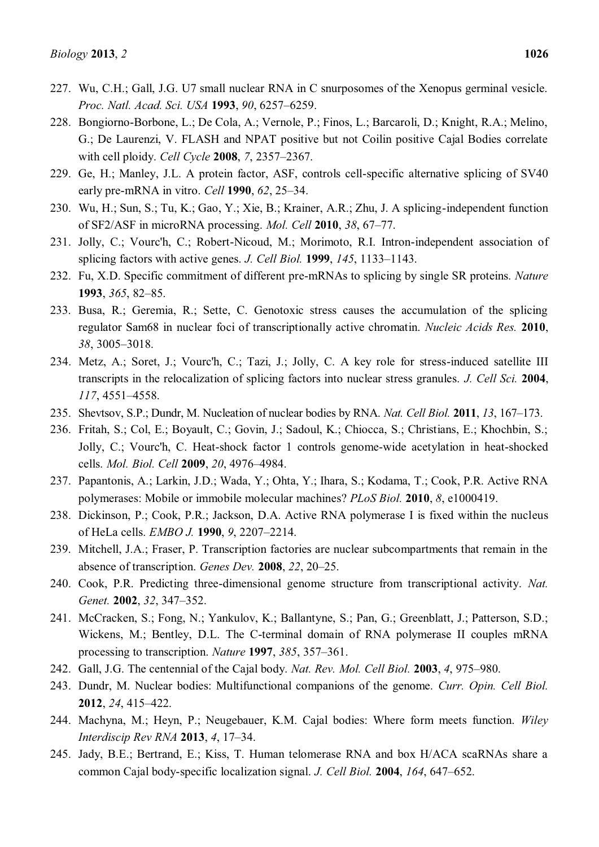- 227. Wu, C.H.; Gall, J.G. U7 small nuclear RNA in C snurposomes of the Xenopus germinal vesicle. *Proc. Natl. Acad. Sci. USA* **1993**, 90, 6257-6259.
- 228. Bongiorno-Borbone, L.; De Cola, A.; Vernole, P.; Finos, L.; Barcaroli, D.; Knight, R.A.; Melino, G.; De Laurenzi, V. FLASH and NPAT positive but not Coilin positive Cajal Bodies correlate with cell ploidy. *Cell Cycle* **2008**, 7, 2357–2367.
- 229. Ge, H.; Manley, J.L. A protein factor, ASF, controls cell-specific alternative splicing of SV40 early pre-mRNA in vitro. *Cell* **1990**, *62*, 25–34.
- 230. Wu, H.; Sun, S.; Tu, K.; Gao, Y.; Xie, B.; Krainer, A.R.; Zhu, J. A splicing-independent function of SF2/ASF in microRNA processing. *Mol. Cell* **2010**, 38, 67–77.
- 231. Jolly, C.; Vourc'h, C.; Robert-Nicoud, M.; Morimoto, R.I. Intron-independent association of splicing factors with active genes. *J. Cell Biol.* **1999**, *145*, 1133-1143.
- 232. Fu, X.D. Specific commitment of different pre-mRNAs to splicing by single SR proteins. *Nature*  **1993**, 365, 82–85.
- 233. Busa, R.; Geremia, R.; Sette, C. Genotoxic stress causes the accumulation of the splicing regulator Sam68 in nuclear foci of transcriptionally active chromatin. *Nucleic Acids Res.* **2010**, 38, 3005-3018.
- 234. Metz, A.; Soret, J.; Vourc'h, C.; Tazi, J.; Jolly, C. A key role for stress-induced satellite III transcripts in the relocalization of splicing factors into nuclear stress granules. *J. Cell Sci.* **2004**, *117*, 4551-4558.
- 235. Shevtsov, S.P.; Dundr, M. Nucleation of nuclear bodies by RNA. *Nat. Cell Biol.* **2011**, *13*, 167–173.
- 236. Fritah, S.; Col, E.; Boyault, C.; Govin, J.; Sadoul, K.; Chiocca, S.; Christians, E.; Khochbin, S.; Jolly, C.; Vourc'h, C. Heat-shock factor 1 controls genome-wide acetylation in heat-shocked cells. *Mol. Biol. Cell* **2009**, *20*, 4976±4984.
- 237. Papantonis, A.; Larkin, J.D.; Wada, Y.; Ohta, Y.; Ihara, S.; Kodama, T.; Cook, P.R. Active RNA polymerases: Mobile or immobile molecular machines? *PLoS Biol.* **2010**, *8*, e1000419.
- 238. Dickinson, P.; Cook, P.R.; Jackson, D.A. Active RNA polymerase I is fixed within the nucleus of HeLa cells. *EMBO J.* **1990**, 9, 2207-2214.
- 239. Mitchell, J.A.; Fraser, P. Transcription factories are nuclear subcompartments that remain in the **absence of transcription.** *Genes Dev.* **2008**, 22, 20–25.
- 240. Cook, P.R. Predicting three-dimensional genome structure from transcriptional activity. *Nat. Genet.* **2002**, 32, 347-352.
- 241. McCracken, S.; Fong, N.; Yankulov, K.; Ballantyne, S.; Pan, G.; Greenblatt, J.; Patterson, S.D.; Wickens, M.; Bentley, D.L. The C-terminal domain of RNA polymerase II couples mRNA processing to transcription. *Nature* **1997**, 385, 357–361.
- 242. Gall, J.G. The centennial of the Cajal body. *Nat. Rev. Mol. Cell Biol.* **2003**, 4, 975–980.
- 243. Dundr, M. Nuclear bodies: Multifunctional companions of the genome. *Curr. Opin. Cell Biol.*  **2012.** *24*, 415-422.
- 244. Machyna, M.; Heyn, P.; Neugebauer, K.M. Cajal bodies: Where form meets function. *Wiley Interdiscip Rev RNA* **2013**, 4, 17-34.
- 245. Jady, B.E.; Bertrand, E.; Kiss, T. Human telomerase RNA and box H/ACA scaRNAs share a common Cajal body-specific localization signal. *J. Cell Biol.* **2004**, *164*, 647–652.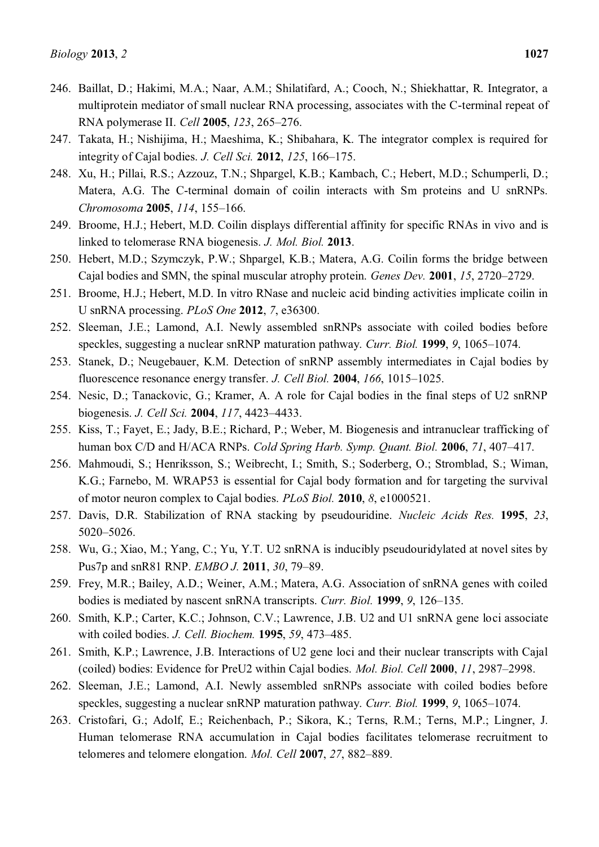- 247. Takata, H.; Nishijima, H.; Maeshima, K.; Shibahara, K. The integrator complex is required for integrity of Cajal bodies. *J. Cell Sci.* **2012**, *125*, 166–175.
- 248. Xu, H.; Pillai, R.S.; Azzouz, T.N.; Shpargel, K.B.; Kambach, C.; Hebert, M.D.; Schumperli, D.; Matera, A.G. The C-terminal domain of coilin interacts with Sm proteins and U snRNPs. *Chromosoma* **2005**, *114*, 155-166.
- 249. Broome, H.J.; Hebert, M.D. Coilin displays differential affinity for specific RNAs in vivo and is linked to telomerase RNA biogenesis. *J. Mol. Biol.* **2013**.
- 250. Hebert, M.D.; Szymczyk, P.W.; Shpargel, K.B.; Matera, A.G. Coilin forms the bridge between Cajal bodies and SMN, the spinal muscular atrophy protein. *Genes Dev.* 2001, 15, 2720–2729.
- 251. Broome, H.J.; Hebert, M.D. In vitro RNase and nucleic acid binding activities implicate coilin in U snRNA processing. *PLoS One* **2012**, *7*, e36300.
- 252. Sleeman, J.E.; Lamond, A.I. Newly assembled snRNPs associate with coiled bodies before speckles, suggesting a nuclear snRNP maturation pathway. *Curr. Biol.* **1999**, 9, 1065–1074.
- 253. Stanek, D.; Neugebauer, K.M. Detection of snRNP assembly intermediates in Cajal bodies by fluorescence resonance energy transfer. *J. Cell Biol.* **2004**, *166*, 1015-1025.
- 254. Nesic, D.; Tanackovic, G.; Kramer, A. A role for Cajal bodies in the final steps of U2 snRNP biogenesis. *J. Cell Sci.* **2004**, 117, 4423-4433.
- 255. Kiss, T.; Fayet, E.; Jady, B.E.; Richard, P.; Weber, M. Biogenesis and intranuclear trafficking of human box C/D and H/ACA RNPs. *Cold Spring Harb. Symp. Quant. Biol.* **2006**, 71, 407-417.
- 256. Mahmoudi, S.; Henriksson, S.; Weibrecht, I.; Smith, S.; Soderberg, O.; Stromblad, S.; Wiman, K.G.; Farnebo, M. WRAP53 is essential for Cajal body formation and for targeting the survival of motor neuron complex to Cajal bodies. *PLoS Biol.* **2010**, *8*, e1000521.
- 257. Davis, D.R. Stabilization of RNA stacking by pseudouridine. *Nucleic Acids Res.* **1995**, *23*, 5020-5026.
- 258. Wu, G.; Xiao, M.; Yang, C.; Yu, Y.T. U2 snRNA is inducibly pseudouridylated at novel sites by Pus7p and snR81 RNP. *EMBO J*. **2011**, 30, 79-89.
- 259. Frey, M.R.; Bailey, A.D.; Weiner, A.M.; Matera, A.G. Association of snRNA genes with coiled bodies is mediated by nascent snRNA transcripts. *Curr. Biol.* **1999**, 9, 126-135.
- 260. Smith, K.P.; Carter, K.C.; Johnson, C.V.; Lawrence, J.B. U2 and U1 snRNA gene loci associate with coiled bodies. *J. Cell. Biochem.* **1995**, 59, 473-485.
- 261. Smith, K.P.; Lawrence, J.B. Interactions of U2 gene loci and their nuclear transcripts with Cajal (coiled) bodies: Evidence for PreU2 within Cajal bodies. *Mol. Biol. Cell* 2000, 11, 2987–2998.
- 262. Sleeman, J.E.; Lamond, A.I. Newly assembled snRNPs associate with coiled bodies before speckles, suggesting a nuclear snRNP maturation pathway. *Curr. Biol.* **1999**, 9, 1065–1074.
- 263. Cristofari, G.; Adolf, E.; Reichenbach, P.; Sikora, K.; Terns, R.M.; Terns, M.P.; Lingner, J. Human telomerase RNA accumulation in Cajal bodies facilitates telomerase recruitment to telomeres and telomere elongation. *Mol. Cell* 2007, 27, 882–889.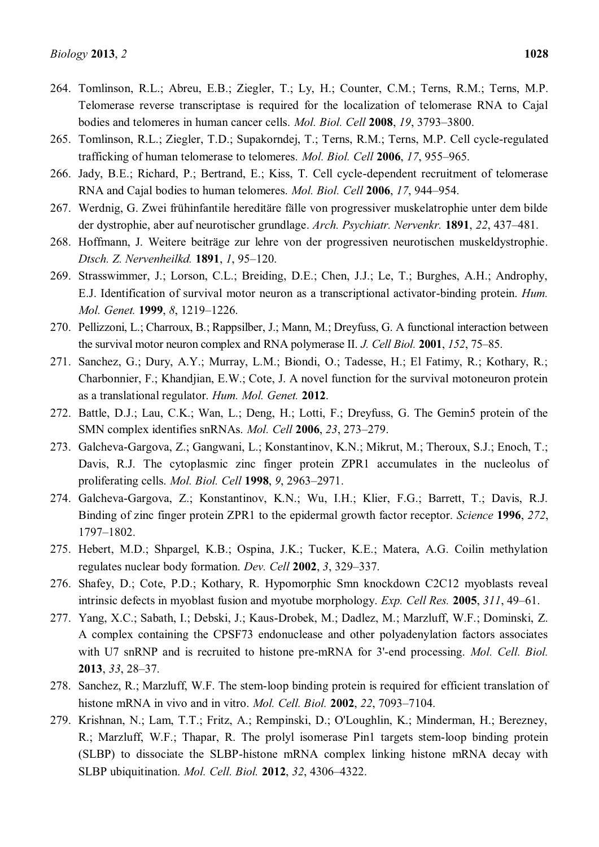- 264. Tomlinson, R.L.; Abreu, E.B.; Ziegler, T.; Ly, H.; Counter, C.M.; Terns, R.M.; Terns, M.P. Telomerase reverse transcriptase is required for the localization of telomerase RNA to Cajal bodies and telomeres in human cancer cells. *Mol. Biol. Cell* **2008**, *19*, 3793-3800.
- 265. Tomlinson, R.L.; Ziegler, T.D.; Supakorndej, T.; Terns, R.M.; Terns, M.P. Cell cycle-regulated trafficking of human telomerase to telomeres. *Mol. Biol. Cell* **2006**, 17, 955–965.
- 266. Jady, B.E.; Richard, P.; Bertrand, E.; Kiss, T. Cell cycle-dependent recruitment of telomerase RNA and Cajal bodies to human telomeres. *Mol. Biol. Cell* 2006, 17, 944-954.
- 267. Werdnig, G. Zwei frühinfantile hereditäre fälle von progressiver muskelatrophie unter dem bilde der dystrophie, aber auf neurotischer grundlage. Arch. Psychiatr. Nervenkr. **1891**, 22, 437–481.
- 268. Hoffmann, J. Weitere beiträge zur lehre von der progressiven neurotischen muskeldystrophie. *Dtsch. Z. Nervenheilkd.* **1891**, *1*, 95-120.
- 269. Strasswimmer, J.; Lorson, C.L.; Breiding, D.E.; Chen, J.J.; Le, T.; Burghes, A.H.; Androphy, E.J. Identification of survival motor neuron as a transcriptional activator-binding protein. *Hum. Mol. Genet.* **1999**, 8, 1219-1226.
- 270. Pellizzoni, L.; Charroux, B.; Rappsilber, J.; Mann, M.; Dreyfuss, G. A functional interaction between the survival motor neuron complex and RNA polymerase II. *J. Cell Biol.* **2001**, *152*, 75–85.
- 271. Sanchez, G.; Dury, A.Y.; Murray, L.M.; Biondi, O.; Tadesse, H.; El Fatimy, R.; Kothary, R.; Charbonnier, F.; Khandjian, E.W.; Cote, J. A novel function for the survival motoneuron protein as a translational regulator. *Hum. Mol. Genet.* **2012**.
- 272. Battle, D.J.; Lau, C.K.; Wan, L.; Deng, H.; Lotti, F.; Dreyfuss, G. The Gemin5 protein of the SMN complex identifies snRNAs. *Mol. Cell* **2006**, 23, 273-279.
- 273. Galcheva-Gargova, Z.; Gangwani, L.; Konstantinov, K.N.; Mikrut, M.; Theroux, S.J.; Enoch, T.; Davis, R.J. The cytoplasmic zinc finger protein ZPR1 accumulates in the nucleolus of proliferating cells. *Mol. Biol. Cell* **1998**, 9, 2963–2971.
- 274. Galcheva-Gargova, Z.; Konstantinov, K.N.; Wu, I.H.; Klier, F.G.; Barrett, T.; Davis, R.J. Binding of zinc finger protein ZPR1 to the epidermal growth factor receptor. *Science* **1996**, *272*, 1797±1802.
- 275. Hebert, M.D.; Shpargel, K.B.; Ospina, J.K.; Tucker, K.E.; Matera, A.G. Coilin methylation regulates nuclear body formation. *Dev. Cell* 2002, 3, 329–337.
- 276. Shafey, D.; Cote, P.D.; Kothary, R. Hypomorphic Smn knockdown C2C12 myoblasts reveal intrinsic defects in myoblast fusion and myotube morphology. *Exp. Cell Res.* **2005**,  $311$ ,  $49-61$ .
- 277. Yang, X.C.; Sabath, I.; Debski, J.; Kaus-Drobek, M.; Dadlez, M.; Marzluff, W.F.; Dominski, Z. A complex containing the CPSF73 endonuclease and other polyadenylation factors associates with U7 snRNP and is recruited to histone pre-mRNA for 3'-end processing. *Mol. Cell. Biol.*  **2013**, 33, 28–37.
- 278. Sanchez, R.; Marzluff, W.F. The stem-loop binding protein is required for efficient translation of histone mRNA in vivo and in vitro. *Mol. Cell. Biol.* **2002**, 22, 7093–7104.
- 279. Krishnan, N.; Lam, T.T.; Fritz, A.; Rempinski, D.; O'Loughlin, K.; Minderman, H.; Berezney, R.; Marzluff, W.F.; Thapar, R. The prolyl isomerase Pin1 targets stem-loop binding protein (SLBP) to dissociate the SLBP-histone mRNA complex linking histone mRNA decay with SLBP ubiquitination. *Mol. Cell. Biol.* **2012**, 32, 4306–4322.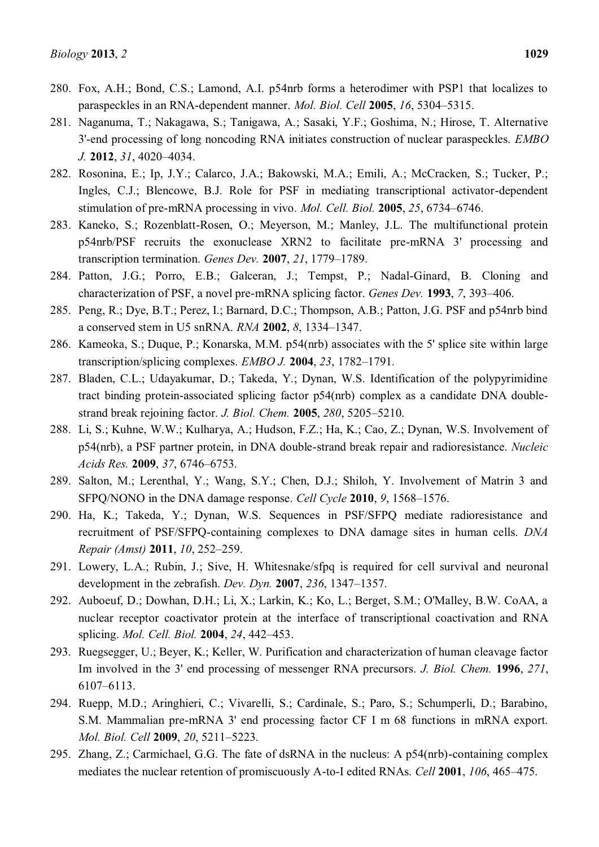- 280. Fox, A.H.; Bond, C.S.; Lamond, A.I. p54nrb forms a heterodimer with PSP1 that localizes to paraspeckles in an RNA-dependent manner. *Mol. Biol. Cell* **2005**, *16*, 5304–5315.
- 281. Naganuma, T.; Nakagawa, S.; Tanigawa, A.; Sasaki, Y.F.; Goshima, N.; Hirose, T. Alternative 3'-end processing of long noncoding RNA initiates construction of nuclear paraspeckles. *EMBO J.* 2012, 31, 4020–4034.
- 282. Rosonina, E.; Ip, J.Y.; Calarco, J.A.; Bakowski, M.A.; Emili, A.; McCracken, S.; Tucker, P.; Ingles, C.J.; Blencowe, B.J. Role for PSF in mediating transcriptional activator-dependent stimulation of pre-mRNA processing in vivo. *Mol. Cell. Biol.* **2005**, 25, 6734–6746.
- 283. Kaneko, S.; Rozenblatt-Rosen, O.; Meyerson, M.; Manley, J.L. The multifunctional protein p54nrb/PSF recruits the exonuclease XRN2 to facilitate pre-mRNA 3' processing and transcription termination. *Genes Dev.* **2007**, 21, 1779–1789.
- 284. Patton, J.G.; Porro, E.B.; Galceran, J.; Tempst, P.; Nadal-Ginard, B. Cloning and characterization of PSF, a novel pre-mRNA splicing factor. *Genes Dev.* **1993**, 7, 393–406.
- 285. Peng, R.; Dye, B.T.; Perez, I.; Barnard, D.C.; Thompson, A.B.; Patton, J.G. PSF and p54nrb bind a conserved stem in U5 snRNA. *RNA* **2002**, *8*, 1334-1347.
- 286. Kameoka, S.; Duque, P.; Konarska, M.M. p54(nrb) associates with the 5' splice site within large transcription/splicing complexes. *EMBO J.* **2004**, 23, 1782–1791.
- 287. Bladen, C.L.; Udayakumar, D.; Takeda, Y.; Dynan, W.S. Identification of the polypyrimidine tract binding protein-associated splicing factor p54(nrb) complex as a candidate DNA doublestrand break rejoining factor. *J. Biol. Chem.* **2005**, *280*, 5205–5210.
- 288. Li, S.; Kuhne, W.W.; Kulharya, A.; Hudson, F.Z.; Ha, K.; Cao, Z.; Dynan, W.S. Involvement of p54(nrb), a PSF partner protein, in DNA double-strand break repair and radioresistance. *Nucleic Acids Res.* **2009**, 37, 6746-6753.
- 289. Salton, M.; Lerenthal, Y.; Wang, S.Y.; Chen, D.J.; Shiloh, Y. Involvement of Matrin 3 and SFPQ/NONO in the DNA damage response. *Cell Cycle* **2010**, 9, 1568–1576.
- 290. Ha, K.; Takeda, Y.; Dynan, W.S. Sequences in PSF/SFPQ mediate radioresistance and recruitment of PSF/SFPQ-containing complexes to DNA damage sites in human cells. *DNA Repair (Amst)* **2011**, *10*, 252-259.
- 291. Lowery, L.A.; Rubin, J.; Sive, H. Whitesnake/sfpq is required for cell survival and neuronal development in the zebrafish. *Dev. Dyn.* **2007**, 236, 1347–1357.
- 292. Auboeuf, D.; Dowhan, D.H.; Li, X.; Larkin, K.; Ko, L.; Berget, S.M.; O'Malley, B.W. CoAA, a nuclear receptor coactivator protein at the interface of transcriptional coactivation and RNA splicing. *Mol. Cell. Biol.* **2004**, 24, 442–453.
- 293. Ruegsegger, U.; Beyer, K.; Keller, W. Purification and characterization of human cleavage factor Im involved in the 3' end processing of messenger RNA precursors. *J. Biol. Chem.* **1996**, *271*, 6107±6113.
- 294. Ruepp, M.D.; Aringhieri, C.; Vivarelli, S.; Cardinale, S.; Paro, S.; Schumperli, D.; Barabino, S.M. Mammalian pre-mRNA 3' end processing factor CF I m 68 functions in mRNA export. *Mol. Biol. Cell* 2009, 20, 5211-5223.
- 295. Zhang, Z.; Carmichael, G.G. The fate of dsRNA in the nucleus: A p54(nrb)-containing complex mediates the nuclear retention of promiscuously A-to-I edited RNAs. *Cell* 2001, *106*, 465–475.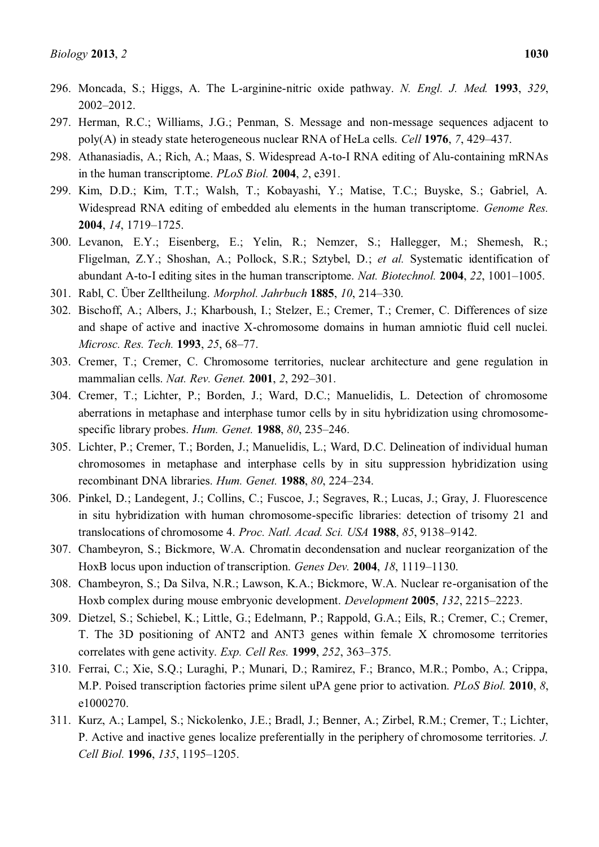- 296. Moncada, S.; Higgs, A. The L-arginine-nitric oxide pathway. *N. Engl. J. Med.* **1993**, *329*, 2002±2012.
- 297. Herman, R.C.; Williams, J.G.; Penman, S. Message and non-message sequences adjacent to poly(A) in steady state heterogeneous nuclear RNA of HeLa cells. *Cell* **1976**, *7*, 429±437.
- 298. Athanasiadis, A.; Rich, A.; Maas, S. Widespread A-to-I RNA editing of Alu-containing mRNAs in the human transcriptome. *PLoS Biol.* **2004**, *2*, e391.
- 299. Kim, D.D.; Kim, T.T.; Walsh, T.; Kobayashi, Y.; Matise, T.C.; Buyske, S.; Gabriel, A. Widespread RNA editing of embedded alu elements in the human transcriptome. *Genome Res.*  **2004**, *14*, 1719-1725.
- 300. Levanon, E.Y.; Eisenberg, E.; Yelin, R.; Nemzer, S.; Hallegger, M.; Shemesh, R.; Fligelman, Z.Y.; Shoshan, A.; Pollock, S.R.; Sztybel, D.; *et al.* Systematic identification of abundant A-to-I editing sites in the human transcriptome. *Nat. Biotechnol.* **2004**, 22, 1001–1005.
- 301. Rabl, C. Über Zelltheilung. *Morphol. Jahrbuch* **1885**, *10*, 214±330.
- 302. Bischoff, A.; Albers, J.; Kharboush, I.; Stelzer, E.; Cremer, T.; Cremer, C. Differences of size and shape of active and inactive X-chromosome domains in human amniotic fluid cell nuclei. *Microsc. Res. Tech.* **1993**, 25, 68-77.
- 303. Cremer, T.; Cremer, C. Chromosome territories, nuclear architecture and gene regulation in mammalian cells. *Nat. Rev. Genet.* **2001**, 2, 292-301.
- 304. Cremer, T.; Lichter, P.; Borden, J.; Ward, D.C.; Manuelidis, L. Detection of chromosome aberrations in metaphase and interphase tumor cells by in situ hybridization using chromosomespecific library probes. *Hum. Genet.* **1988**, *80*, 235–246.
- 305. Lichter, P.; Cremer, T.; Borden, J.; Manuelidis, L.; Ward, D.C. Delineation of individual human chromosomes in metaphase and interphase cells by in situ suppression hybridization using recombinant DNA libraries. *Hum. Genet.* **1988**, *80*, 224-234.
- 306. Pinkel, D.; Landegent, J.; Collins, C.; Fuscoe, J.; Segraves, R.; Lucas, J.; Gray, J. Fluorescence in situ hybridization with human chromosome-specific libraries: detection of trisomy 21 and translocations of chromosome 4. *Proc. Natl. Acad. Sci. USA* **1988**, 85, 9138-9142.
- 307. Chambeyron, S.; Bickmore, W.A. Chromatin decondensation and nuclear reorganization of the HoxB locus upon induction of transcription. *Genes Dev.* **2004**, 18, 1119-1130.
- 308. Chambeyron, S.; Da Silva, N.R.; Lawson, K.A.; Bickmore, W.A. Nuclear re-organisation of the Hoxb complex during mouse embryonic development. *Development* **2005**, *132*, 2215±2223.
- 309. Dietzel, S.; Schiebel, K.; Little, G.; Edelmann, P.; Rappold, G.A.; Eils, R.; Cremer, C.; Cremer, T. The 3D positioning of ANT2 and ANT3 genes within female X chromosome territories correlates with gene activity. *Exp. Cell Res.* **1999**, 252, 363–375.
- 310. Ferrai, C.; Xie, S.Q.; Luraghi, P.; Munari, D.; Ramirez, F.; Branco, M.R.; Pombo, A.; Crippa, M.P. Poised transcription factories prime silent uPA gene prior to activation. *PLoS Biol.* **2010**, *8*, e1000270.
- 311. Kurz, A.; Lampel, S.; Nickolenko, J.E.; Bradl, J.; Benner, A.; Zirbel, R.M.; Cremer, T.; Lichter, P. Active and inactive genes localize preferentially in the periphery of chromosome territories. *J. Cell Biol.* **1996**, *135*, 1195-1205.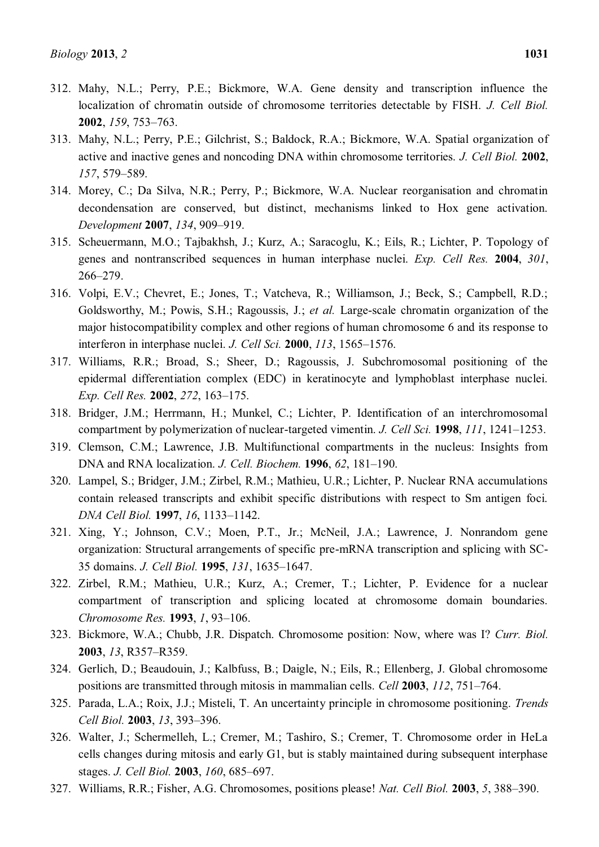- 312. Mahy, N.L.; Perry, P.E.; Bickmore, W.A. Gene density and transcription influence the localization of chromatin outside of chromosome territories detectable by FISH. *J. Cell Biol.*  **2002**, *159*, 753–763.
- 313. Mahy, N.L.; Perry, P.E.; Gilchrist, S.; Baldock, R.A.; Bickmore, W.A. Spatial organization of active and inactive genes and noncoding DNA within chromosome territories. *J. Cell Biol.* **2002**, *157*, 579±589.
- 314. Morey, C.; Da Silva, N.R.; Perry, P.; Bickmore, W.A. Nuclear reorganisation and chromatin decondensation are conserved, but distinct, mechanisms linked to Hox gene activation. *Development* **2007**, 134, 909-919.
- 315. Scheuermann, M.O.; Tajbakhsh, J.; Kurz, A.; Saracoglu, K.; Eils, R.; Lichter, P. Topology of genes and nontranscribed sequences in human interphase nuclei. *Exp. Cell Res.* **2004**, *301*, 266±279.
- 316. Volpi, E.V.; Chevret, E.; Jones, T.; Vatcheva, R.; Williamson, J.; Beck, S.; Campbell, R.D.; Goldsworthy, M.; Powis, S.H.; Ragoussis, J.; *et al.* Large-scale chromatin organization of the major histocompatibility complex and other regions of human chromosome 6 and its response to interferon in interphase nuclei. *J. Cell Sci.* **2000**, 113, 1565-1576.
- 317. Williams, R.R.; Broad, S.; Sheer, D.; Ragoussis, J. Subchromosomal positioning of the epidermal differentiation complex (EDC) in keratinocyte and lymphoblast interphase nuclei. *Exp. Cell Res.* **2002**, 272, 163-175.
- 318. Bridger, J.M.; Herrmann, H.; Munkel, C.; Lichter, P. Identification of an interchromosomal compartment by polymerization of nuclear-targeted vimentin. *J. Cell Sci.* **1998**, *111*, **1241**-1253.
- 319. Clemson, C.M.; Lawrence, J.B. Multifunctional compartments in the nucleus: Insights from DNA and RNA localization. *J. Cell. Biochem.* **1996**, *62*, 181-190.
- 320. Lampel, S.; Bridger, J.M.; Zirbel, R.M.; Mathieu, U.R.; Lichter, P. Nuclear RNA accumulations contain released transcripts and exhibit specific distributions with respect to Sm antigen foci. *DNA Cell Biol.* **1997**, *16*, 1133±1142.
- 321. Xing, Y.; Johnson, C.V.; Moen, P.T., Jr.; McNeil, J.A.; Lawrence, J. Nonrandom gene organization: Structural arrangements of specific pre-mRNA transcription and splicing with SC-35 domains. *J. Cell Biol.* **1995**, *131*, 1635-1647.
- 322. Zirbel, R.M.; Mathieu, U.R.; Kurz, A.; Cremer, T.; Lichter, P. Evidence for a nuclear compartment of transcription and splicing located at chromosome domain boundaries. *Chromosome Res.* **1993**, *1*, 93-106.
- 323. Bickmore, W.A.; Chubb, J.R. Dispatch. Chromosome position: Now, where was I? *Curr. Biol.*  **2003**, *13*, R357-R359.
- 324. Gerlich, D.; Beaudouin, J.; Kalbfuss, B.; Daigle, N.; Eils, R.; Ellenberg, J. Global chromosome positions are transmitted through mitosis in mammalian cells. *Cell* 2003, 112, 751–764.
- 325. Parada, L.A.; Roix, J.J.; Misteli, T. An uncertainty principle in chromosome positioning. *Trends Cell Biol.* **2003**, 13, 393-396.
- 326. Walter, J.; Schermelleh, L.; Cremer, M.; Tashiro, S.; Cremer, T. Chromosome order in HeLa cells changes during mitosis and early G1, but is stably maintained during subsequent interphase stages. *J. Cell Biol.* **2003**, *160*, 685–697.
- 327. Williams, R.R.; Fisher, A.G. Chromosomes, positions please! *Nat. Cell Biol.* **2003**, *5*, 388±390.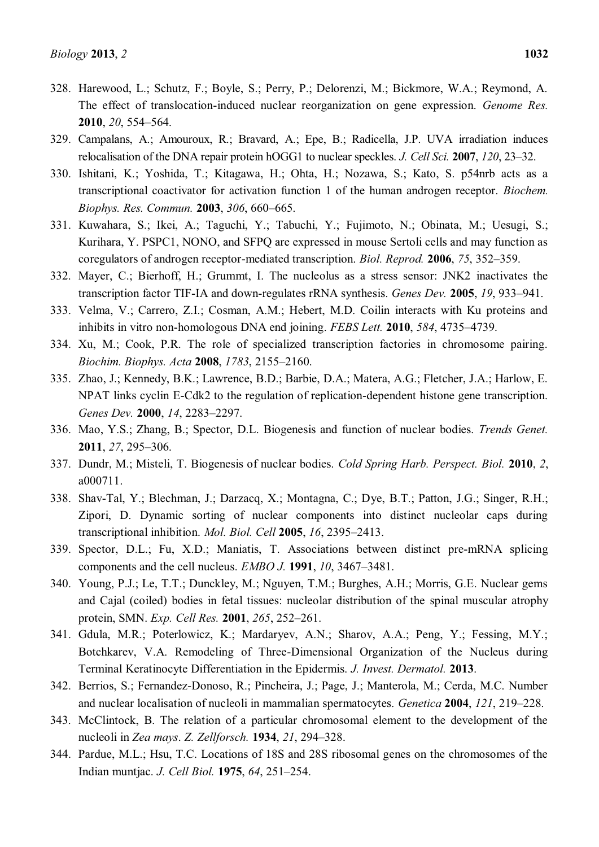- 328. Harewood, L.; Schutz, F.; Boyle, S.; Perry, P.; Delorenzi, M.; Bickmore, W.A.; Reymond, A. The effect of translocation-induced nuclear reorganization on gene expression. *Genome Res.*  **2010**, *20*, 554-564.
- 329. Campalans, A.; Amouroux, R.; Bravard, A.; Epe, B.; Radicella, J.P. UVA irradiation induces relocalisation of the DNA repair protein hOGG1 to nuclear speckles. *J. Cell Sci.* **2007**, *120*, 23–32.
- 330. Ishitani, K.; Yoshida, T.; Kitagawa, H.; Ohta, H.; Nozawa, S.; Kato, S. p54nrb acts as a transcriptional coactivator for activation function 1 of the human androgen receptor. *Biochem. Biophys. Res. Commun.* **2003**, *306*, 660–665.
- 331. Kuwahara, S.; Ikei, A.; Taguchi, Y.; Tabuchi, Y.; Fujimoto, N.; Obinata, M.; Uesugi, S.; Kurihara, Y. PSPC1, NONO, and SFPQ are expressed in mouse Sertoli cells and may function as coregulators of androgen receptor-mediated transcription. *Biol. Reprod.* **2006**, 75, 352–359.
- 332. Mayer, C.; Bierhoff, H.; Grummt, I. The nucleolus as a stress sensor: JNK2 inactivates the transcription factor TIF-IA and down-regulates rRNA synthesis. *Genes Dev.* **2005**, 19, 933–941.
- 333. Velma, V.; Carrero, Z.I.; Cosman, A.M.; Hebert, M.D. Coilin interacts with Ku proteins and inhibits in vitro non-homologous DNA end joining. *FEBS Lett.* **2010**, 584, 4735–4739.
- 334. Xu, M.; Cook, P.R. The role of specialized transcription factories in chromosome pairing. *Biochim. Biophys. Acta* **2008**, *1783*, 2155-2160.
- 335. Zhao, J.; Kennedy, B.K.; Lawrence, B.D.; Barbie, D.A.; Matera, A.G.; Fletcher, J.A.; Harlow, E. NPAT links cyclin E-Cdk2 to the regulation of replication-dependent histone gene transcription. *Genes Dev.* **2000**, 14, 2283-2297.
- 336. Mao, Y.S.; Zhang, B.; Spector, D.L. Biogenesis and function of nuclear bodies. *Trends Genet.*  **2011**, 27, 295-306.
- 337. Dundr, M.; Misteli, T. Biogenesis of nuclear bodies. *Cold Spring Harb. Perspect. Biol.* **2010**, *2*, a000711.
- 338. Shav-Tal, Y.; Blechman, J.; Darzacq, X.; Montagna, C.; Dye, B.T.; Patton, J.G.; Singer, R.H.; Zipori, D. Dynamic sorting of nuclear components into distinct nucleolar caps during transcriptional inhibition. *Mol. Biol. Cell* 2005, 16, 2395-2413.
- 339. Spector, D.L.; Fu, X.D.; Maniatis, T. Associations between distinct pre-mRNA splicing components and the cell nucleus. *EMBO J*. **1991**, *10*, 3467–3481.
- 340. Young, P.J.; Le, T.T.; Dunckley, M.; Nguyen, T.M.; Burghes, A.H.; Morris, G.E. Nuclear gems and Cajal (coiled) bodies in fetal tissues: nucleolar distribution of the spinal muscular atrophy protein, SMN. *Exp. Cell Res.* **2001**, *265*, 252-261.
- 341. Gdula, M.R.; Poterlowicz, K.; Mardaryev, A.N.; Sharov, A.A.; Peng, Y.; Fessing, M.Y.; Botchkarev, V.A. Remodeling of Three-Dimensional Organization of the Nucleus during Terminal Keratinocyte Differentiation in the Epidermis. *J. Invest. Dermatol.* **2013**.
- 342. Berrios, S.; Fernandez-Donoso, R.; Pincheira, J.; Page, J.; Manterola, M.; Cerda, M.C. Number and nuclear localisation of nucleoli in mammalian spermatocytes. *Genetica* 2004, 121, 219–228.
- 343. McClintock, B. The relation of a particular chromosomal element to the development of the nucleoli in *Zea mays*. *Z. Zellforsch.* **1934**, *21*, 294±328.
- 344. Pardue, M.L.; Hsu, T.C. Locations of 18S and 28S ribosomal genes on the chromosomes of the Indian muntjac. *J. Cell Biol.* **1975**, *64*, 251-254.